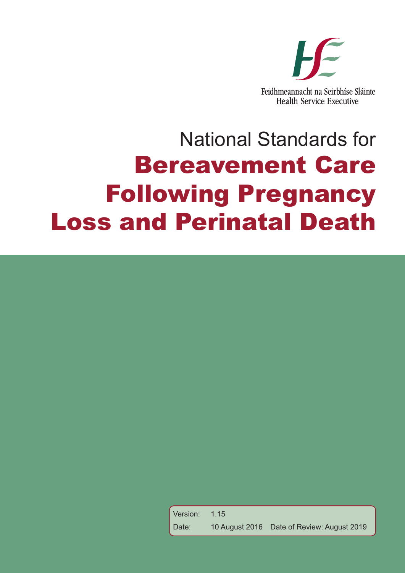

Version: 1.15 Date: 10 August 2016 Date of Review: August 2019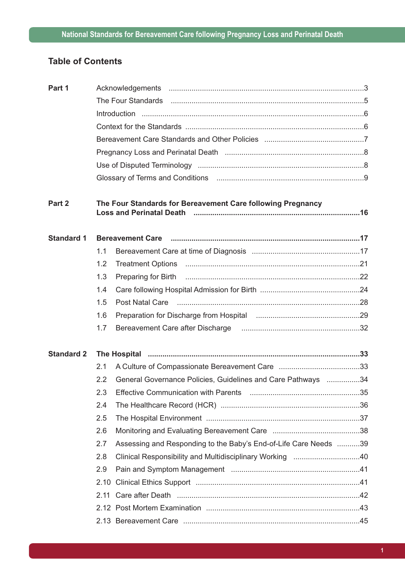## **Table of Contents**

| Part 1            |      |                                                                                                                |  |
|-------------------|------|----------------------------------------------------------------------------------------------------------------|--|
|                   |      | The Four Standards (and the continuum continuum control of the four standards).                                |  |
|                   |      |                                                                                                                |  |
|                   |      |                                                                                                                |  |
|                   |      |                                                                                                                |  |
|                   |      |                                                                                                                |  |
|                   |      |                                                                                                                |  |
|                   |      |                                                                                                                |  |
| Part 2            |      | The Four Standards for Bereavement Care following Pregnancy                                                    |  |
| <b>Standard 1</b> |      | Bereavement Care manufactured and the control of the control of the control of the control of the control of t |  |
|                   | 1.1  |                                                                                                                |  |
|                   | 1.2  |                                                                                                                |  |
|                   | 1.3  |                                                                                                                |  |
|                   | 1.4  |                                                                                                                |  |
|                   | 1.5  |                                                                                                                |  |
|                   | 1.6  |                                                                                                                |  |
|                   | 1.7  |                                                                                                                |  |
| <b>Standard 2</b> |      |                                                                                                                |  |
|                   | 2.1  |                                                                                                                |  |
|                   | 2.2  | General Governance Policies, Guidelines and Care Pathways 34                                                   |  |
|                   | 2.3  |                                                                                                                |  |
|                   | 2.4  |                                                                                                                |  |
|                   | 2.5  |                                                                                                                |  |
|                   | 2.6  |                                                                                                                |  |
|                   | 2.7  | Assessing and Responding to the Baby's End-of-Life Care Needs 39                                               |  |
|                   | 2.8  | Clinical Responsibility and Multidisciplinary Working 40                                                       |  |
|                   | 2.9  |                                                                                                                |  |
|                   | 2.10 |                                                                                                                |  |
|                   |      |                                                                                                                |  |
|                   |      |                                                                                                                |  |
|                   |      |                                                                                                                |  |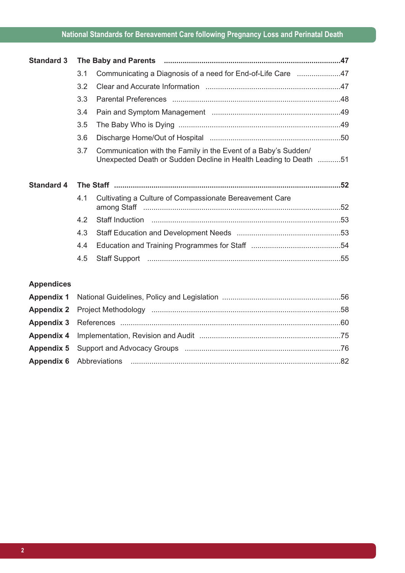| <b>Standard 3</b> |     |                                                                                                                                    |  |
|-------------------|-----|------------------------------------------------------------------------------------------------------------------------------------|--|
|                   | 3.1 | Communicating a Diagnosis of a need for End-of-Life Care 47                                                                        |  |
|                   | 3.2 |                                                                                                                                    |  |
|                   | 3.3 |                                                                                                                                    |  |
|                   | 3.4 |                                                                                                                                    |  |
|                   | 3.5 |                                                                                                                                    |  |
|                   | 3.6 |                                                                                                                                    |  |
|                   | 3.7 | Communication with the Family in the Event of a Baby's Sudden/<br>Unexpected Death or Sudden Decline in Health Leading to Death 51 |  |
|                   |     |                                                                                                                                    |  |
| <b>Standard 4</b> |     |                                                                                                                                    |  |
|                   | 4.1 | Cultivating a Culture of Compassionate Bereavement Care                                                                            |  |
|                   | 4.2 | Staff Induction manual manual manual manual manual manual manual manual 53                                                         |  |
|                   | 4.3 |                                                                                                                                    |  |
|                   | 4.4 |                                                                                                                                    |  |

## **Appendices**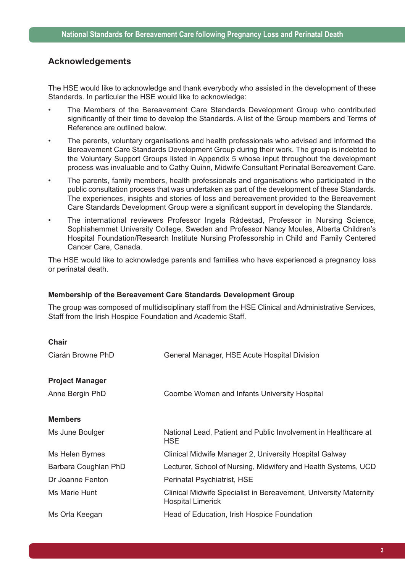## **Acknowledgements**

The HSE would like to acknowledge and thank everybody who assisted in the development of these Standards. In particular the HSE would like to acknowledge:

- The Members of the Bereavement Care Standards Development Group who contributed significantly of their time to develop the Standards. A list of the Group members and Terms of Reference are outlined below.
- The parents, voluntary organisations and health professionals who advised and informed the Bereavement Care Standards Development Group during their work. The group is indebted to the Voluntary Support Groups listed in Appendix 5 whose input throughout the development process was invaluable and to Cathy Quinn, Midwife Consultant Perinatal Bereavement Care.
- The parents, family members, health professionals and organisations who participated in the public consultation process that was undertaken as part of the development of these Standards. The experiences, insights and stories of loss and bereavement provided to the Bereavement Care Standards Development Group were a significant support in developing the Standards.
- The international reviewers Professor Ingela Rådestad, Professor in Nursing Science, Sophiahemmet University College, Sweden and Professor Nancy Moules, Alberta Children's Hospital Foundation/Research Institute Nursing Professorship in Child and Family Centered Cancer Care, Canada.

The HSE would like to acknowledge parents and families who have experienced a pregnancy loss or perinatal death.

#### **Membership of the Bereavement Care Standards Development Group**

The group was composed of multidisciplinary staff from the HSE Clinical and Administrative Services, Staff from the Irish Hospice Foundation and Academic Staff.

| <b>Chair</b>           |                                                                                              |
|------------------------|----------------------------------------------------------------------------------------------|
| Ciarán Browne PhD      | General Manager, HSE Acute Hospital Division                                                 |
| <b>Project Manager</b> |                                                                                              |
| Anne Bergin PhD        | Coombe Women and Infants University Hospital                                                 |
| <b>Members</b>         |                                                                                              |
| Ms June Boulger        | National Lead, Patient and Public Involvement in Healthcare at<br><b>HSE</b>                 |
| Ms Helen Byrnes        | Clinical Midwife Manager 2, University Hospital Galway                                       |
| Barbara Coughlan PhD   | Lecturer, School of Nursing, Midwifery and Health Systems, UCD                               |
| Dr Joanne Fenton       | Perinatal Psychiatrist, HSE                                                                  |
| Ms Marie Hunt          | Clinical Midwife Specialist in Bereavement, University Maternity<br><b>Hospital Limerick</b> |
| Ms Orla Keegan         | Head of Education, Irish Hospice Foundation                                                  |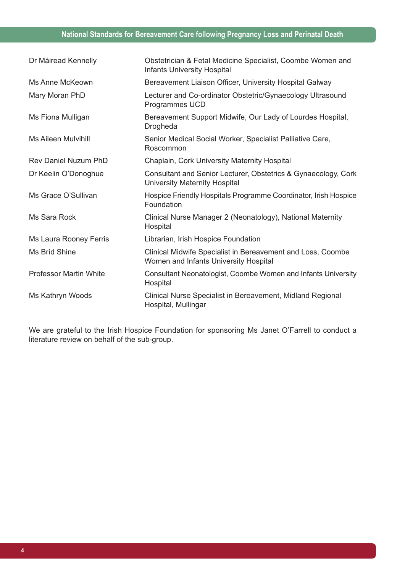| Dr Máiread Kennelly           | Obstetrician & Fetal Medicine Specialist, Coombe Women and<br><b>Infants University Hospital</b>     |
|-------------------------------|------------------------------------------------------------------------------------------------------|
| Ms Anne McKeown               | Bereavement Liaison Officer, University Hospital Galway                                              |
| Mary Moran PhD                | Lecturer and Co-ordinator Obstetric/Gynaecology Ultrasound<br><b>Programmes UCD</b>                  |
| Ms Fiona Mulligan             | Bereavement Support Midwife, Our Lady of Lourdes Hospital,<br>Drogheda                               |
| Ms Aileen Mulvihill           | Senior Medical Social Worker, Specialist Palliative Care,<br>Roscommon                               |
| <b>Rev Daniel Nuzum PhD</b>   | <b>Chaplain, Cork University Maternity Hospital</b>                                                  |
| Dr Keelin O'Donoghue          | Consultant and Senior Lecturer, Obstetrics & Gynaecology, Cork<br>University Maternity Hospital      |
| Ms Grace O'Sullivan           | Hospice Friendly Hospitals Programme Coordinator, Irish Hospice<br>Foundation                        |
| Ms Sara Rock                  | Clinical Nurse Manager 2 (Neonatology), National Maternity<br>Hospital                               |
| Ms Laura Rooney Ferris        | Librarian, Irish Hospice Foundation                                                                  |
| Ms Bríd Shine                 | Clinical Midwife Specialist in Bereavement and Loss, Coombe<br>Women and Infants University Hospital |
| <b>Professor Martin White</b> | Consultant Neonatologist, Coombe Women and Infants University<br>Hospital                            |
| Ms Kathryn Woods              | Clinical Nurse Specialist in Bereavement, Midland Regional<br>Hospital, Mullingar                    |

We are grateful to the Irish Hospice Foundation for sponsoring Ms Janet O'Farrell to conduct a literature review on behalf of the sub-group.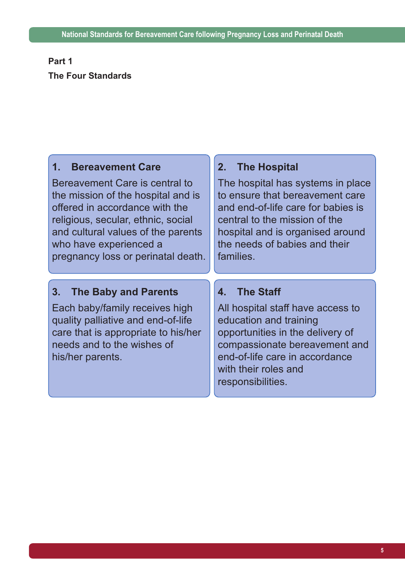# **Part 1 The Four Standards**

# **1. Bereavement Care**

Bereavement Care is central to the mission of the hospital and is offered in accordance with the religious, secular, ethnic, social and cultural values of the parents who have experienced a pregnancy loss or perinatal death.

# **2. The Hospital**

The hospital has systems in place to ensure that bereavement care and end-of-life care for babies is central to the mission of the hospital and is organised around the needs of babies and their families.

# **3. The Baby and Parents**

Each baby/family receives high quality palliative and end-of-life care that is appropriate to his/her needs and to the wishes of his/her parents.

# **4. The Staff**

All hospital staff have access to education and training opportunities in the delivery of compassionate bereavement and end-of-life care in accordance with their roles and responsibilities.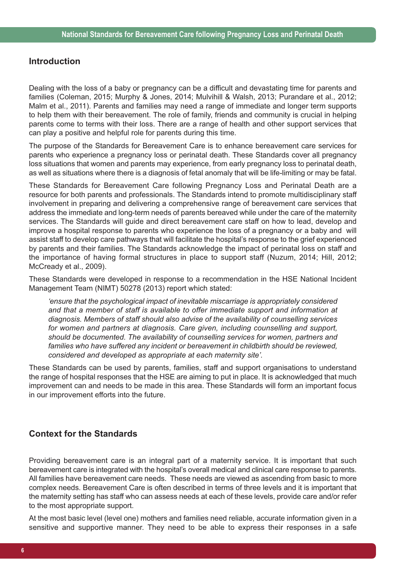## **Introduction**

Dealing with the loss of a baby or pregnancy can be a difficult and devastating time for parents and families (Coleman, 2015; Murphy & Jones, 2014; Mulvihill & Walsh, 2013; Purandare et al., 2012; Malm et al., 2011). Parents and families may need a range of immediate and longer term supports to help them with their bereavement. The role of family, friends and community is crucial in helping parents come to terms with their loss. There are a range of health and other support services that can play a positive and helpful role for parents during this time.

The purpose of the Standards for Bereavement Care is to enhance bereavement care services for parents who experience a pregnancy loss or perinatal death. These Standards cover all pregnancy loss situations that women and parents may experience, from early pregnancy loss to perinatal death, as well as situations where there is a diagnosis of fetal anomaly that will be life-limiting or may be fatal.

These Standards for Bereavement Care following Pregnancy Loss and Perinatal Death are a resource for both parents and professionals. The Standards intend to promote multidisciplinary staff involvement in preparing and delivering a comprehensive range of bereavement care services that address the immediate and long-term needs of parents bereaved while under the care of the maternity services. The Standards will guide and direct bereavement care staff on how to lead, develop and improve a hospital response to parents who experience the loss of a pregnancy or a baby and will assist staff to develop care pathways that will facilitate the hospital's response to the grief experienced by parents and their families. The Standards acknowledge the impact of perinatal loss on staff and the importance of having formal structures in place to support staff (Nuzum, 2014; Hill, 2012; McCready et al., 2009).

These Standards were developed in response to a recommendation in the HSE National Incident Management Team (NIMT) 50278 (2013) report which stated:

*'ensure that the psychological impact of inevitable miscarriage is appropriately considered and that a member of staff is available to offer immediate support and information at diagnosis. Members of staff should also advise of the availability of counselling services for women and partners at diagnosis. Care given, including counselling and support, should be documented. The availability of counselling services for women, partners and families who have suffered any incident or bereavement in childbirth should be reviewed, considered and developed as appropriate at each maternity site'.*

These Standards can be used by parents, families, staff and support organisations to understand the range of hospital responses that the HSE are aiming to put in place. It is acknowledged that much improvement can and needs to be made in this area. These Standards will form an important focus in our improvement efforts into the future.

## **Context for the Standards**

Providing bereavement care is an integral part of a maternity service. It is important that such bereavement care is integrated with the hospital's overall medical and clinical care response to parents. All families have bereavement care needs. These needs are viewed as ascending from basic to more complex needs. Bereavement Care is often described in terms of three levels and it is important that the maternity setting has staff who can assess needs at each of these levels, provide care and/or refer to the most appropriate support.

At the most basic level (level one) mothers and families need reliable, accurate information given in a sensitive and supportive manner. They need to be able to express their responses in a safe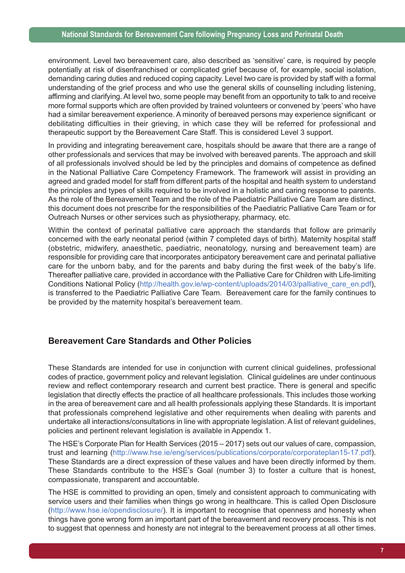environment. Level two bereavement care, also described as 'sensitive' care, is required by people potentially at risk of disenfranchised or complicated grief because of, for example, social isolation, demanding caring duties and reduced coping capacity. Level two care is provided by staff with a formal understanding of the grief process and who use the general skills of counselling including listening, affirming and clarifying. At level two, some people may benefit from an opportunity to talk to and receive more formal supports which are often provided by trained volunteers or convened by 'peers' who have had a similar bereavement experience. A minority of bereaved persons may experience significant or debilitating difficulties in their grieving, in which case they will be referred for professional and therapeutic support by the Bereavement Care Staff. This is considered Level 3 support.

In providing and integrating bereavement care, hospitals should be aware that there are a range of other professionals and services that may be involved with bereaved parents. The approach and skill of all professionals involved should be led by the principles and domains of competence as defined in the National Palliative Care Competency Framework. The framework will assist in providing an agreed and graded model for staff from different parts of the hospital and health system to understand the principles and types of skills required to be involved in a holistic and caring response to parents. As the role of the Bereavement Team and the role of the Paediatric Palliative Care Team are distinct, this document does not prescribe for the responsibilities of the Paediatric Palliative Care Team or for Outreach Nurses or other services such as physiotherapy, pharmacy, etc.

Within the context of perinatal palliative care approach the standards that follow are primarily concerned with the early neonatal period (within 7 completed days of birth). Maternity hospital staff (obstetric, midwifery, anaesthetic, paediatric, neonatology, nursing and bereavement team) are responsible for providing care that incorporates anticipatory bereavement care and perinatal palliative care for the unborn baby, and for the parents and baby during the first week of the baby's life. Thereafter palliative care, provided in accordance with the Palliative Care for Children with Life-limiting Conditions National Policy (http://health.gov.ie/wp-content/uploads/2014/03/palliative\_care\_en.pdf), is transferred to the Paediatric Palliative Care Team. Bereavement care for the family continues to be provided by the maternity hospital's bereavement team.

## **Bereavement Care Standards and Other Policies**

These Standards are intended for use in conjunction with current clinical guidelines, professional codes of practice, government policy and relevant legislation. Clinical guidelines are under continuous review and reflect contemporary research and current best practice. There is general and specific legislation that directly effects the practice of all healthcare professionals. This includes those working in the area of bereavement care and all health professionals applying these Standards. It is important that professionals comprehend legislative and other requirements when dealing with parents and undertake all interactions/consultations in line with appropriate legislation. A list of relevant guidelines, policies and pertinent relevant legislation is available in Appendix 1.

The HSE's Corporate Plan for Health Services (2015 – 2017) sets out our values of care, compassion, trust and learning (http://www.hse.ie/eng/services/publications/corporate/corporateplan15-17.pdf). These Standards are a direct expression of these values and have been directly informed by them. These Standards contribute to the HSE's Goal (number 3) to foster a culture that is honest, compassionate, transparent and accountable.

The HSE is committed to providing an open, timely and consistent approach to communicating with service users and their families when things go wrong in healthcare. This is called Open Disclosure (http://www.hse.ie/opendisclosure/). It is important to recognise that openness and honesty when things have gone wrong form an important part of the bereavement and recovery process. This is not to suggest that openness and honesty are not integral to the bereavement process at all other times.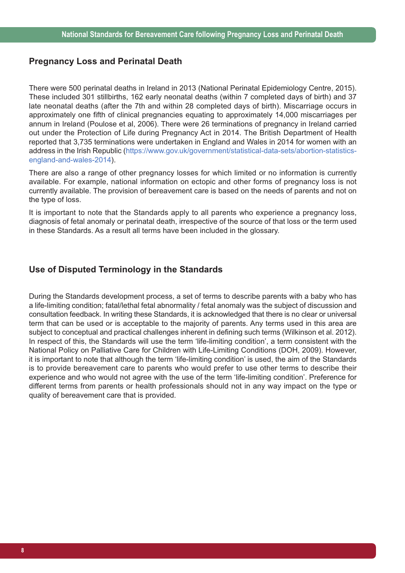## **Pregnancy Loss and Perinatal Death**

There were 500 perinatal deaths in Ireland in 2013 (National Perinatal Epidemiology Centre, 2015). These included 301 stillbirths, 162 early neonatal deaths (within 7 completed days of birth) and 37 late neonatal deaths (after the 7th and within 28 completed days of birth). Miscarriage occurs in approximately one fifth of clinical pregnancies equating to approximately 14,000 miscarriages per annum in Ireland (Poulose et al, 2006). There were 26 terminations of pregnancy in Ireland carried out under the Protection of Life during Pregnancy Act in 2014. The British Department of Health reported that 3,735 terminations were undertaken in England and Wales in 2014 for women with an address in the Irish Republic (https://www.gov.uk/government/statistical-data-sets/abortion-statisticsengland-and-wales-2014).

There are also a range of other pregnancy losses for which limited or no information is currently available. For example, national information on ectopic and other forms of pregnancy loss is not currently available. The provision of bereavement care is based on the needs of parents and not on the type of loss.

It is important to note that the Standards apply to all parents who experience a pregnancy loss, diagnosis of fetal anomaly or perinatal death, irrespective of the source of that loss or the term used in these Standards. As a result all terms have been included in the glossary.

## **Use of Disputed Terminology in the Standards**

During the Standards development process, a set of terms to describe parents with a baby who has a life-limiting condition; fatal/lethal fetal abnormality / fetal anomaly was the subject of discussion and consultation feedback. In writing these Standards, it is acknowledged that there is no clear or universal term that can be used or is acceptable to the majority of parents. Any terms used in this area are subject to conceptual and practical challenges inherent in defining such terms (Wilkinson et al. 2012). In respect of this, the Standards will use the term 'life-limiting condition', a term consistent with the National Policy on Palliative Care for Children with Life-Limiting Conditions (DOH, 2009). However, it is important to note that although the term 'life-limiting condition' is used, the aim of the Standards is to provide bereavement care to parents who would prefer to use other terms to describe their experience and who would not agree with the use of the term 'life-limiting condition'. Preference for different terms from parents or health professionals should not in any way impact on the type or quality of bereavement care that is provided.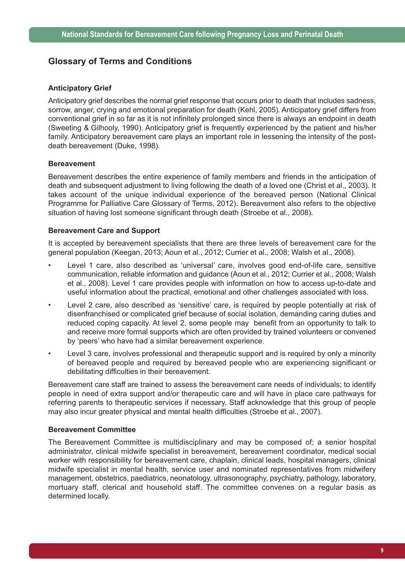## **Glossary of Terms and Conditions**

#### **Anticipatory Grief**

Anticipatory grief describes the normal grief response that occurs prior to death that includes sadness, sorrow, anger, crying and emotional preparation for death (Kehl, 2005). Anticipatory grief differs from conventional grief in so far as it is not infinitely prolonged since there is always an endpoint in death (Sweeting & Gilhooly, 1990). Anticipatory grief is frequently experienced by the patient and his/her family. Anticipatory bereavement care plays an important role in lessening the intensity of the postdeath bereavement (Duke, 1998).

#### **Bereavement**

Bereavement describes the entire experience of family members and friends in the anticipation of death and subsequent adjustment to living following the death of a loved one (Christ et al., 2003). It takes account of the unique individual experience of the bereaved person (National Clinical Programme for Palliative Care Glossary of Terms, 2012). Bereavement also refers to the objective situation of having lost someone significant through death (Stroebe et al., 2008).

#### **Bereavement Care and Support**

It is accepted by bereavement specialists that there are three levels of bereavement care for the general population (Keegan, 2013; Aoun et al., 2012; Currier et al., 2008; Walsh et al., 2008).

- Level 1 care, also described as 'universal' care, involves good end-of-life care, sensitive communication, reliable information and guidance (Aoun et al., 2012; Currier et al., 2008; Walsh et al., 2008). Level 1 care provides people with information on how to access up-to-date and useful information about the practical, emotional and other challenges associated with loss.
- Level 2 care, also described as 'sensitive' care, is required by people potentially at risk of disenfranchised or complicated grief because of social isolation, demanding caring duties and reduced coping capacity. At level 2, some people may benefit from an opportunity to talk to and receive more formal supports which are often provided by trained volunteers or convened by 'peers' who have had a similar bereavement experience.
- Level 3 care, involves professional and therapeutic support and is required by only a minority of bereaved people and required by bereaved people who are experiencing significant or debilitating difficulties in their bereavement.

Bereavement care staff are trained to assess the bereavement care needs of individuals; to identify people in need of extra support and/or therapeutic care and will have in place care pathways for referring parents to therapeutic services if necessary. Staff acknowledge that this group of people may also incur greater physical and mental health difficulties (Stroebe et al., 2007).

#### **Bereavement Committee**

The Bereavement Committee is multidisciplinary and may be composed of; a senior hospital administrator, clinical midwife specialist in bereavement, bereavement coordinator, medical social worker with responsibility for bereavement care, chaplain, clinical leads, hospital managers, clinical midwife specialist in mental health, service user and nominated representatives from midwifery management, obstetrics, paediatrics, neonatology, ultrasonography, psychiatry, pathology, laboratory, mortuary staff, clerical and household staff. The committee convenes on a regular basis as determined locally.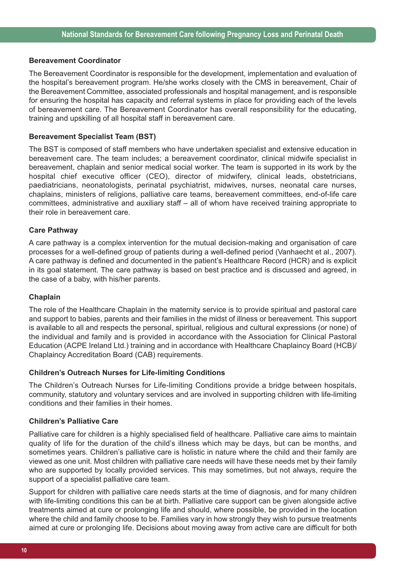#### **Bereavement Coordinator**

The Bereavement Coordinator is responsible for the development, implementation and evaluation of the hospital's bereavement program. He/she works closely with the CMS in bereavement, Chair of the Bereavement Committee, associated professionals and hospital management, and is responsible for ensuring the hospital has capacity and referral systems in place for providing each of the levels of bereavement care. The Bereavement Coordinator has overall responsibility for the educating, training and upskilling of all hospital staff in bereavement care.

#### **Bereavement Specialist Team (BST)**

The BST is composed of staff members who have undertaken specialist and extensive education in bereavement care. The team includes; a bereavement coordinator, clinical midwife specialist in bereavement, chaplain and senior medical social worker. The team is supported in its work by the hospital chief executive officer (CEO), director of midwifery, clinical leads, obstetricians, paediatricians, neonatologists, perinatal psychiatrist, midwives, nurses, neonatal care nurses, chaplains, ministers of religions, palliative care teams, bereavement committees, end-of-life care committees, administrative and auxiliary staff – all of whom have received training appropriate to their role in bereavement care.

#### **Care Pathway**

A care pathway is a complex intervention for the mutual decision-making and organisation of care processes for a well-defined group of patients during a well-defined period (Vanhaecht et al., 2007). A care pathway is defined and documented in the patient's Healthcare Record (HCR) and is explicit in its goal statement. The care pathway is based on best practice and is discussed and agreed, in the case of a baby, with his/her parents.

#### **Chaplain**

The role of the Healthcare Chaplain in the maternity service is to provide spiritual and pastoral care and support to babies, parents and their families in the midst of illness or bereavement. This support is available to all and respects the personal, spiritual, religious and cultural expressions (or none) of the individual and family and is provided in accordance with the Association for Clinical Pastoral Education (ACPE Ireland Ltd.) training and in accordance with Healthcare Chaplaincy Board (HCB)/ Chaplaincy Accreditation Board (CAB) requirements.

#### **Children's Outreach Nurses for Life-limiting Conditions**

The Children's Outreach Nurses for Life-limiting Conditions provide a bridge between hospitals, community, statutory and voluntary services and are involved in supporting children with life-limiting conditions and their families in their homes.

#### **Children's Palliative Care**

Palliative care for children is a highly specialised field of healthcare. Palliative care aims to maintain quality of life for the duration of the child's illness which may be days, but can be months, and sometimes years. Children's palliative care is holistic in nature where the child and their family are viewed as one unit. Most children with palliative care needs will have these needs met by their family who are supported by locally provided services. This may sometimes, but not always, require the support of a specialist palliative care team.

Support for children with palliative care needs starts at the time of diagnosis, and for many children with life-limiting conditions this can be at birth. Palliative care support can be given alongside active treatments aimed at cure or prolonging life and should, where possible, be provided in the location where the child and family choose to be. Families vary in how strongly they wish to pursue treatments aimed at cure or prolonging life. Decisions about moving away from active care are difficult for both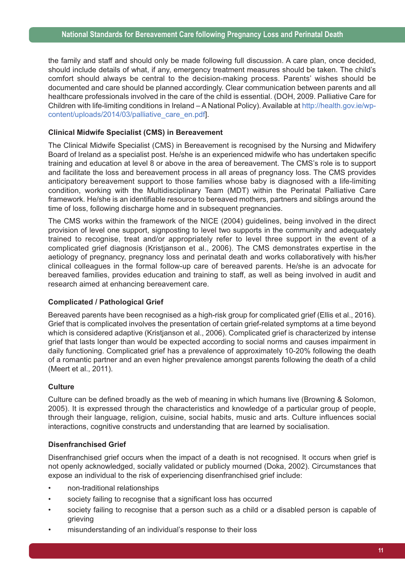the family and staff and should only be made following full discussion. A care plan, once decided, should include details of what, if any, emergency treatment measures should be taken. The child's comfort should always be central to the decision-making process. Parents' wishes should be documented and care should be planned accordingly. Clear communication between parents and all healthcare professionals involved in the care of the child is essential. (DOH, 2009. Palliative Care for Children with life-limiting conditions in Ireland – A National Policy). Available at http://health.gov.ie/wpcontent/uploads/2014/03/palliative\_care\_en.pdf].

#### **Clinical Midwife Specialist (CMS) in Bereavement**

The Clinical Midwife Specialist (CMS) in Bereavement is recognised by the Nursing and Midwifery Board of Ireland as a specialist post. He/she is an experienced midwife who has undertaken specific training and education at level 8 or above in the area of bereavement. The CMS's role is to support and facilitate the loss and bereavement process in all areas of pregnancy loss. The CMS provides anticipatory bereavement support to those families whose baby is diagnosed with a life-limiting condition, working with the Multidisciplinary Team (MDT) within the Perinatal Palliative Care framework. He/she is an identifiable resource to bereaved mothers, partners and siblings around the time of loss, following discharge home and in subsequent pregnancies.

The CMS works within the framework of the NICE (2004) guidelines, being involved in the direct provision of level one support, signposting to level two supports in the community and adequately trained to recognise, treat and/or appropriately refer to level three support in the event of a complicated grief diagnosis (Kristjanson et al., 2006). The CMS demonstrates expertise in the aetiology of pregnancy, pregnancy loss and perinatal death and works collaboratively with his/her clinical colleagues in the formal follow-up care of bereaved parents. He/she is an advocate for bereaved families, provides education and training to staff, as well as being involved in audit and research aimed at enhancing bereavement care.

#### **Complicated / Pathological Grief**

Bereaved parents have been recognised as a high-risk group for complicated grief (Ellis et al., 2016). Grief that is complicated involves the presentation of certain grief-related symptoms at a time beyond which is considered adaptive (Kristianson et al., 2006). Complicated grief is characterized by intense grief that lasts longer than would be expected according to social norms and causes impairment in daily functioning. Complicated grief has a prevalence of approximately 10-20% following the death of a romantic partner and an even higher prevalence amongst parents following the death of a child (Meert et al., 2011).

#### **Culture**

Culture can be defined broadly as the web of meaning in which humans live (Browning & Solomon, 2005). It is expressed through the characteristics and knowledge of a particular group of people, through their language, religion, cuisine, social habits, music and arts. Culture influences social interactions, cognitive constructs and understanding that are learned by socialisation.

#### **Disenfranchised Grief**

Disenfranchised grief occurs when the impact of a death is not recognised. It occurs when grief is not openly acknowledged, socially validated or publicly mourned (Doka, 2002). Circumstances that expose an individual to the risk of experiencing disenfranchised grief include:

- non-traditional relationships
- society failing to recognise that a significant loss has occurred
- society failing to recognise that a person such as a child or a disabled person is capable of grieving
- misunderstanding of an individual's response to their loss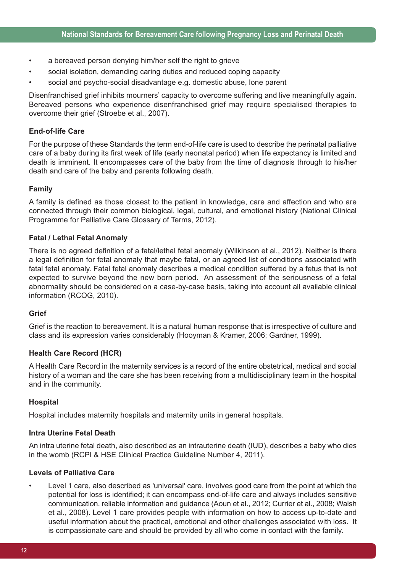- a bereaved person denying him/her self the right to grieve
- social isolation, demanding caring duties and reduced coping capacity
- social and psycho-social disadvantage e.g. domestic abuse, lone parent

Disenfranchised grief inhibits mourners' capacity to overcome suffering and live meaningfully again. Bereaved persons who experience disenfranchised grief may require specialised therapies to overcome their grief (Stroebe et al., 2007).

#### **End-of-life Care**

For the purpose of these Standards the term end-of-life care is used to describe the perinatal palliative care of a baby during its first week of life (early neonatal period) when life expectancy is limited and death is imminent. It encompasses care of the baby from the time of diagnosis through to his/her death and care of the baby and parents following death.

#### **Family**

A family is defined as those closest to the patient in knowledge, care and affection and who are connected through their common biological, legal, cultural, and emotional history (National Clinical Programme for Palliative Care Glossary of Terms, 2012).

#### **Fatal / Lethal Fetal Anomaly**

There is no agreed definition of a fatal/lethal fetal anomaly (Wilkinson et al., 2012). Neither is there a legal definition for fetal anomaly that maybe fatal, or an agreed list of conditions associated with fatal fetal anomaly. Fatal fetal anomaly describes a medical condition suffered by a fetus that is not expected to survive beyond the new born period. An assessment of the seriousness of a fetal abnormality should be considered on a case-by-case basis, taking into account all available clinical information (RCOG, 2010).

#### **Grief**

Grief is the reaction to bereavement. It is a natural human response that is irrespective of culture and class and its expression varies considerably (Hooyman & Kramer, 2006; Gardner, 1999).

#### **Health Care Record (HCR)**

A Health Care Record in the maternity services is a record of the entire obstetrical, medical and social history of a woman and the care she has been receiving from a multidisciplinary team in the hospital and in the community.

#### **Hospital**

Hospital includes maternity hospitals and maternity units in general hospitals.

#### **Intra Uterine Fetal Death**

An intra uterine fetal death, also described as an intrauterine death (IUD), describes a baby who dies in the womb (RCPI & HSE Clinical Practice Guideline Number 4, 2011).

#### **Levels of Palliative Care**

• Level 1 care, also described as 'universal' care, involves good care from the point at which the potential for loss is identified; it can encompass end-of-life care and always includes sensitive communication, reliable information and guidance (Aoun et al., 2012; Currier et al., 2008; Walsh et al., 2008). Level 1 care provides people with information on how to access up-to-date and useful information about the practical, emotional and other challenges associated with loss. It is compassionate care and should be provided by all who come in contact with the family.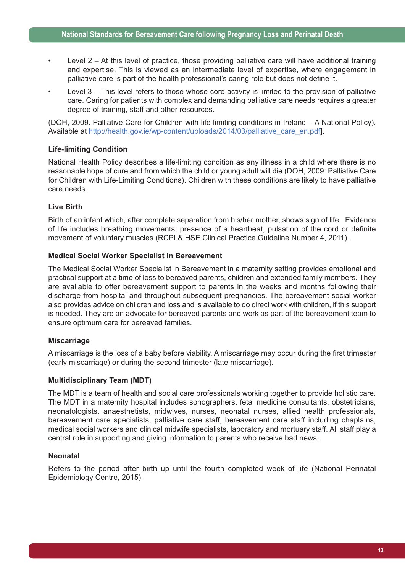- Level 2 At this level of practice, those providing palliative care will have additional training and expertise. This is viewed as an intermediate level of expertise, where engagement in palliative care is part of the health professional's caring role but does not define it.
- Level 3 This level refers to those whose core activity is limited to the provision of palliative care. Caring for patients with complex and demanding palliative care needs requires a greater degree of training, staff and other resources.

(DOH, 2009. Palliative Care for Children with life-limiting conditions in Ireland – A National Policy). Available at http://health.gov.ie/wp-content/uploads/2014/03/palliative\_care\_en.pdf].

## **Life-limiting Condition**

National Health Policy describes a life-limiting condition as any illness in a child where there is no reasonable hope of cure and from which the child or young adult will die (DOH, 2009: Palliative Care for Children with Life-Limiting Conditions). Children with these conditions are likely to have palliative care needs.

#### **Live Birth**

Birth of an infant which, after complete separation from his/her mother, shows sign of life. Evidence of life includes breathing movements, presence of a heartbeat, pulsation of the cord or definite movement of voluntary muscles (RCPI & HSE Clinical Practice Guideline Number 4, 2011).

#### **Medical Social Worker Specialist in Bereavement**

The Medical Social Worker Specialist in Bereavement in a maternity setting provides emotional and practical support at a time of loss to bereaved parents, children and extended family members. They are available to offer bereavement support to parents in the weeks and months following their discharge from hospital and throughout subsequent pregnancies. The bereavement social worker also provides advice on children and loss and is available to do direct work with children, if this support is needed. They are an advocate for bereaved parents and work as part of the bereavement team to ensure optimum care for bereaved families.

#### **Miscarriage**

A miscarriage is the loss of a baby before viability. A miscarriage may occur during the first trimester (early miscarriage) or during the second trimester (late miscarriage).

#### **Multidisciplinary Team (MDT)**

The MDT is a team of health and social care professionals working together to provide holistic care. The MDT in a maternity hospital includes sonographers, fetal medicine consultants, obstetricians, neonatologists, anaesthetists, midwives, nurses, neonatal nurses, allied health professionals, bereavement care specialists, palliative care staff, bereavement care staff including chaplains, medical social workers and clinical midwife specialists, laboratory and mortuary staff. All staff play a central role in supporting and giving information to parents who receive bad news.

#### **Neonatal**

Refers to the period after birth up until the fourth completed week of life (National Perinatal Epidemiology Centre, 2015).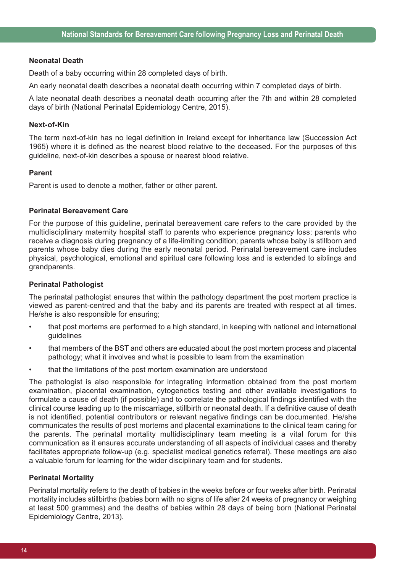#### **Neonatal Death**

Death of a baby occurring within 28 completed days of birth.

An early neonatal death describes a neonatal death occurring within 7 completed days of birth.

A late neonatal death describes a neonatal death occurring after the 7th and within 28 completed days of birth (National Perinatal Epidemiology Centre, 2015).

#### **Next-of-Kin**

The term next-of-kin has no legal definition in Ireland except for inheritance law (Succession Act 1965) where it is defined as the nearest blood relative to the deceased. For the purposes of this guideline, next-of-kin describes a spouse or nearest blood relative.

#### **Parent**

Parent is used to denote a mother, father or other parent.

#### **Perinatal Bereavement Care**

For the purpose of this guideline, perinatal bereavement care refers to the care provided by the multidisciplinary maternity hospital staff to parents who experience pregnancy loss; parents who receive a diagnosis during pregnancy of a life-limiting condition; parents whose baby is stillborn and parents whose baby dies during the early neonatal period. Perinatal bereavement care includes physical, psychological, emotional and spiritual care following loss and is extended to siblings and grandparents.

#### **Perinatal Pathologist**

The perinatal pathologist ensures that within the pathology department the post mortem practice is viewed as parent-centred and that the baby and its parents are treated with respect at all times. He/she is also responsible for ensuring;

- that post mortems are performed to a high standard, in keeping with national and international guidelines
- that members of the BST and others are educated about the post mortem process and placental pathology; what it involves and what is possible to learn from the examination
- that the limitations of the post mortem examination are understood

The pathologist is also responsible for integrating information obtained from the post mortem examination, placental examination, cytogenetics testing and other available investigations to formulate a cause of death (if possible) and to correlate the pathological findings identified with the clinical course leading up to the miscarriage, stillbirth or neonatal death. If a definitive cause of death is not identified, potential contributors or relevant negative findings can be documented. He/she communicates the results of post mortems and placental examinations to the clinical team caring for the parents. The perinatal mortality multidisciplinary team meeting is a vital forum for this communication as it ensures accurate understanding of all aspects of individual cases and thereby facilitates appropriate follow-up (e.g. specialist medical genetics referral). These meetings are also a valuable forum for learning for the wider disciplinary team and for students.

#### **Perinatal Mortality**

Perinatal mortality refers to the death of babies in the weeks before or four weeks after birth. Perinatal mortality includes stillbirths (babies born with no signs of life after 24 weeks of pregnancy or weighing at least 500 grammes) and the deaths of babies within 28 days of being born (National Perinatal Epidemiology Centre, 2013).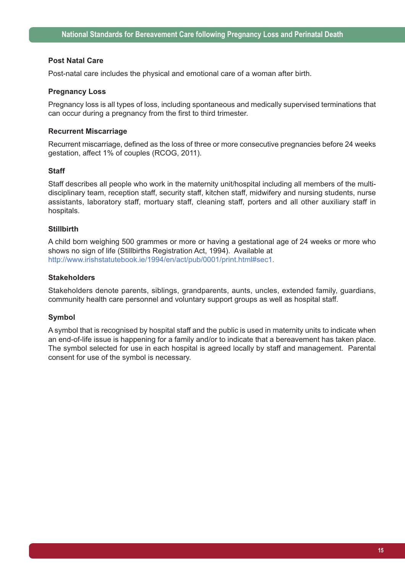#### **Post Natal Care**

Post-natal care includes the physical and emotional care of a woman after birth.

#### **Pregnancy Loss**

Pregnancy loss is all types of loss, including spontaneous and medically supervised terminations that can occur during a pregnancy from the first to third trimester.

#### **Recurrent Miscarriage**

Recurrent miscarriage, defined as the loss of three or more consecutive pregnancies before 24 weeks gestation, affect 1% of couples (RCOG, 2011).

#### **Staff**

Staff describes all people who work in the maternity unit/hospital including all members of the multidisciplinary team, reception staff, security staff, kitchen staff, midwifery and nursing students, nurse assistants, laboratory staff, mortuary staff, cleaning staff, porters and all other auxiliary staff in hospitals.

#### **Stillbirth**

A child born weighing 500 grammes or more or having a gestational age of 24 weeks or more who shows no sign of life (Stillbirths Registration Act, 1994). Available at http://www.irishstatutebook.ie/1994/en/act/pub/0001/print.html#sec1.

#### **Stakeholders**

Stakeholders denote parents, siblings, grandparents, aunts, uncles, extended family, guardians, community health care personnel and voluntary support groups as well as hospital staff.

#### **Symbol**

A symbol that is recognised by hospital staff and the public is used in maternity units to indicate when an end-of-life issue is happening for a family and/or to indicate that a bereavement has taken place. The symbol selected for use in each hospital is agreed locally by staff and management. Parental consent for use of the symbol is necessary.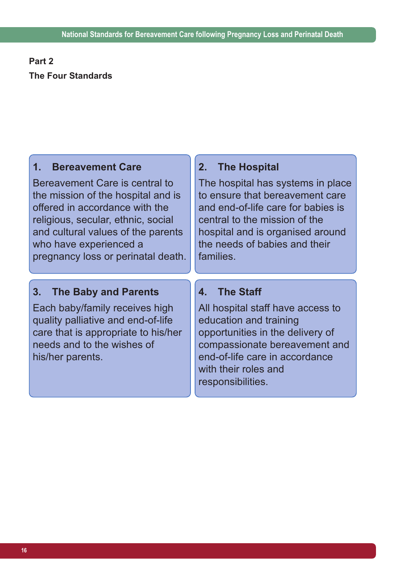# **Part 2 The Four Standards**

## **1. Bereavement Care**

Bereavement Care is central to the mission of the hospital and is offered in accordance with the religious, secular, ethnic, social and cultural values of the parents who have experienced a pregnancy loss or perinatal death.

# **2. The Hospital**

The hospital has systems in place to ensure that bereavement care and end-of-life care for babies is central to the mission of the hospital and is organised around the needs of babies and their families.

# **3. The Baby and Parents**

Each baby/family receives high quality palliative and end-of-life care that is appropriate to his/her needs and to the wishes of his/her parents.

# **4. The Staff**

All hospital staff have access to education and training opportunities in the delivery of compassionate bereavement and end-of-life care in accordance with their roles and responsibilities.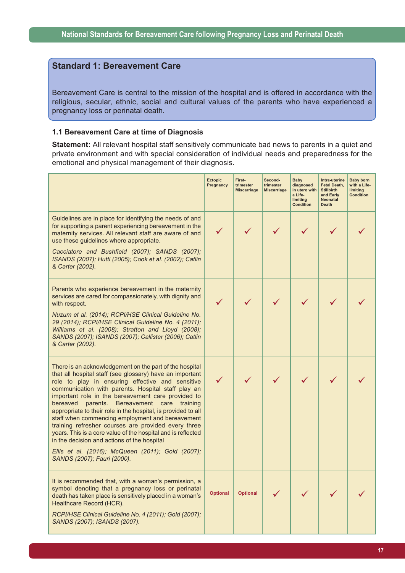## **Standard 1: Bereavement Care**

Bereavement Care is central to the mission of the hospital and is offered in accordance with the religious, secular, ethnic, social and cultural values of the parents who have experienced a pregnancy loss or perinatal death.

#### **1.1 Bereavement Care at time of Diagnosis**

**Statement:** All relevant hospital staff sensitively communicate bad news to parents in a quiet and private environment and with special consideration of individual needs and preparedness for the emotional and physical management of their diagnosis.

|                                                                                                                                                                                                                                                                                                                                                                                                                                                                                                                                                                                                                                                                                                                   | <b>Ectopic</b><br>Pregnancy | First-<br>trimester<br><b>Miscarriage</b> | Second-<br>trimester<br><b>Miscarriage</b> | Baby<br>diagnosed<br>in utero with<br>a Life-<br>limiting<br><b>Condition</b> | Intra-uterine<br><b>Fetal Death,</b><br><b>Stillbirth</b><br>and Early<br><b>Neonatal</b><br><b>Death</b> | <b>Baby born</b><br>with a Life-<br>limiting<br><b>Condition</b> |
|-------------------------------------------------------------------------------------------------------------------------------------------------------------------------------------------------------------------------------------------------------------------------------------------------------------------------------------------------------------------------------------------------------------------------------------------------------------------------------------------------------------------------------------------------------------------------------------------------------------------------------------------------------------------------------------------------------------------|-----------------------------|-------------------------------------------|--------------------------------------------|-------------------------------------------------------------------------------|-----------------------------------------------------------------------------------------------------------|------------------------------------------------------------------|
| Guidelines are in place for identifying the needs of and<br>for supporting a parent experiencing bereavement in the<br>maternity services. All relevant staff are aware of and<br>use these guidelines where appropriate.<br>Cacciatore and Bushfield (2007); SANDS (2007);<br>ISANDS (2007); Hutti (2005); Cook et al. (2002); Catlin<br>& Carter (2002).                                                                                                                                                                                                                                                                                                                                                        |                             |                                           |                                            |                                                                               |                                                                                                           |                                                                  |
| Parents who experience bereavement in the maternity<br>services are cared for compassionately, with dignity and<br>with respect.<br>Nuzum et al. (2014); RCPI/HSE Clinical Guideline No.<br>29 (2014); RCPI/HSE Clinical Guideline No. 4 (2011);<br>Williams et al. (2008); Stratton and Lloyd (2008);<br>SANDS (2007); ISANDS (2007); Callister (2006); Catlin<br>& Carter (2002).                                                                                                                                                                                                                                                                                                                               |                             |                                           |                                            |                                                                               |                                                                                                           |                                                                  |
| There is an acknowledgement on the part of the hospital<br>that all hospital staff (see glossary) have an important<br>role to play in ensuring effective and sensitive<br>communication with parents. Hospital staff play an<br>important role in the bereavement care provided to<br>bereaved parents. Bereavement care training<br>appropriate to their role in the hospital, is provided to all<br>staff when commencing employment and bereavement<br>training refresher courses are provided every three<br>years. This is a core value of the hospital and is reflected<br>in the decision and actions of the hospital<br>Ellis et al. (2016); McQueen (2011); Gold (2007);<br>SANDS (2007); Fauri (2000). |                             |                                           |                                            |                                                                               |                                                                                                           |                                                                  |
| It is recommended that, with a woman's permission, a<br>symbol denoting that a pregnancy loss or perinatal<br>death has taken place is sensitively placed in a woman's<br>Healthcare Record (HCR).<br>RCPI/HSE Clinical Guideline No. 4 (2011); Gold (2007);<br>SANDS (2007); ISANDS (2007).                                                                                                                                                                                                                                                                                                                                                                                                                      | <b>Optional</b>             | <b>Optional</b>                           |                                            |                                                                               |                                                                                                           |                                                                  |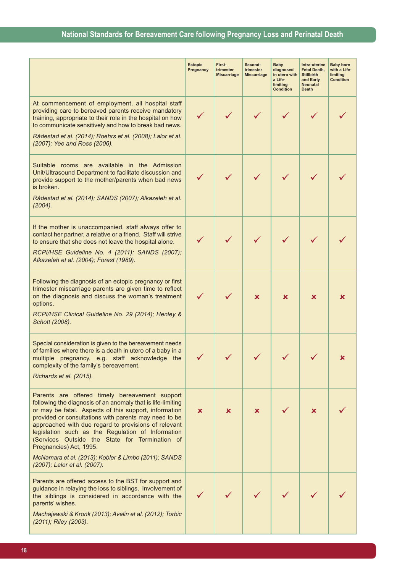|                                                                                                                                                                                                                                                                                                                                                                                                                           | Ectopic<br>Pregnancy | First-<br>trimester<br><b>Miscarriage</b> | Second-<br>trimester<br><b>Miscarriage</b> | <b>Baby</b><br>diagnosed<br>in utero with<br>a Life-<br>limiting<br><b>Condition</b> | Intra-uterine<br><b>Fetal Death,</b><br><b>Stillbirth</b><br>and Early<br><b>Neonatal</b><br><b>Death</b> | <b>Baby born</b><br>with a Life-<br>limiting<br><b>Condition</b> |
|---------------------------------------------------------------------------------------------------------------------------------------------------------------------------------------------------------------------------------------------------------------------------------------------------------------------------------------------------------------------------------------------------------------------------|----------------------|-------------------------------------------|--------------------------------------------|--------------------------------------------------------------------------------------|-----------------------------------------------------------------------------------------------------------|------------------------------------------------------------------|
| At commencement of employment, all hospital staff<br>providing care to bereaved parents receive mandatory<br>training, appropriate to their role in the hospital on how<br>to communicate sensitively and how to break bad news.                                                                                                                                                                                          | $\checkmark$         | ✓                                         |                                            |                                                                                      |                                                                                                           |                                                                  |
| Rådestad et al. (2014); Roehrs et al. (2008); Lalor et al.<br>(2007); Yee and Ross (2006).                                                                                                                                                                                                                                                                                                                                |                      |                                           |                                            |                                                                                      |                                                                                                           |                                                                  |
| Suitable rooms are available in the Admission<br>Unit/Ultrasound Department to facilitate discussion and<br>provide support to the mother/parents when bad news<br>is broken.                                                                                                                                                                                                                                             |                      |                                           |                                            |                                                                                      |                                                                                                           |                                                                  |
| Rådestad et al. (2014); SANDS (2007); Alkazeleh et al.<br>(2004).                                                                                                                                                                                                                                                                                                                                                         |                      |                                           |                                            |                                                                                      |                                                                                                           |                                                                  |
| If the mother is unaccompanied, staff always offer to<br>contact her partner, a relative or a friend. Staff will strive<br>to ensure that she does not leave the hospital alone.                                                                                                                                                                                                                                          |                      |                                           |                                            |                                                                                      |                                                                                                           |                                                                  |
| RCPI/HSE Guideline No. 4 (2011); SANDS (2007);<br>Alkazeleh et al. (2004); Forest (1989).                                                                                                                                                                                                                                                                                                                                 |                      |                                           |                                            |                                                                                      |                                                                                                           |                                                                  |
| Following the diagnosis of an ectopic pregnancy or first<br>trimester miscarriage parents are given time to reflect<br>on the diagnosis and discuss the woman's treatment<br>options.                                                                                                                                                                                                                                     |                      |                                           | ×                                          | x                                                                                    | ×                                                                                                         | x                                                                |
| RCPI/HSE Clinical Guideline No. 29 (2014); Henley &<br>Schott (2008).                                                                                                                                                                                                                                                                                                                                                     |                      |                                           |                                            |                                                                                      |                                                                                                           |                                                                  |
| Special consideration is given to the bereavement needs<br>of families where there is a death in utero of a baby in a<br>multiple pregnancy, e.g. staff acknowledge the<br>complexity of the family's bereavement.                                                                                                                                                                                                        |                      |                                           |                                            |                                                                                      |                                                                                                           |                                                                  |
| Richards et al. (2015).                                                                                                                                                                                                                                                                                                                                                                                                   |                      |                                           |                                            |                                                                                      |                                                                                                           |                                                                  |
| Parents are offered timely bereavement support<br>following the diagnosis of an anomaly that is life-limiting<br>or may be fatal. Aspects of this support, information<br>provided or consultations with parents may need to be<br>approached with due regard to provisions of relevant<br>legislation such as the Regulation of Information<br>(Services Outside the State for Termination of<br>Pregnancies) Act, 1995. | $\mathbf x$          | ×                                         | ×                                          |                                                                                      | x.                                                                                                        |                                                                  |
| McNamara et al. (2013); Kobler & Limbo (2011); SANDS<br>(2007); Lalor et al. (2007).                                                                                                                                                                                                                                                                                                                                      |                      |                                           |                                            |                                                                                      |                                                                                                           |                                                                  |
| Parents are offered access to the BST for support and<br>guidance in relaying the loss to siblings. Involvement of<br>the siblings is considered in accordance with the<br>parents' wishes.                                                                                                                                                                                                                               |                      |                                           |                                            |                                                                                      |                                                                                                           |                                                                  |
| Machajewski & Kronk (2013); Avelin et al. (2012); Torbic<br>(2011); Riley (2003).                                                                                                                                                                                                                                                                                                                                         |                      |                                           |                                            |                                                                                      |                                                                                                           |                                                                  |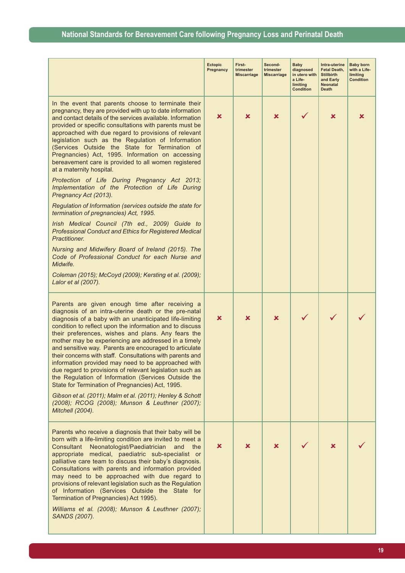|                                                                                                                                                                                                                                                                                                                                                                                                                                                                                                                                                                                                                                                                                                                                                                                                                                                                                                                                                                                                                                                                                                                               | <b>Ectopic</b><br>Pregnancy | First-<br>trimester<br><b>Miscarriage</b> | Second-<br>trimester<br><b>Miscarriage</b> | Baby<br>diagnosed<br>in utero with<br>a Life-<br>limiting<br><b>Condition</b> | Intra-uterine<br>Fetal Death,<br><b>Stillbirth</b><br>and Early<br>Neonatal<br><b>Death</b> | <b>Baby born</b><br>with a Life-<br>limiting<br><b>Condition</b> |
|-------------------------------------------------------------------------------------------------------------------------------------------------------------------------------------------------------------------------------------------------------------------------------------------------------------------------------------------------------------------------------------------------------------------------------------------------------------------------------------------------------------------------------------------------------------------------------------------------------------------------------------------------------------------------------------------------------------------------------------------------------------------------------------------------------------------------------------------------------------------------------------------------------------------------------------------------------------------------------------------------------------------------------------------------------------------------------------------------------------------------------|-----------------------------|-------------------------------------------|--------------------------------------------|-------------------------------------------------------------------------------|---------------------------------------------------------------------------------------------|------------------------------------------------------------------|
| In the event that parents choose to terminate their<br>pregnancy, they are provided with up to date information<br>and contact details of the services available. Information<br>provided or specific consultations with parents must be<br>approached with due regard to provisions of relevant<br>legislation such as the Regulation of Information<br>(Services Outside the State for Termination of<br>Pregnancies) Act, 1995. Information on accessing<br>bereavement care is provided to all women registered<br>at a maternity hospital.<br>Protection of Life During Pregnancy Act 2013;<br>Implementation of the Protection of Life During<br>Pregnancy Act (2013).<br>Regulation of Information (services outside the state for<br>termination of pregnancies) Act, 1995.<br>Irish Medical Council (7th ed., 2009) Guide to<br><b>Professional Conduct and Ethics for Registered Medical</b><br>Practitioner.<br>Nursing and Midwifery Board of Ireland (2015). The<br>Code of Professional Conduct for each Nurse and<br>Midwife.<br>Coleman (2015); McCoyd (2009); Kersting et al. (2009);<br>Lalor et al (2007). | ×                           | ×                                         | x                                          |                                                                               | ×                                                                                           | x                                                                |
| Parents are given enough time after receiving a<br>diagnosis of an intra-uterine death or the pre-natal<br>diagnosis of a baby with an unanticipated life-limiting<br>condition to reflect upon the information and to discuss<br>their preferences, wishes and plans. Any fears the<br>mother may be experiencing are addressed in a timely<br>and sensitive way. Parents are encouraged to articulate<br>their concerns with staff. Consultations with parents and<br>information provided may need to be approached with<br>due regard to provisions of relevant legislation such as<br>the Regulation of Information (Services Outside the<br>State for Termination of Pregnancies) Act, 1995.<br>Gibson et al. (2011); Malm et al. (2011); Henley & Schott<br>(2008); RCOG (2008); Munson & Leuthner (2007);<br>Mitchell (2004).                                                                                                                                                                                                                                                                                         | ×                           | ×                                         | ×                                          |                                                                               |                                                                                             |                                                                  |
| Parents who receive a diagnosis that their baby will be<br>born with a life-limiting condition are invited to meet a<br>Neonatologist/Paediatrician<br>Consultant<br>and<br>the<br>appropriate medical, paediatric sub-specialist or<br>palliative care team to discuss their baby's diagnosis.<br>Consultations with parents and information provided<br>may need to be approached with due regard to<br>provisions of relevant legislation such as the Regulation<br>of Information (Services Outside the State for<br>Termination of Pregnancies) Act 1995).<br>Williams et al. (2008); Munson & Leuthner (2007);<br>SANDS (2007).                                                                                                                                                                                                                                                                                                                                                                                                                                                                                         | ×                           | ×                                         | x                                          |                                                                               | ×                                                                                           |                                                                  |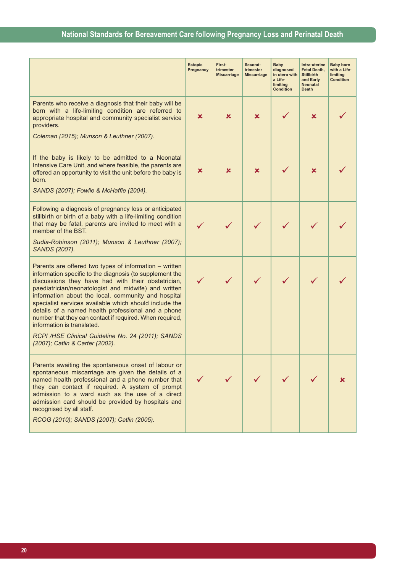|                                                                                                                                                                                                                                                                                                                                                                                                                                                                                                                                                                                           | <b>Ectopic</b><br>Pregnancy | First-<br>trimester<br><b>Miscarriage</b> | Second-<br>trimester<br><b>Miscarriage</b> | <b>Baby</b><br>diagnosed<br>in utero with<br>a Life-<br>limiting<br><b>Condition</b> | Intra-uterine<br><b>Fetal Death,</b><br><b>Stillbirth</b><br>and Early<br><b>Neonatal</b><br><b>Death</b> | <b>Baby born</b><br>with a Life-<br>limiting<br><b>Condition</b> |
|-------------------------------------------------------------------------------------------------------------------------------------------------------------------------------------------------------------------------------------------------------------------------------------------------------------------------------------------------------------------------------------------------------------------------------------------------------------------------------------------------------------------------------------------------------------------------------------------|-----------------------------|-------------------------------------------|--------------------------------------------|--------------------------------------------------------------------------------------|-----------------------------------------------------------------------------------------------------------|------------------------------------------------------------------|
| Parents who receive a diagnosis that their baby will be<br>born with a life-limiting condition are referred to<br>appropriate hospital and community specialist service<br>providers.<br>Coleman (2015); Munson & Leuthner (2007).                                                                                                                                                                                                                                                                                                                                                        | x                           | x                                         | x                                          |                                                                                      | ×                                                                                                         |                                                                  |
| If the baby is likely to be admitted to a Neonatal<br>Intensive Care Unit, and where feasible, the parents are<br>offered an opportunity to visit the unit before the baby is<br>born.<br>SANDS (2007); Fowlie & McHaffie (2004).                                                                                                                                                                                                                                                                                                                                                         | ×                           | x                                         | x                                          |                                                                                      | ×                                                                                                         |                                                                  |
| Following a diagnosis of pregnancy loss or anticipated<br>stillbirth or birth of a baby with a life-limiting condition<br>that may be fatal, parents are invited to meet with a<br>member of the BST.<br>Sudia-Robinson (2011); Munson & Leuthner (2007);<br>SANDS (2007).                                                                                                                                                                                                                                                                                                                |                             |                                           |                                            |                                                                                      |                                                                                                           |                                                                  |
| Parents are offered two types of information – written<br>information specific to the diagnosis (to supplement the<br>discussions they have had with their obstetrician,<br>paediatrician/neonatologist and midwife) and written<br>information about the local, community and hospital<br>specialist services available which should include the<br>details of a named health professional and a phone<br>number that they can contact if required. When required,<br>information is translated.<br>RCPI /HSE Clinical Guideline No. 24 (2011); SANDS<br>(2007); Catlin & Carter (2002). |                             |                                           |                                            |                                                                                      |                                                                                                           |                                                                  |
| Parents awaiting the spontaneous onset of labour or<br>spontaneous miscarriage are given the details of a<br>named health professional and a phone number that<br>they can contact if required. A system of prompt<br>admission to a ward such as the use of a direct<br>admission card should be provided by hospitals and<br>recognised by all staff.<br>RCOG (2010); SANDS (2007); Catlin (2005).                                                                                                                                                                                      |                             |                                           |                                            |                                                                                      |                                                                                                           |                                                                  |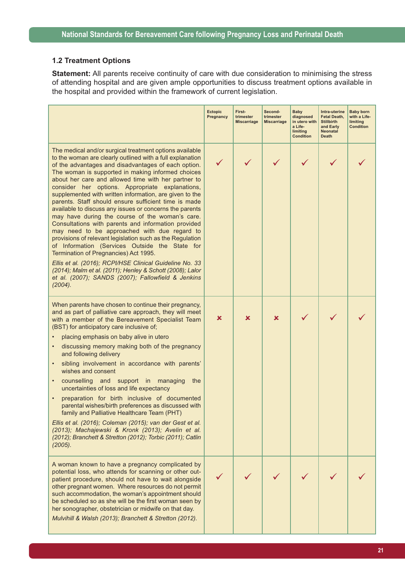#### **1.2 Treatment Options**

**Statement:** All parents receive continuity of care with due consideration to minimising the stress of attending hospital and are given ample opportunities to discuss treatment options available in the hospital and provided within the framework of current legislation.

|                                                                                                                                                                                                                                                                                                                                                                                                                                                                                                                                                                                                                                                                                                                                                                                                                                                                                                                                                                                                                                     | <b>Ectopic</b><br>Pregnancy | First-<br>trimester<br><b>Miscarriage</b> | Second-<br>trimester<br><b>Miscarriage</b> | <b>Baby</b><br>diagnosed<br>in utero with<br>a Life-<br>limiting<br><b>Condition</b> | Intra-uterine<br>Fetal Death,<br><b>Stillbirth</b><br>and Early<br><b>Neonatal</b><br><b>Death</b> | <b>Baby born</b><br>with a Life-<br>limiting<br><b>Condition</b> |
|-------------------------------------------------------------------------------------------------------------------------------------------------------------------------------------------------------------------------------------------------------------------------------------------------------------------------------------------------------------------------------------------------------------------------------------------------------------------------------------------------------------------------------------------------------------------------------------------------------------------------------------------------------------------------------------------------------------------------------------------------------------------------------------------------------------------------------------------------------------------------------------------------------------------------------------------------------------------------------------------------------------------------------------|-----------------------------|-------------------------------------------|--------------------------------------------|--------------------------------------------------------------------------------------|----------------------------------------------------------------------------------------------------|------------------------------------------------------------------|
| The medical and/or surgical treatment options available<br>to the woman are clearly outlined with a full explanation<br>of the advantages and disadvantages of each option.<br>The woman is supported in making informed choices<br>about her care and allowed time with her partner to<br>consider her options. Appropriate explanations,<br>supplemented with written information, are given to the<br>parents. Staff should ensure sufficient time is made<br>available to discuss any issues or concerns the parents<br>may have during the course of the woman's care.<br>Consultations with parents and information provided<br>may need to be approached with due regard to<br>provisions of relevant legislation such as the Regulation<br>of Information (Services Outside the State for<br>Termination of Pregnancies) Act 1995.<br>Ellis et al. (2016); RCPI/HSE Clinical Guideline No. 33<br>(2014); Malm et al. (2011); Henley & Schott (2008); Lalor<br>et al. (2007); SANDS (2007); Fallowfield & Jenkins<br>(2004). |                             |                                           |                                            |                                                                                      |                                                                                                    |                                                                  |
| When parents have chosen to continue their pregnancy,<br>and as part of palliative care approach, they will meet<br>with a member of the Bereavement Specialist Team<br>(BST) for anticipatory care inclusive of;<br>placing emphasis on baby alive in utero<br>discussing memory making both of the pregnancy<br>and following delivery<br>sibling involvement in accordance with parents'<br>$\bullet$<br>wishes and consent<br>counselling and support in managing<br>the<br>uncertainties of loss and life expectancy<br>preparation for birth inclusive of documented<br>parental wishes/birth preferences as discussed with<br>family and Palliative Healthcare Team (PHT)<br>Ellis et al. (2016); Coleman (2015); van der Gest et al.<br>(2013); Machajewski & Kronk (2013); Avelin et al.<br>(2012); Branchett & Stretton (2012); Torbic (2011); Catlin<br>(2005).                                                                                                                                                          | ×                           | x                                         | x                                          |                                                                                      |                                                                                                    |                                                                  |
| A woman known to have a pregnancy complicated by<br>potential loss, who attends for scanning or other out-<br>patient procedure, should not have to wait alongside<br>other pregnant women. Where resources do not permit<br>such accommodation, the woman's appointment should<br>be scheduled so as she will be the first woman seen by<br>her sonographer, obstetrician or midwife on that day.<br>Mulvihill & Walsh (2013); Branchett & Stretton (2012).                                                                                                                                                                                                                                                                                                                                                                                                                                                                                                                                                                        |                             |                                           |                                            |                                                                                      |                                                                                                    |                                                                  |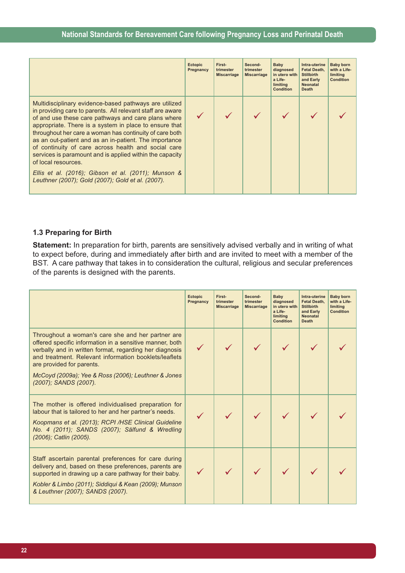|                                                                                                                                                                                                                                                                                                                                                                                                                                                                                                                                                                                                                  | <b>Ectopic</b><br>Pregnancy | First-<br>trimester<br><b>Miscarriage</b> | Second-<br>trimester<br><b>Miscarriage</b> | Baby<br>diagnosed<br>in utero with<br>a Life-<br>limiting<br>Condition | Intra-uterine<br><b>Fetal Death.</b><br><b>Stillbirth</b><br>and Early<br><b>Neonatal</b><br><b>Death</b> | <b>Baby born</b><br>with a Life-<br>limiting<br>Condition |
|------------------------------------------------------------------------------------------------------------------------------------------------------------------------------------------------------------------------------------------------------------------------------------------------------------------------------------------------------------------------------------------------------------------------------------------------------------------------------------------------------------------------------------------------------------------------------------------------------------------|-----------------------------|-------------------------------------------|--------------------------------------------|------------------------------------------------------------------------|-----------------------------------------------------------------------------------------------------------|-----------------------------------------------------------|
| Multidisciplinary evidence-based pathways are utilized<br>in providing care to parents. All relevant staff are aware<br>of and use these care pathways and care plans where<br>appropriate. There is a system in place to ensure that<br>throughout her care a woman has continuity of care both<br>as an out-patient and as an in-patient. The importance<br>of continuity of care across health and social care<br>services is paramount and is applied within the capacity<br>of local resources.<br>Ellis et al. (2016); Gibson et al. (2011); Munson &<br>Leuthner (2007); Gold (2007); Gold et al. (2007). |                             |                                           |                                            |                                                                        |                                                                                                           |                                                           |

#### **1.3 Preparing for Birth**

**Statement:** In preparation for birth, parents are sensitively advised verbally and in writing of what to expect before, during and immediately after birth and are invited to meet with a member of the BST. A care pathway that takes in to consideration the cultural, religious and secular preferences of the parents is designed with the parents.

|                                                                                                                                                                                                                                                                      | <b>Ectopic</b><br>Pregnancy | First-<br>trimester<br><b>Miscarriage</b> | Second-<br>trimester<br><b>Miscarriage</b> | Baby<br>diagnosed<br>in utero with<br>a Life-<br>limiting<br><b>Condition</b> | Intra-uterine<br><b>Fetal Death.</b><br><b>Stillbirth</b><br>and Early<br><b>Neonatal</b><br><b>Death</b> | <b>Baby born</b><br>with a Life-<br>limiting<br><b>Condition</b> |
|----------------------------------------------------------------------------------------------------------------------------------------------------------------------------------------------------------------------------------------------------------------------|-----------------------------|-------------------------------------------|--------------------------------------------|-------------------------------------------------------------------------------|-----------------------------------------------------------------------------------------------------------|------------------------------------------------------------------|
| Throughout a woman's care she and her partner are<br>offered specific information in a sensitive manner, both<br>verbally and in written format, regarding her diagnosis<br>and treatment. Relevant information booklets/leaflets<br>are provided for parents.       |                             |                                           |                                            |                                                                               |                                                                                                           |                                                                  |
| McCoyd (2009a); Yee & Ross (2006); Leuthner & Jones<br>(2007); SANDS (2007).                                                                                                                                                                                         |                             |                                           |                                            |                                                                               |                                                                                                           |                                                                  |
| The mother is offered individualised preparation for<br>labour that is tailored to her and her partner's needs.<br>Koopmans et al. (2013); RCPI /HSE Clinical Guideline<br>No. 4 (2011); SANDS (2007); Sälfund & Wredling<br>(2006); Catlin (2005).                  |                             |                                           |                                            |                                                                               |                                                                                                           |                                                                  |
| Staff ascertain parental preferences for care during<br>delivery and, based on these preferences, parents are<br>supported in drawing up a care pathway for their baby.<br>Kobler & Limbo (2011); Siddiqui & Kean (2009); Munson<br>& Leuthner (2007); SANDS (2007). |                             |                                           |                                            |                                                                               |                                                                                                           |                                                                  |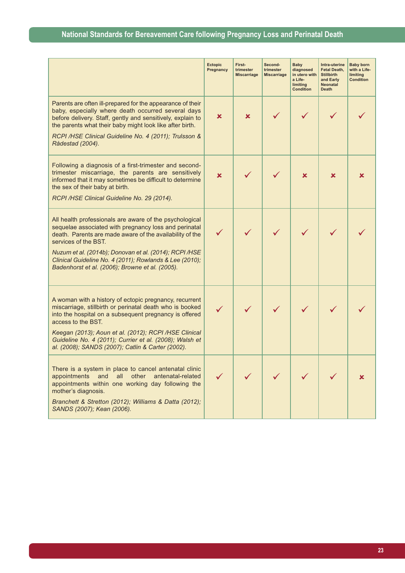|                                                                                                                                                                                                                                                                                                                                                                             | <b>Ectopic</b><br>Pregnancy | First-<br>trimester<br><b>Miscarriage</b> | Second-<br>trimester<br><b>Miscarriage</b> | Baby<br>diagnosed<br>in utero with<br>a Life-<br>limiting<br><b>Condition</b> | Intra-uterine<br>Fetal Death,<br><b>Stillbirth</b><br>and Early<br><b>Neonatal</b><br><b>Death</b> | <b>Baby born</b><br>with a Life-<br>limiting<br><b>Condition</b> |
|-----------------------------------------------------------------------------------------------------------------------------------------------------------------------------------------------------------------------------------------------------------------------------------------------------------------------------------------------------------------------------|-----------------------------|-------------------------------------------|--------------------------------------------|-------------------------------------------------------------------------------|----------------------------------------------------------------------------------------------------|------------------------------------------------------------------|
| Parents are often ill-prepared for the appearance of their<br>baby, especially where death occurred several days<br>before delivery. Staff, gently and sensitively, explain to<br>the parents what their baby might look like after birth.<br>RCPI /HSE Clinical Guideline No. 4 (2011); Trulsson &<br>Rådestad (2004).                                                     | x                           | x                                         |                                            |                                                                               |                                                                                                    |                                                                  |
| Following a diagnosis of a first-trimester and second-<br>trimester miscarriage, the parents are sensitively<br>informed that it may sometimes be difficult to determine<br>the sex of their baby at birth.<br>RCPI /HSE Clinical Guideline No. 29 (2014).                                                                                                                  | $\mathbf x$                 |                                           |                                            | ×                                                                             | x                                                                                                  | x                                                                |
| All health professionals are aware of the psychological<br>sequelae associated with pregnancy loss and perinatal<br>death. Parents are made aware of the availability of the<br>services of the BST.<br>Nuzum et al. (2014b); Donovan et al. (2014); RCPI/HSE<br>Clinical Guideline No. 4 (2011); Rowlands & Lee (2010);<br>Badenhorst et al. (2006); Browne et al. (2005). |                             |                                           |                                            |                                                                               |                                                                                                    |                                                                  |
| A woman with a history of ectopic pregnancy, recurrent<br>miscarriage, stillbirth or perinatal death who is booked<br>into the hospital on a subsequent pregnancy is offered<br>access to the BST.<br>Keegan (2013); Aoun et al. (2012); RCPI /HSE Clinical<br>Guideline No. 4 (2011); Currier et al. (2008); Walsh et<br>al. (2008); SANDS (2007); Catlin & Carter (2002). | $\checkmark$                |                                           |                                            |                                                                               |                                                                                                    |                                                                  |
| There is a system in place to cancel antenatal clinic<br>appointments<br>and<br>other<br>antenatal-related<br>all<br>appointments within one working day following the<br>mother's diagnosis.<br>Branchett & Stretton (2012); Williams & Datta (2012);<br>SANDS (2007); Kean (2006).                                                                                        |                             |                                           |                                            |                                                                               |                                                                                                    |                                                                  |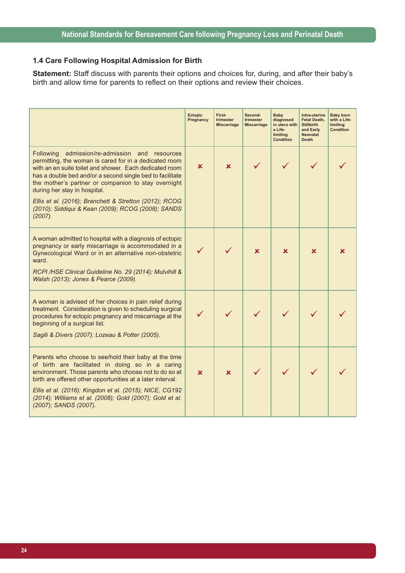#### **1.4 Care Following Hospital Admission for Birth**

**Statement:** Staff discuss with parents their options and choices for, during, and after their baby's birth and allow time for parents to reflect on their options and review their choices.

|                                                                                                                                                                                                                                                                                                                                                                                  | <b>Ectopic</b><br>Pregnancy | First-<br>trimester<br><b>Miscarriage</b> | Second-<br>trimester<br><b>Miscarriage</b> | <b>Baby</b><br>diagnosed<br>in utero with<br>a Life-<br>limiting<br><b>Condition</b> | Intra-uterine<br><b>Fetal Death,</b><br><b>Stillbirth</b><br>and Early<br><b>Neonatal</b><br><b>Death</b> | <b>Baby born</b><br>with a Life-<br>limiting<br><b>Condition</b> |
|----------------------------------------------------------------------------------------------------------------------------------------------------------------------------------------------------------------------------------------------------------------------------------------------------------------------------------------------------------------------------------|-----------------------------|-------------------------------------------|--------------------------------------------|--------------------------------------------------------------------------------------|-----------------------------------------------------------------------------------------------------------|------------------------------------------------------------------|
| Following<br>admission/re-admission and resources<br>permitting, the woman is cared for in a dedicated room<br>with an en suite toilet and shower. Each dedicated room<br>has a double bed and/or a second single bed to facilitate<br>the mother's partner or companion to stay overnight<br>during her stay in hospital.                                                       | x                           | ×                                         |                                            |                                                                                      |                                                                                                           |                                                                  |
| Ellis et al. (2016); Branchett & Stretton (2012); RCOG<br>(2010); Siddiqui & Kean (2009); RCOG (2008); SANDS<br>(2007).                                                                                                                                                                                                                                                          |                             |                                           |                                            |                                                                                      |                                                                                                           |                                                                  |
| A woman admitted to hospital with a diagnosis of ectopic<br>pregnancy or early miscarriage is accommodated in a<br>Gynecological Ward or in an alternative non-obstetric<br>ward.<br>RCPI /HSE Clinical Guideline No. 29 (2014); Mulvihill &<br>Walsh (2013); Jones & Pearce (2009).                                                                                             |                             |                                           | x                                          | x                                                                                    | x                                                                                                         |                                                                  |
| A woman is advised of her choices in pain relief during<br>treatment. Consideration is given to scheduling surgical<br>procedures for ectopic pregnancy and miscarriage at the<br>beginning of a surgical list.<br>Sagili & Divers (2007); Lozeau & Potter (2005).                                                                                                               |                             |                                           |                                            |                                                                                      |                                                                                                           |                                                                  |
| Parents who choose to see/hold their baby at the time<br>of birth are facilitated in doing so in a caring<br>environment. Those parents who choose not to do so at<br>birth are offered other opportunities at a later interval.<br>Ellis et al. (2016); Kingdon et al. (2015); NICE, CG192<br>(2014); Williams et al. (2008); Gold (2007); Gold et al.<br>(2007); SANDS (2007). | $\mathbf x$                 | $\mathbf x$                               |                                            |                                                                                      |                                                                                                           |                                                                  |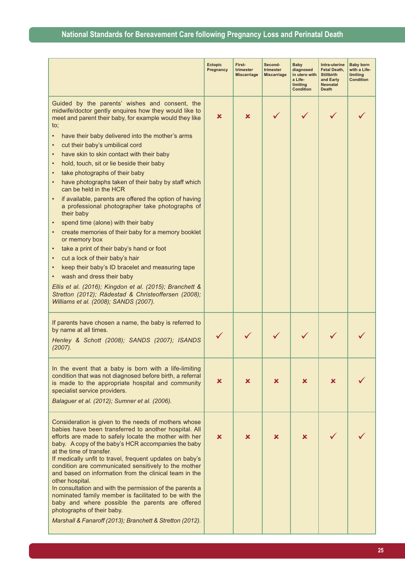|                                                                                                                                                                                                                                                                                                                                                                                                                                                                                                                                                                                                                                                                                                                              | <b>Ectopic</b><br>Pregnancy | First-<br>trimester<br><b>Miscarriage</b> | Second-<br>trimester<br><b>Miscarriage</b> | <b>Baby</b><br>diagnosed<br>in utero with<br>a Life-<br>limiting<br><b>Condition</b> | Intra-uterine<br><b>Fetal Death,</b><br><b>Stillbirth</b><br>and Early<br><b>Neonatal</b><br><b>Death</b> | <b>Baby born</b><br>with a Life-<br>limiting<br><b>Condition</b> |
|------------------------------------------------------------------------------------------------------------------------------------------------------------------------------------------------------------------------------------------------------------------------------------------------------------------------------------------------------------------------------------------------------------------------------------------------------------------------------------------------------------------------------------------------------------------------------------------------------------------------------------------------------------------------------------------------------------------------------|-----------------------------|-------------------------------------------|--------------------------------------------|--------------------------------------------------------------------------------------|-----------------------------------------------------------------------------------------------------------|------------------------------------------------------------------|
| Guided by the parents' wishes and consent, the<br>midwife/doctor gently enquires how they would like to<br>meet and parent their baby, for example would they like<br>$\mathsf{to}$ ;<br>have their baby delivered into the mother's arms<br>$\bullet$<br>cut their baby's umbilical cord<br>have skin to skin contact with their baby<br>$\bullet$<br>hold, touch, sit or lie beside their baby<br>$\bullet$<br>take photographs of their baby                                                                                                                                                                                                                                                                              | x                           | ×                                         |                                            |                                                                                      |                                                                                                           |                                                                  |
| have photographs taken of their baby by staff which<br>can be held in the HCR<br>if available, parents are offered the option of having<br>a professional photographer take photographs of<br>their baby<br>spend time (alone) with their baby<br>create memories of their baby for a memory booklet<br>or memory box<br>take a print of their baby's hand or foot<br>cut a lock of their baby's hair<br>keep their baby's ID bracelet and measuring tape<br>wash and dress their baby<br>Ellis et al. (2016); Kingdon et al. (2015); Branchett &<br>Stretton (2012); Rådestad & Christeoffersen (2008);<br>Williams et al. (2008); SANDS (2007).                                                                            |                             |                                           |                                            |                                                                                      |                                                                                                           |                                                                  |
| If parents have chosen a name, the baby is referred to<br>by name at all times.<br>Henley & Schott (2008); SANDS (2007); ISANDS<br>(2007).                                                                                                                                                                                                                                                                                                                                                                                                                                                                                                                                                                                   |                             |                                           |                                            |                                                                                      |                                                                                                           |                                                                  |
| In the event that a baby is born with a life-limiting<br>condition that was not diagnosed before birth, a referral<br>is made to the appropriate hospital and community<br>specialist service providers.<br>Balaguer et al. (2012); Sumner et al. (2006).                                                                                                                                                                                                                                                                                                                                                                                                                                                                    | ×                           | x                                         | x                                          | ×                                                                                    | x.                                                                                                        |                                                                  |
| Consideration is given to the needs of mothers whose<br>babies have been transferred to another hospital. All<br>efforts are made to safely locate the mother with her<br>baby. A copy of the baby's HCR accompanies the baby<br>at the time of transfer.<br>If medically unfit to travel, frequent updates on baby's<br>condition are communicated sensitively to the mother<br>and based on information from the clinical team in the<br>other hospital.<br>In consultation and with the permission of the parents a<br>nominated family member is facilitated to be with the<br>baby and where possible the parents are offered<br>photographs of their baby.<br>Marshall & Fanaroff (2013); Branchett & Stretton (2012). | ×                           | ×                                         | x                                          | x                                                                                    |                                                                                                           |                                                                  |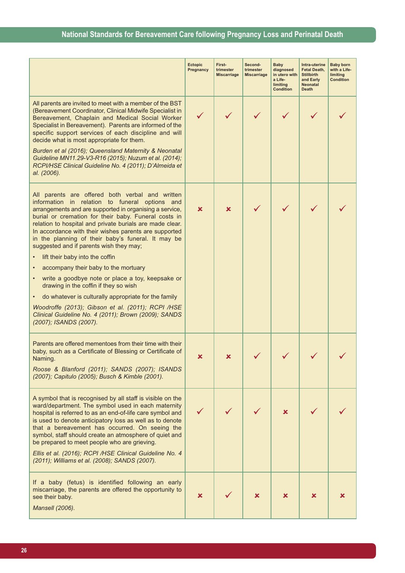|                                                                                                                                                                                                                                                                                                                                                                                                                                                                                                                     | <b>Ectopic</b><br>Pregnancy | First-<br>trimester<br><b>Miscarriage</b> | Second-<br>trimester<br><b>Miscarriage</b> | <b>Baby</b><br>diagnosed<br>in utero with<br>a Life-<br>limiting<br><b>Condition</b> | Intra-uterine<br>Fetal Death,<br><b>Stillbirth</b><br>and Early<br>Neonatal<br><b>Death</b> | <b>Baby born</b><br>with a Life-<br>limiting<br><b>Condition</b> |
|---------------------------------------------------------------------------------------------------------------------------------------------------------------------------------------------------------------------------------------------------------------------------------------------------------------------------------------------------------------------------------------------------------------------------------------------------------------------------------------------------------------------|-----------------------------|-------------------------------------------|--------------------------------------------|--------------------------------------------------------------------------------------|---------------------------------------------------------------------------------------------|------------------------------------------------------------------|
| All parents are invited to meet with a member of the BST<br>(Bereavement Coordinator, Clinical Midwife Specialist in<br>Bereavement, Chaplain and Medical Social Worker<br>Specialist in Bereavement). Parents are informed of the<br>specific support services of each discipline and will<br>decide what is most appropriate for them.<br>Burden et al (2016); Queensland Maternity & Neonatal<br>Guideline MN11.29-V3-R16 (2015); Nuzum et al. (2014);<br>RCPI/HSE Clinical Guideline No. 4 (2011); D'Almeida et | ✓                           |                                           |                                            |                                                                                      |                                                                                             |                                                                  |
| al. (2006).                                                                                                                                                                                                                                                                                                                                                                                                                                                                                                         |                             |                                           |                                            |                                                                                      |                                                                                             |                                                                  |
| All parents are offered both verbal and written<br>information in relation to funeral options and<br>arrangements and are supported in organising a service,<br>burial or cremation for their baby. Funeral costs in<br>relation to hospital and private burials are made clear.<br>In accordance with their wishes parents are supported<br>in the planning of their baby's funeral. It may be<br>suggested and if parents wish they may;                                                                          | $\mathbf x$                 | ×                                         |                                            |                                                                                      |                                                                                             |                                                                  |
| lift their baby into the coffin                                                                                                                                                                                                                                                                                                                                                                                                                                                                                     |                             |                                           |                                            |                                                                                      |                                                                                             |                                                                  |
| accompany their baby to the mortuary                                                                                                                                                                                                                                                                                                                                                                                                                                                                                |                             |                                           |                                            |                                                                                      |                                                                                             |                                                                  |
| write a goodbye note or place a toy, keepsake or<br>٠<br>drawing in the coffin if they so wish                                                                                                                                                                                                                                                                                                                                                                                                                      |                             |                                           |                                            |                                                                                      |                                                                                             |                                                                  |
| do whatever is culturally appropriate for the family                                                                                                                                                                                                                                                                                                                                                                                                                                                                |                             |                                           |                                            |                                                                                      |                                                                                             |                                                                  |
| Woodroffe (2013); Gibson et al. (2011); RCPI /HSE<br>Clinical Guideline No. 4 (2011); Brown (2009); SANDS<br>(2007); ISANDS (2007).                                                                                                                                                                                                                                                                                                                                                                                 |                             |                                           |                                            |                                                                                      |                                                                                             |                                                                  |
| Parents are offered mementoes from their time with their<br>baby, such as a Certificate of Blessing or Certificate of<br>Naming.<br>Roose & Blanford (2011); SANDS (2007); ISANDS                                                                                                                                                                                                                                                                                                                                   | x                           | x                                         |                                            |                                                                                      |                                                                                             |                                                                  |
| (2007); Capitulo (2005); Busch & Kimble (2001).                                                                                                                                                                                                                                                                                                                                                                                                                                                                     |                             |                                           |                                            |                                                                                      |                                                                                             |                                                                  |
| A symbol that is recognised by all staff is visible on the<br>ward/department. The symbol used in each maternity<br>hospital is referred to as an end-of-life care symbol and<br>is used to denote anticipatory loss as well as to denote<br>that a bereavement has occurred. On seeing the<br>symbol, staff should create an atmosphere of quiet and<br>be prepared to meet people who are grieving.                                                                                                               |                             |                                           |                                            | x                                                                                    |                                                                                             |                                                                  |
| Ellis et al. (2016); RCPI /HSE Clinical Guideline No. 4<br>(2011); Williams et al. (2008); SANDS (2007).                                                                                                                                                                                                                                                                                                                                                                                                            |                             |                                           |                                            |                                                                                      |                                                                                             |                                                                  |
| If a baby (fetus) is identified following an early<br>miscarriage, the parents are offered the opportunity to<br>see their baby.<br>Mansell (2006).                                                                                                                                                                                                                                                                                                                                                                 | ×                           |                                           | x                                          | x                                                                                    | x                                                                                           |                                                                  |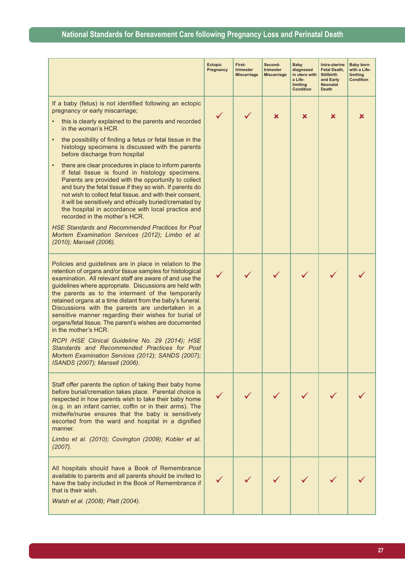|                                                                                                                                                                                                                                                                                                                                                                                                                                                                                                                                                                                                                                                                                                                                                                                                                                                                                                                                                    | <b>Ectopic</b><br>Pregnancy | First-<br>trimester<br><b>Miscarriage</b> | Second-<br>trimester<br><b>Miscarriage</b> | <b>Baby</b><br>diagnosed<br>in utero with<br>a Life-<br>limiting<br><b>Condition</b> | Intra-uterine<br>Fetal Death,<br><b>Stillbirth</b><br>and Early<br><b>Neonatal</b><br><b>Death</b> | <b>Baby born</b><br>with a Life-<br>limiting<br><b>Condition</b> |
|----------------------------------------------------------------------------------------------------------------------------------------------------------------------------------------------------------------------------------------------------------------------------------------------------------------------------------------------------------------------------------------------------------------------------------------------------------------------------------------------------------------------------------------------------------------------------------------------------------------------------------------------------------------------------------------------------------------------------------------------------------------------------------------------------------------------------------------------------------------------------------------------------------------------------------------------------|-----------------------------|-------------------------------------------|--------------------------------------------|--------------------------------------------------------------------------------------|----------------------------------------------------------------------------------------------------|------------------------------------------------------------------|
| If a baby (fetus) is not identified following an ectopic<br>pregnancy or early miscarriage;<br>this is clearly explained to the parents and recorded<br>in the woman's HCR<br>the possibility of finding a fetus or fetal tissue in the<br>$\bullet$<br>histology specimens is discussed with the parents<br>before discharge from hospital<br>there are clear procedures in place to inform parents<br>$\bullet$<br>if fetal tissue is found in histology specimens.<br>Parents are provided with the opportunity to collect<br>and bury the fetal tissue if they so wish. If parents do<br>not wish to collect fetal tissue, and with their consent,<br>it will be sensitively and ethically buried/cremated by<br>the hospital in accordance with local practice and<br>recorded in the mother's HCR.<br><b>HSE Standards and Recommended Practices for Post</b><br>Mortem Examination Services (2012); Limbo et al.<br>(2010); Mansell (2006). |                             |                                           | x                                          | x                                                                                    | ×                                                                                                  | x                                                                |
| Policies and guidelines are in place in relation to the<br>retention of organs and/or tissue samples for histological<br>examination. All relevant staff are aware of and use the<br>guidelines where appropriate. Discussions are held with<br>the parents as to the interment of the temporarily<br>retained organs at a time distant from the baby's funeral.<br>Discussions with the parents are undertaken in a<br>sensitive manner regarding their wishes for burial of<br>organs/fetal tissue. The parent's wishes are documented<br>in the mother's HCR.<br>RCPI /HSE Clinical Guideline No. 29 (2014); HSE<br>Standards and Recommended Practices for Post<br>Mortem Examination Services (2012); SANDS (2007);<br>ISANDS (2007); Mansell (2006).                                                                                                                                                                                         |                             |                                           |                                            |                                                                                      |                                                                                                    |                                                                  |
| Staff offer parents the option of taking their baby home<br>before burial/cremation takes place. Parental choice is<br>respected in how parents wish to take their baby home<br>(e.g. in an infant carrier, coffin or in their arms). The<br>midwife/nurse ensures that the baby is sensitively<br>escorted from the ward and hospital in a dignified<br>manner.<br>Limbo et al. (2010); Covington (2009); Kobler et al.<br>(2007).                                                                                                                                                                                                                                                                                                                                                                                                                                                                                                                |                             |                                           |                                            |                                                                                      |                                                                                                    |                                                                  |
| All hospitals should have a Book of Remembrance<br>available to parents and all parents should be invited to<br>have the baby included in the Book of Remembrance if<br>that is their wish.<br>Walsh et al. (2008); Platt (2004).                                                                                                                                                                                                                                                                                                                                                                                                                                                                                                                                                                                                                                                                                                                  |                             |                                           |                                            |                                                                                      |                                                                                                    |                                                                  |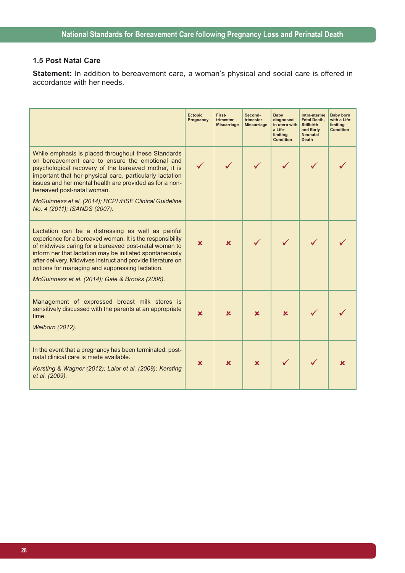## **1.5 Post Natal Care**

**Statement:** In addition to bereavement care, a woman's physical and social care is offered in accordance with her needs.

|                                                                                                                                                                                                                                                                                                                                                                                                          | <b>Ectopic</b><br>Pregnancy | First-<br>trimester<br><b>Miscarriage</b> | Second-<br>trimester<br><b>Miscarriage</b> | Baby<br>diagnosed<br>in utero with<br>a Life-<br>limiting<br><b>Condition</b> | Intra-uterine<br>Fetal Death,<br><b>Stillbirth</b><br>and Early<br><b>Neonatal</b><br><b>Death</b> | <b>Baby born</b><br>with a Life-<br>limiting<br><b>Condition</b> |
|----------------------------------------------------------------------------------------------------------------------------------------------------------------------------------------------------------------------------------------------------------------------------------------------------------------------------------------------------------------------------------------------------------|-----------------------------|-------------------------------------------|--------------------------------------------|-------------------------------------------------------------------------------|----------------------------------------------------------------------------------------------------|------------------------------------------------------------------|
| While emphasis is placed throughout these Standards<br>on bereavement care to ensure the emotional and<br>psychological recovery of the bereaved mother, it is<br>important that her physical care, particularly lactation<br>issues and her mental health are provided as for a non-<br>bereaved post-natal woman.                                                                                      |                             |                                           |                                            |                                                                               |                                                                                                    |                                                                  |
| McGuinness et al. (2014); RCPI/HSE Clinical Guideline<br>No. 4 (2011); ISANDS (2007).                                                                                                                                                                                                                                                                                                                    |                             |                                           |                                            |                                                                               |                                                                                                    |                                                                  |
| Lactation can be a distressing as well as painful<br>experience for a bereaved woman. It is the responsibility<br>of midwives caring for a bereaved post-natal woman to<br>inform her that lactation may be initiated spontaneously<br>after delivery. Midwives instruct and provide literature on<br>options for managing and suppressing lactation.<br>McGuinness et al. (2014); Gale & Brooks (2006). | ×                           | $\mathbf x$                               |                                            |                                                                               |                                                                                                    |                                                                  |
| Management of expressed breast milk stores is<br>sensitively discussed with the parents at an appropriate<br>time.<br>Welborn (2012).                                                                                                                                                                                                                                                                    | ×                           | $\mathbf x$                               | $\mathbf x$                                | $\mathbf x$                                                                   |                                                                                                    |                                                                  |
| In the event that a pregnancy has been terminated, post-<br>natal clinical care is made available.<br>Kersting & Wagner (2012); Lalor et al. (2009); Kersting<br>et al. (2009).                                                                                                                                                                                                                          | x                           | $\overline{\mathbf{x}}$                   | ×                                          |                                                                               |                                                                                                    |                                                                  |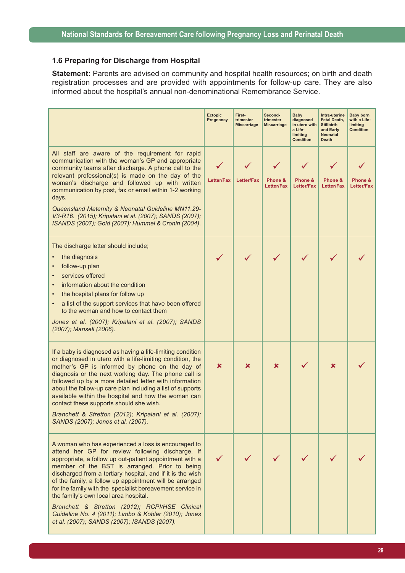#### **1.6 Preparing for Discharge from Hospital**

**Statement:** Parents are advised on community and hospital health resources; on birth and death registration processes and are provided with appointments for follow-up care. They are also informed about the hospital's annual non-denominational Remembrance Service.

|                                                                                                                                                                                                                                                                                                                                                                                                                                                                                                                                                                                                             | <b>Ectopic</b><br>Pregnancy | First-<br>trimester<br><b>Miscarriage</b> | Second-<br>trimester<br><b>Miscarriage</b> | Baby<br>diagnosed<br>in utero with<br>a Life-<br>limiting<br><b>Condition</b> | Intra-uterine<br>Fetal Death,<br><b>Stillbirth</b><br>and Early<br><b>Neonatal</b><br><b>Death</b> | <b>Baby born</b><br>with a Life-<br>limiting<br><b>Condition</b> |
|-------------------------------------------------------------------------------------------------------------------------------------------------------------------------------------------------------------------------------------------------------------------------------------------------------------------------------------------------------------------------------------------------------------------------------------------------------------------------------------------------------------------------------------------------------------------------------------------------------------|-----------------------------|-------------------------------------------|--------------------------------------------|-------------------------------------------------------------------------------|----------------------------------------------------------------------------------------------------|------------------------------------------------------------------|
| All staff are aware of the requirement for rapid<br>communication with the woman's GP and appropriate<br>community teams after discharge. A phone call to the<br>relevant professional(s) is made on the day of the<br>woman's discharge and followed up with written<br>communication by post, fax or email within 1-2 working<br>days.<br>Queensland Maternity & Neonatal Guideline MN11.29-<br>V3-R16. (2015); Kripalani et al. (2007); SANDS (2007);<br>ISANDS (2007); Gold (2007); Hummel & Cronin (2004).                                                                                             | Letter/Fax                  | <b>Letter/Fax</b>                         | Phone &<br><b>Letter/Fax</b>               | Phone &<br><b>Letter/Fax</b>                                                  | Phone &<br><b>Letter/Fax</b>                                                                       | Phone &<br><b>Letter/Fax</b>                                     |
| The discharge letter should include;<br>the diagnosis<br>follow-up plan<br>services offered<br>information about the condition<br>the hospital plans for follow up<br>a list of the support services that have been offered<br>to the woman and how to contact them<br>Jones et al. (2007); Kripalani et al. (2007); SANDS<br>(2007); Mansell (2006).                                                                                                                                                                                                                                                       |                             |                                           |                                            |                                                                               |                                                                                                    |                                                                  |
| If a baby is diagnosed as having a life-limiting condition<br>or diagnosed in utero with a life-limiting condition, the<br>mother's GP is informed by phone on the day of<br>diagnosis or the next working day. The phone call is<br>followed up by a more detailed letter with information<br>about the follow-up care plan including a list of supports<br>available within the hospital and how the woman can<br>contact these supports should she wish.<br>Branchett & Stretton (2012); Kripalani et al. (2007);<br>SANDS (2007); Jones et al. (2007).                                                  | ×                           | x                                         | x                                          |                                                                               | x                                                                                                  |                                                                  |
| A woman who has experienced a loss is encouraged to<br>attend her GP for review following discharge. If<br>appropriate, a follow up out-patient appointment with a<br>member of the BST is arranged. Prior to being<br>discharged from a tertiary hospital, and if it is the wish<br>of the family, a follow up appointment will be arranged<br>for the family with the specialist bereavement service in<br>the family's own local area hospital.<br>Branchett & Stretton (2012); RCPI/HSE Clinical<br>Guideline No. 4 (2011); Limbo & Kobler (2010); Jones<br>et al. (2007); SANDS (2007); ISANDS (2007). |                             |                                           |                                            |                                                                               |                                                                                                    |                                                                  |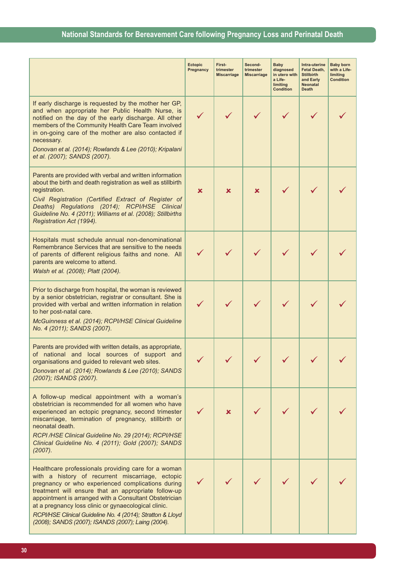|                                                                                                                                                                                                                                                                                                                                                                                                                                                           | <b>Ectopic</b><br>Pregnancy | First-<br>trimester<br><b>Miscarriage</b> | Second-<br>trimester<br><b>Miscarriage</b> | <b>Baby</b><br>diagnosed<br>in utero with<br>a Life-<br>limiting<br><b>Condition</b> | Intra-uterine<br>Fetal Death,<br><b>Stillbirth</b><br>and Early<br><b>Neonatal</b><br><b>Death</b> | <b>Baby born</b><br>with a Life-<br>limiting<br><b>Condition</b> |
|-----------------------------------------------------------------------------------------------------------------------------------------------------------------------------------------------------------------------------------------------------------------------------------------------------------------------------------------------------------------------------------------------------------------------------------------------------------|-----------------------------|-------------------------------------------|--------------------------------------------|--------------------------------------------------------------------------------------|----------------------------------------------------------------------------------------------------|------------------------------------------------------------------|
| If early discharge is requested by the mother her GP,<br>and when appropriate her Public Health Nurse, is<br>notified on the day of the early discharge. All other<br>members of the Community Health Care Team involved<br>in on-going care of the mother are also contacted if<br>necessary.<br>Donovan et al. (2014); Rowlands & Lee (2010); Kripalani<br>et al. (2007); SANDS (2007).                                                                 | $\checkmark$                |                                           |                                            |                                                                                      |                                                                                                    |                                                                  |
| Parents are provided with verbal and written information<br>about the birth and death registration as well as stillbirth<br>registration.<br>Civil Registration (Certified Extract of Register of<br>Deaths) Regulations (2014); RCPI/HSE Clinical<br>Guideline No. 4 (2011); Williams et al. (2008); Stillbirths<br>Registration Act (1994).                                                                                                             | ×                           | x                                         | ×                                          |                                                                                      |                                                                                                    |                                                                  |
| Hospitals must schedule annual non-denominational<br>Remembrance Services that are sensitive to the needs<br>of parents of different religious faiths and none. All<br>parents are welcome to attend.<br>Walsh et al. (2008); Platt (2004).                                                                                                                                                                                                               |                             |                                           |                                            |                                                                                      |                                                                                                    |                                                                  |
| Prior to discharge from hospital, the woman is reviewed<br>by a senior obstetrician, registrar or consultant. She is<br>provided with verbal and written information in relation<br>to her post-natal care.<br>McGuinness et al. (2014); RCPI/HSE Clinical Guideline<br>No. 4 (2011); SANDS (2007).                                                                                                                                                       |                             |                                           |                                            |                                                                                      |                                                                                                    |                                                                  |
| Parents are provided with written details, as appropriate,<br>of national and local sources of support and<br>organisations and guided to relevant web sites.<br>Donovan et al. (2014); Rowlands & Lee (2010); SANDS<br>(2007); ISANDS (2007).                                                                                                                                                                                                            |                             |                                           |                                            |                                                                                      |                                                                                                    |                                                                  |
| A follow-up medical appointment with a woman's<br>obstetrician is recommended for all women who have<br>experienced an ectopic pregnancy, second trimester<br>miscarriage, termination of pregnancy, stillbirth or<br>neonatal death.<br>RCPI/HSE Clinical Guideline No. 29 (2014); RCPI/HSE<br>Clinical Guideline No. 4 (2011); Gold (2007); SANDS<br>(2007).                                                                                            |                             | x.                                        |                                            |                                                                                      |                                                                                                    |                                                                  |
| Healthcare professionals providing care for a woman<br>with a history of recurrent miscarriage, ectopic<br>pregnancy or who experienced complications during<br>treatment will ensure that an appropriate follow-up<br>appointment is arranged with a Consultant Obstetrician<br>at a pregnancy loss clinic or gynaecological clinic.<br>RCPI/HSE Clinical Guideline No. 4 (2014); Stratton & Lloyd<br>(2008); SANDS (2007); ISANDS (2007); Laing (2004). |                             |                                           |                                            |                                                                                      |                                                                                                    |                                                                  |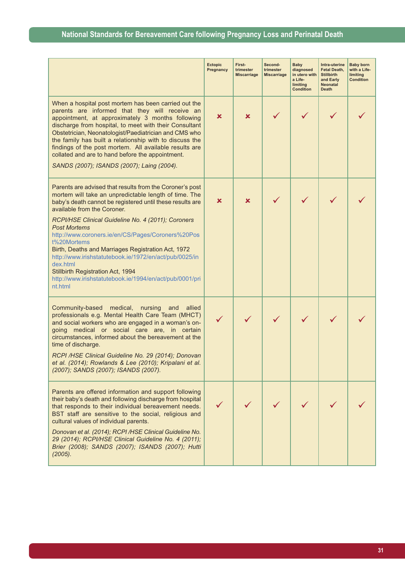|                                                                                                                                                                                                                                                                                                                                                                                                                                                                                                      | <b>Ectopic</b><br>Pregnancy | First-<br>trimester<br><b>Miscarriage</b> | Second-<br>trimester<br><b>Miscarriage</b> | <b>Baby</b><br>diagnosed<br>in utero with<br>a Life-<br>limiting<br><b>Condition</b> | Intra-uterine<br><b>Fetal Death,</b><br><b>Stillbirth</b><br>and Early<br><b>Neonatal</b><br><b>Death</b> | <b>Baby born</b><br>with a Life-<br>limiting<br><b>Condition</b> |
|------------------------------------------------------------------------------------------------------------------------------------------------------------------------------------------------------------------------------------------------------------------------------------------------------------------------------------------------------------------------------------------------------------------------------------------------------------------------------------------------------|-----------------------------|-------------------------------------------|--------------------------------------------|--------------------------------------------------------------------------------------|-----------------------------------------------------------------------------------------------------------|------------------------------------------------------------------|
| When a hospital post mortem has been carried out the<br>parents are informed that they will receive an<br>appointment, at approximately 3 months following<br>discharge from hospital, to meet with their Consultant<br>Obstetrician, Neonatologist/Paediatrician and CMS who<br>the family has built a relationship with to discuss the<br>findings of the post mortem. All available results are<br>collated and are to hand before the appointment.<br>SANDS (2007); ISANDS (2007); Laing (2004). | ×                           | ×                                         |                                            |                                                                                      |                                                                                                           |                                                                  |
| Parents are advised that results from the Coroner's post<br>mortem will take an unpredictable length of time. The<br>baby's death cannot be registered until these results are<br>available from the Coroner.                                                                                                                                                                                                                                                                                        | ×                           | ×                                         |                                            |                                                                                      |                                                                                                           |                                                                  |
| RCPI/HSE Clinical Guideline No. 4 (2011); Coroners<br><b>Post Mortems</b><br>http://www.coroners.ie/en/CS/Pages/Coroners%20Pos<br>t%20Mortems<br>Birth, Deaths and Marriages Registration Act, 1972<br>http://www.irishstatutebook.ie/1972/en/act/pub/0025/in<br>dex.html<br>Stillbirth Registration Act, 1994<br>http://www.irishstatutebook.ie/1994/en/act/pub/0001/pri<br>nt.html                                                                                                                 |                             |                                           |                                            |                                                                                      |                                                                                                           |                                                                  |
| Community-based medical,<br>nursing<br>and<br>allied<br>professionals e.g. Mental Health Care Team (MHCT)<br>and social workers who are engaged in a woman's on-<br>going medical or social care are, in certain<br>circumstances, informed about the bereavement at the<br>time of discharge.<br>RCPI /HSE Clinical Guideline No. 29 (2014); Donovan<br>et al. (2014); Rowlands & Lee (2010); Kripalani et al.<br>(2007); SANDS (2007); ISANDS (2007).                                              |                             |                                           |                                            |                                                                                      |                                                                                                           |                                                                  |
| Parents are offered information and support following<br>their baby's death and following discharge from hospital<br>that responds to their individual bereavement needs.<br>BST staff are sensitive to the social, religious and<br>cultural values of individual parents.<br>Donovan et al. (2014); RCPI /HSE Clinical Guideline No.<br>29 (2014); RCPI/HSE Clinical Guideline No. 4 (2011);<br>Brier (2008); SANDS (2007); ISANDS (2007); Hutti<br>(2005).                                        |                             |                                           |                                            |                                                                                      |                                                                                                           |                                                                  |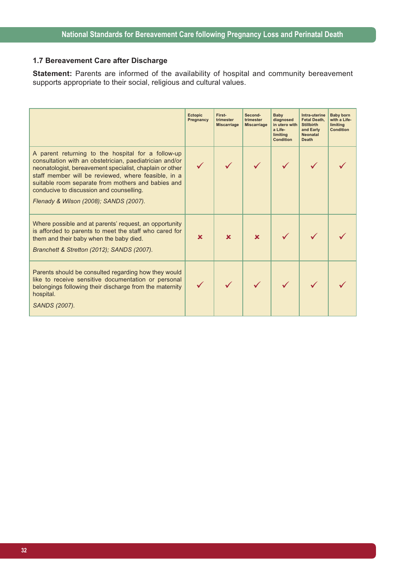## **1.7 Bereavement Care after Discharge**

**Statement:** Parents are informed of the availability of hospital and community bereavement supports appropriate to their social, religious and cultural values.

|                                                                                                                                                                                                                                                                                                                                                                              | <b>Ectopic</b><br>Pregnancy | First-<br>trimester<br><b>Miscarriage</b> | Second-<br>trimester<br><b>Miscarriage</b> | Baby<br>diagnosed<br>in utero with<br>a Life-<br>limiting<br><b>Condition</b> | Intra-uterine<br><b>Fetal Death.</b><br><b>Stillbirth</b><br>and Early<br><b>Neonatal</b><br><b>Death</b> | <b>Baby born</b><br>with a Life-<br>limiting<br><b>Condition</b> |
|------------------------------------------------------------------------------------------------------------------------------------------------------------------------------------------------------------------------------------------------------------------------------------------------------------------------------------------------------------------------------|-----------------------------|-------------------------------------------|--------------------------------------------|-------------------------------------------------------------------------------|-----------------------------------------------------------------------------------------------------------|------------------------------------------------------------------|
| A parent returning to the hospital for a follow-up<br>consultation with an obstetrician, paediatrician and/or<br>neonatologist, bereavement specialist, chaplain or other<br>staff member will be reviewed, where feasible, in a<br>suitable room separate from mothers and babies and<br>conducive to discussion and counselling.<br>Flenady & Wilson (2008); SANDS (2007). |                             |                                           |                                            |                                                                               |                                                                                                           |                                                                  |
| Where possible and at parents' request, an opportunity<br>is afforded to parents to meet the staff who cared for<br>them and their baby when the baby died.<br>Branchett & Stretton (2012); SANDS (2007).                                                                                                                                                                    | $\mathbf x$                 | $\mathbf x$                               | x                                          |                                                                               |                                                                                                           |                                                                  |
| Parents should be consulted regarding how they would<br>like to receive sensitive documentation or personal<br>belongings following their discharge from the maternity<br>hospital.<br>SANDS (2007).                                                                                                                                                                         |                             |                                           |                                            |                                                                               |                                                                                                           |                                                                  |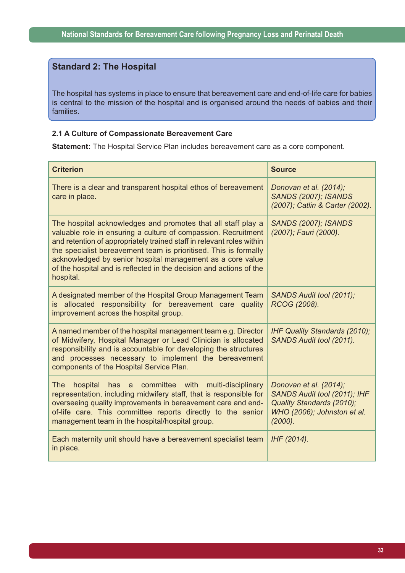## **Standard 2: The Hospital**

The hospital has systems in place to ensure that bereavement care and end-of-life care for babies is central to the mission of the hospital and is organised around the needs of babies and their families.

#### **2.1 A Culture of Compassionate Bereavement Care**

**Statement:** The Hospital Service Plan includes bereavement care as a core component.

| <b>Criterion</b>                                                                                                                                                                                                                                                                                                                                                                                                              | <b>Source</b>                                                                                                                 |
|-------------------------------------------------------------------------------------------------------------------------------------------------------------------------------------------------------------------------------------------------------------------------------------------------------------------------------------------------------------------------------------------------------------------------------|-------------------------------------------------------------------------------------------------------------------------------|
| There is a clear and transparent hospital ethos of bereavement<br>care in place.                                                                                                                                                                                                                                                                                                                                              | Donovan et al. (2014);<br><b>SANDS (2007); ISANDS</b><br>(2007); Catlin & Carter (2002).                                      |
| The hospital acknowledges and promotes that all staff play a<br>valuable role in ensuring a culture of compassion. Recruitment<br>and retention of appropriately trained staff in relevant roles within<br>the specialist bereavement team is prioritised. This is formally<br>acknowledged by senior hospital management as a core value<br>of the hospital and is reflected in the decision and actions of the<br>hospital. | <b>SANDS (2007); ISANDS</b><br>(2007); Fauri (2000).                                                                          |
| A designated member of the Hospital Group Management Team<br>is allocated responsibility for bereavement care quality<br>improvement across the hospital group.                                                                                                                                                                                                                                                               | SANDS Audit tool (2011);<br>RCOG (2008).                                                                                      |
| A named member of the hospital management team e.g. Director<br>of Midwifery, Hospital Manager or Lead Clinician is allocated<br>responsibility and is accountable for developing the structures<br>and processes necessary to implement the bereavement<br>components of the Hospital Service Plan.                                                                                                                          | IHF Quality Standards (2010);<br>SANDS Audit tool (2011).                                                                     |
| has a committee with multi-disciplinary<br>The<br>hospital<br>representation, including midwifery staff, that is responsible for<br>overseeing quality improvements in bereavement care and end-<br>of-life care. This committee reports directly to the senior<br>management team in the hospital/hospital group.                                                                                                            | Donovan et al. (2014);<br>SANDS Audit tool (2011); IHF<br>Quality Standards (2010);<br>WHO (2006); Johnston et al.<br>(2000). |
| Each maternity unit should have a bereavement specialist team<br>in place.                                                                                                                                                                                                                                                                                                                                                    | IHF (2014).                                                                                                                   |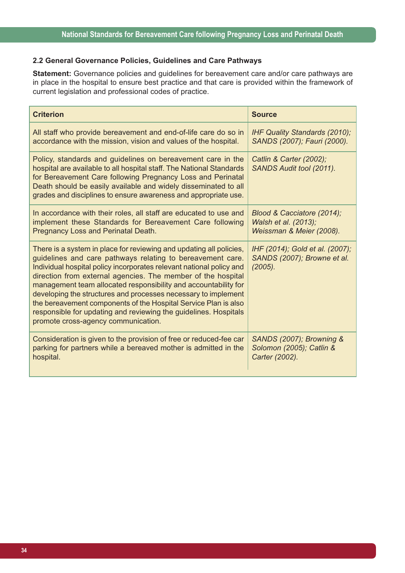#### **2.2 General Governance Policies, Guidelines and Care Pathways**

**Statement:** Governance policies and guidelines for bereavement care and/or care pathways are in place in the hospital to ensure best practice and that care is provided within the framework of current legislation and professional codes of practice.

| <b>Criterion</b>                                                                                                                                                                                                                                                                                                                                                                                                                                                                                                                                                                             | <b>Source</b>                                                             |
|----------------------------------------------------------------------------------------------------------------------------------------------------------------------------------------------------------------------------------------------------------------------------------------------------------------------------------------------------------------------------------------------------------------------------------------------------------------------------------------------------------------------------------------------------------------------------------------------|---------------------------------------------------------------------------|
| All staff who provide bereavement and end-of-life care do so in                                                                                                                                                                                                                                                                                                                                                                                                                                                                                                                              | IHF Quality Standards (2010);                                             |
| accordance with the mission, vision and values of the hospital.                                                                                                                                                                                                                                                                                                                                                                                                                                                                                                                              | SANDS (2007); Fauri (2000).                                               |
| Policy, standards and guidelines on bereavement care in the<br>hospital are available to all hospital staff. The National Standards<br>for Bereavement Care following Pregnancy Loss and Perinatal<br>Death should be easily available and widely disseminated to all<br>grades and disciplines to ensure awareness and appropriate use.                                                                                                                                                                                                                                                     | Catlin & Carter (2002);<br>SANDS Audit tool (2011).                       |
| In accordance with their roles, all staff are educated to use and                                                                                                                                                                                                                                                                                                                                                                                                                                                                                                                            | Blood & Cacciatore (2014);                                                |
| implement these Standards for Bereavement Care following                                                                                                                                                                                                                                                                                                                                                                                                                                                                                                                                     | Walsh et al. (2013);                                                      |
| Pregnancy Loss and Perinatal Death.                                                                                                                                                                                                                                                                                                                                                                                                                                                                                                                                                          | Weissman & Meier (2008).                                                  |
| There is a system in place for reviewing and updating all policies,<br>guidelines and care pathways relating to bereavement care.<br>Individual hospital policy incorporates relevant national policy and<br>direction from external agencies. The member of the hospital<br>management team allocated responsibility and accountability for<br>developing the structures and processes necessary to implement<br>the bereavement components of the Hospital Service Plan is also<br>responsible for updating and reviewing the guidelines. Hospitals<br>promote cross-agency communication. | IHF (2014); Gold et al. (2007);<br>SANDS (2007); Browne et al.<br>(2005). |
| Consideration is given to the provision of free or reduced-fee car                                                                                                                                                                                                                                                                                                                                                                                                                                                                                                                           | SANDS (2007); Browning &                                                  |
| parking for partners while a bereaved mother is admitted in the                                                                                                                                                                                                                                                                                                                                                                                                                                                                                                                              | Solomon (2005); Catlin &                                                  |
| hospital.                                                                                                                                                                                                                                                                                                                                                                                                                                                                                                                                                                                    | Carter (2002).                                                            |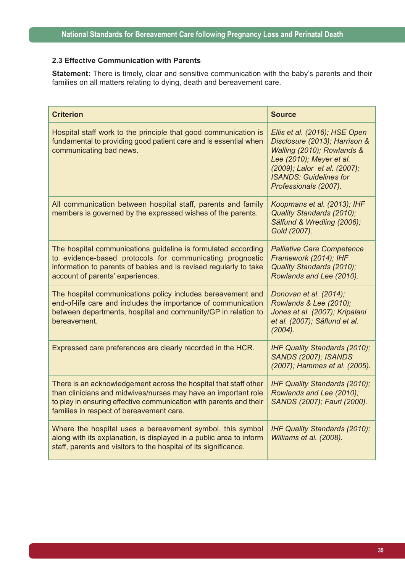#### **2.3 Effective Communication with Parents**

**Statement:** There is timely, clear and sensitive communication with the baby's parents and their families on all matters relating to dying, death and bereavement care.

| <b>Criterion</b>                                                                                                                                                                                                                                     | <b>Source</b>                                                                                                                                                                                                      |
|------------------------------------------------------------------------------------------------------------------------------------------------------------------------------------------------------------------------------------------------------|--------------------------------------------------------------------------------------------------------------------------------------------------------------------------------------------------------------------|
| Hospital staff work to the principle that good communication is<br>fundamental to providing good patient care and is essential when<br>communicating bad news.                                                                                       | Ellis et al. (2016); HSE Open<br>Disclosure (2013); Harrison &<br>Walling (2010); Rowlands &<br>Lee (2010); Meyer et al.<br>(2009); Lalor et al. (2007);<br><b>ISANDS: Guidelines for</b><br>Professionals (2007). |
| All communication between hospital staff, parents and family<br>members is governed by the expressed wishes of the parents.                                                                                                                          | Koopmans et al. (2013); IHF<br>Quality Standards (2010);<br>Sälfund & Wredling (2006);<br>Gold (2007).                                                                                                             |
| The hospital communications guideline is formulated according<br>to evidence-based protocols for communicating prognostic<br>information to parents of babies and is revised regularly to take<br>account of parents' experiences.                   | <b>Palliative Care Competence</b><br>Framework (2014); IHF<br>Quality Standards (2010);<br>Rowlands and Lee (2010).                                                                                                |
| The hospital communications policy includes bereavement and<br>end-of-life care and includes the importance of communication<br>between departments, hospital and community/GP in relation to<br>bereavement.                                        | Donovan et al. (2014);<br>Rowlands & Lee (2010);<br>Jones et al. (2007); Kripalani<br>et al. (2007); Säflund et al.<br>(2004).                                                                                     |
| Expressed care preferences are clearly recorded in the HCR.                                                                                                                                                                                          | IHF Quality Standards (2010);<br><b>SANDS (2007); ISANDS</b><br>(2007); Hammes et al. (2005).                                                                                                                      |
| There is an acknowledgement across the hospital that staff other<br>than clinicians and midwives/nurses may have an important role<br>to play in ensuring effective communication with parents and their<br>families in respect of bereavement care. | IHF Quality Standards (2010);<br>Rowlands and Lee (2010);<br>SANDS (2007); Fauri (2000).                                                                                                                           |
| Where the hospital uses a bereavement symbol, this symbol<br>along with its explanation, is displayed in a public area to inform<br>staff, parents and visitors to the hospital of its significance.                                                 | IHF Quality Standards (2010);<br>Williams et al. (2008).                                                                                                                                                           |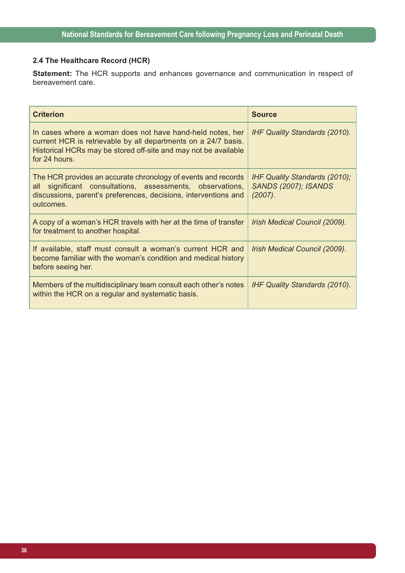# **2.4 The Healthcare Record (HCR)**

**Statement:** The HCR supports and enhances governance and communication in respect of bereavement care.

| <b>Criterion</b>                                                                                                                                                                                                | <b>Source</b>                                                                     |
|-----------------------------------------------------------------------------------------------------------------------------------------------------------------------------------------------------------------|-----------------------------------------------------------------------------------|
| In cases where a woman does not have hand-held notes, her<br>current HCR is retrievable by all departments on a 24/7 basis.<br>Historical HCRs may be stored off-site and may not be available<br>for 24 hours. | <b>IHF Quality Standards (2010).</b>                                              |
| The HCR provides an accurate chronology of events and records<br>significant consultations, assessments, observations,<br>all<br>discussions, parent's preferences, decisions, interventions and<br>outcomes.   | <b>IHF Quality Standards (2010);</b><br><b>SANDS (2007); ISANDS</b><br>$(2007)$ . |
| A copy of a woman's HCR travels with her at the time of transfer<br>for treatment to another hospital.                                                                                                          | Irish Medical Council (2009).                                                     |
| If available, staff must consult a woman's current HCR and<br>become familiar with the woman's condition and medical history<br>before seeing her.                                                              | Irish Medical Council (2009).                                                     |
| Members of the multidisciplinary team consult each other's notes<br>within the HCR on a regular and systematic basis.                                                                                           | <b>IHF Quality Standards (2010).</b>                                              |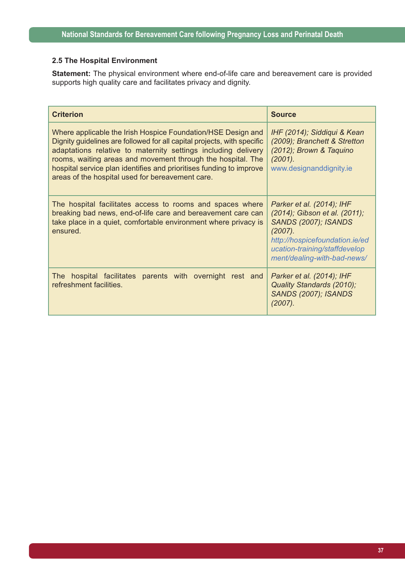### **2.5 The Hospital Environment**

**Statement:** The physical environment where end-of-life care and bereavement care is provided supports high quality care and facilitates privacy and dignity.

| <b>Criterion</b>                                                                                                                                                                                                                                                                                                                                                                                   | <b>Source</b>                                                                                                                                                                                             |
|----------------------------------------------------------------------------------------------------------------------------------------------------------------------------------------------------------------------------------------------------------------------------------------------------------------------------------------------------------------------------------------------------|-----------------------------------------------------------------------------------------------------------------------------------------------------------------------------------------------------------|
| Where applicable the Irish Hospice Foundation/HSE Design and<br>Dignity guidelines are followed for all capital projects, with specific<br>adaptations relative to maternity settings including delivery<br>rooms, waiting areas and movement through the hospital. The<br>hospital service plan identifies and prioritises funding to improve<br>areas of the hospital used for bereavement care. | IHF (2014); Siddiqui & Kean<br>(2009); Branchett & Stretton<br>(2012); Brown & Taquino<br>(2001).<br>www.designanddignity.ie                                                                              |
| The hospital facilitates access to rooms and spaces where<br>breaking bad news, end-of-life care and bereavement care can<br>take place in a quiet, comfortable environment where privacy is<br>ensured.                                                                                                                                                                                           | Parker et al. (2014); IHF<br>(2014); Gibson et al. (2011);<br><b>SANDS (2007); ISANDS</b><br>$(2007)$ .<br>http://hospicefoundation.ie/ed<br>ucation-training/staffdevelop<br>ment/dealing-with-bad-news/ |
| The hospital facilitates parents with overnight rest and<br>refreshment facilities.                                                                                                                                                                                                                                                                                                                | Parker et al. (2014); IHF<br>Quality Standards (2010);<br><b>SANDS (2007); ISANDS</b><br>$(2007)$ .                                                                                                       |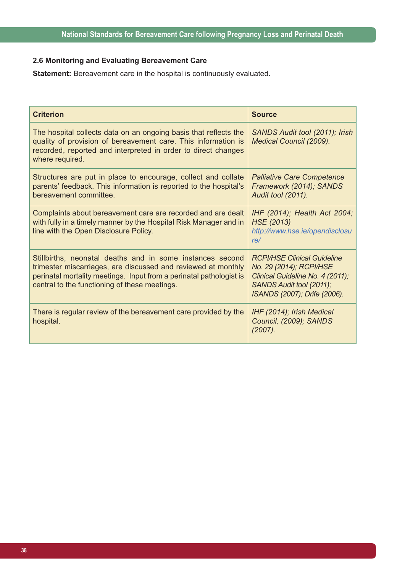# **2.6 Monitoring and Evaluating Bereavement Care**

**Statement:** Bereavement care in the hospital is continuously evaluated.

| <b>Criterion</b>                                                                                                                                                                                                                                   | <b>Source</b>                                                                                                                                                 |
|----------------------------------------------------------------------------------------------------------------------------------------------------------------------------------------------------------------------------------------------------|---------------------------------------------------------------------------------------------------------------------------------------------------------------|
| The hospital collects data on an ongoing basis that reflects the<br>quality of provision of bereavement care. This information is<br>recorded, reported and interpreted in order to direct changes<br>where required.                              | SANDS Audit tool (2011); Irish<br>Medical Council (2009).                                                                                                     |
| Structures are put in place to encourage, collect and collate<br>parents' feedback. This information is reported to the hospital's<br>bereavement committee.                                                                                       | <b>Palliative Care Competence</b><br>Framework (2014); SANDS<br>Audit tool (2011).                                                                            |
| Complaints about bereavement care are recorded and are dealt<br>with fully in a timely manner by the Hospital Risk Manager and in<br>line with the Open Disclosure Policy.                                                                         | IHF (2014); Health Act 2004;<br>HSE (2013)<br>http://www.hse.ie/opendisclosu<br>re/                                                                           |
| Stillbirths, neonatal deaths and in some instances second<br>trimester miscarriages, are discussed and reviewed at monthly<br>perinatal mortality meetings. Input from a perinatal pathologist is<br>central to the functioning of these meetings. | <b>RCPI/HSE Clinical Guideline</b><br>No. 29 (2014); RCPI/HSE<br>Clinical Guideline No. 4 (2011);<br>SANDS Audit tool (2011);<br>ISANDS (2007); Drife (2006). |
| There is regular review of the bereavement care provided by the<br>hospital.                                                                                                                                                                       | IHF (2014); Irish Medical<br>Council, (2009); SANDS<br>$(2007)$ .                                                                                             |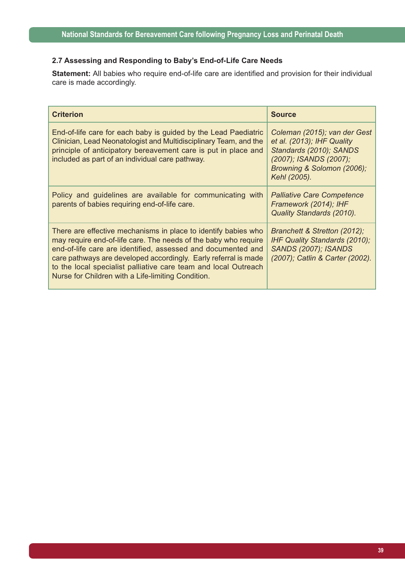## **2.7 Assessing and Responding to Baby's End-of-Life Care Needs**

**Statement:** All babies who require end-of-life care are identified and provision for their individual care is made accordingly.

| <b>Criterion</b>                                                                                                                                                                                                                                                                                                                                                                              | <b>Source</b>                                                                                                                                                 |
|-----------------------------------------------------------------------------------------------------------------------------------------------------------------------------------------------------------------------------------------------------------------------------------------------------------------------------------------------------------------------------------------------|---------------------------------------------------------------------------------------------------------------------------------------------------------------|
| End-of-life care for each baby is guided by the Lead Paediatric<br>Clinician, Lead Neonatologist and Multidisciplinary Team, and the<br>principle of anticipatory bereavement care is put in place and<br>included as part of an individual care pathway.                                                                                                                                     | Coleman (2015); van der Gest<br>et al. (2013); IHF Quality<br>Standards (2010); SANDS<br>(2007); ISANDS (2007);<br>Browning & Solomon (2006);<br>Kehl (2005). |
| Policy and guidelines are available for communicating with<br>parents of babies requiring end-of-life care.                                                                                                                                                                                                                                                                                   | <b>Palliative Care Competence</b><br>Framework (2014); IHF<br>Quality Standards (2010).                                                                       |
| There are effective mechanisms in place to identify babies who<br>may require end-of-life care. The needs of the baby who require<br>end-of-life care are identified, assessed and documented and<br>care pathways are developed accordingly. Early referral is made<br>to the local specialist palliative care team and local Outreach<br>Nurse for Children with a Life-limiting Condition. | Branchett & Stretton (2012);<br><b>IHF Quality Standards (2010);</b><br><b>SANDS (2007); ISANDS</b><br>(2007); Catlin & Carter (2002).                        |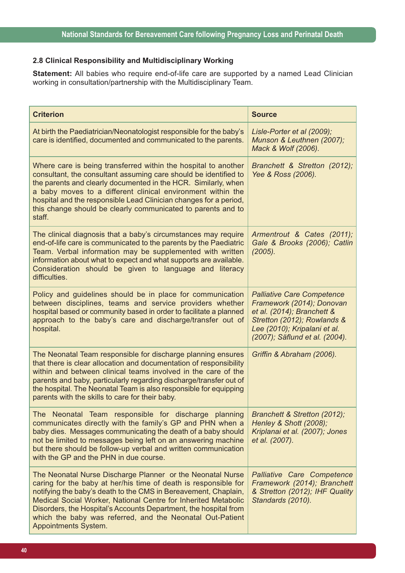# **2.8 Clinical Responsibility and Multidisciplinary Working**

**Statement:** All babies who require end-of-life care are supported by a named Lead Clinician working in consultation/partnership with the Multidisciplinary Team.

| <b>Criterion</b>                                                                                                                                                                                                                                                                                                                                                                                                                   | <b>Source</b>                                                                                                                                                                                 |
|------------------------------------------------------------------------------------------------------------------------------------------------------------------------------------------------------------------------------------------------------------------------------------------------------------------------------------------------------------------------------------------------------------------------------------|-----------------------------------------------------------------------------------------------------------------------------------------------------------------------------------------------|
| At birth the Paediatrician/Neonatologist responsible for the baby's<br>care is identified, documented and communicated to the parents.                                                                                                                                                                                                                                                                                             | Lisle-Porter et al (2009);<br>Munson & Leuthnen (2007);<br>Mack & Wolf (2006).                                                                                                                |
| Where care is being transferred within the hospital to another<br>consultant, the consultant assuming care should be identified to<br>the parents and clearly documented in the HCR. Similarly, when<br>a baby moves to a different clinical environment within the<br>hospital and the responsible Lead Clinician changes for a period,<br>this change should be clearly communicated to parents and to<br>staff.                 | Branchett & Stretton (2012);<br>Yee & Ross (2006).                                                                                                                                            |
| The clinical diagnosis that a baby's circumstances may require<br>end-of-life care is communicated to the parents by the Paediatric<br>Team. Verbal information may be supplemented with written<br>information about what to expect and what supports are available.<br>Consideration should be given to language and literacy<br>difficulties.                                                                                   | Armentrout & Cates (2011);<br>Gale & Brooks (2006); Catlin<br>(2005).                                                                                                                         |
| Policy and guidelines should be in place for communication<br>between disciplines, teams and service providers whether<br>hospital based or community based in order to facilitate a planned<br>approach to the baby's care and discharge/transfer out of<br>hospital.                                                                                                                                                             | <b>Palliative Care Competence</b><br>Framework (2014); Donovan<br>et al. (2014); Branchett &<br>Stretton (2012); Rowlands &<br>Lee (2010); Kripalani et al.<br>(2007); Säflund et al. (2004). |
| The Neonatal Team responsible for discharge planning ensures<br>that there is clear allocation and documentation of responsibility<br>within and between clinical teams involved in the care of the<br>parents and baby, particularly regarding discharge/transfer out of<br>the hospital. The Neonatal Team is also responsible for equipping<br>parents with the skills to care for their baby.                                  | Griffin & Abraham (2006).                                                                                                                                                                     |
| The Neonatal Team responsible for discharge planning<br>communicates directly with the family's GP and PHN when a<br>baby dies. Messages communicating the death of a baby should<br>not be limited to messages being left on an answering machine<br>but there should be follow-up verbal and written communication<br>with the GP and the PHN in due course.                                                                     | Branchett & Stretton (2012);<br>Henley & Shott (2008);<br>Kriplanai et al. (2007); Jones<br>et al. (2007).                                                                                    |
| The Neonatal Nurse Discharge Planner or the Neonatal Nurse<br>caring for the baby at her/his time of death is responsible for<br>notifying the baby's death to the CMS in Bereavement, Chaplain,<br>Medical Social Worker, National Centre for Inherited Metabolic<br>Disorders, the Hospital's Accounts Department, the hospital from<br>which the baby was referred, and the Neonatal Out-Patient<br><b>Appointments System.</b> | Palliative Care Competence<br>Framework (2014); Branchett<br>& Stretton (2012); IHF Quality<br>Standards (2010).                                                                              |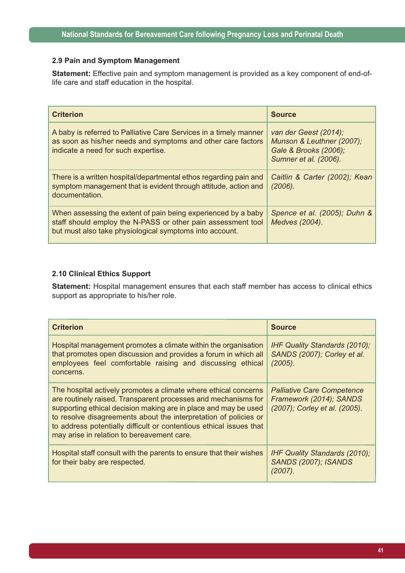### **2.9 Pain and Symptom Management**

**Statement:** Effective pain and symptom management is provided as a key component of end-oflife care and staff education in the hospital.

| <b>Criterion</b>                                                                                                                                                                         | <b>Source</b>                                                                                        |
|------------------------------------------------------------------------------------------------------------------------------------------------------------------------------------------|------------------------------------------------------------------------------------------------------|
| A baby is referred to Palliative Care Services in a timely manner<br>as soon as his/her needs and symptoms and other care factors<br>indicate a need for such expertise.                 | van der Geest (2014);<br>Munson & Leuthner (2007);<br>Gale & Brooks (2006);<br>Sumner et al. (2006). |
| There is a written hospital/departmental ethos regarding pain and<br>symptom management that is evident through attitude, action and<br>documentation.                                   | Caitlin & Carter (2002); Kean<br>(2006).                                                             |
| When assessing the extent of pain being experienced by a baby<br>staff should employ the N-PASS or other pain assessment tool<br>but must also take physiological symptoms into account. | Spence et al. (2005); Duhn &<br>Medves (2004).                                                       |

### **2.10 Clinical Ethics Support**

**Statement:** Hospital management ensures that each staff member has access to clinical ethics support as appropriate to his/her role.

| <b>Criterion</b>                                                                                                                                                                                                                                                                                                                                                                              | <b>Source</b>                                                                                 |
|-----------------------------------------------------------------------------------------------------------------------------------------------------------------------------------------------------------------------------------------------------------------------------------------------------------------------------------------------------------------------------------------------|-----------------------------------------------------------------------------------------------|
| Hospital management promotes a climate within the organisation<br>that promotes open discussion and provides a forum in which all<br>employees feel comfortable raising and discussing ethical<br>concerns.                                                                                                                                                                                   | <b>IHF Quality Standards (2010);</b><br>SANDS (2007); Corley et al.<br>(2005).                |
| The hospital actively promotes a climate where ethical concerns<br>are routinely raised. Transparent processes and mechanisms for<br>supporting ethical decision making are in place and may be used<br>to resolve disagreements about the interpretation of policies or<br>to address potentially difficult or contentious ethical issues that<br>may arise in relation to bereavement care. | <b>Palliative Care Competence</b><br>Framework (2014); SANDS<br>(2007); Corley et al. (2005). |
| Hospital staff consult with the parents to ensure that their wishes<br>for their baby are respected.                                                                                                                                                                                                                                                                                          | <b>IHF Quality Standards (2010);</b><br><b>SANDS (2007); ISANDS</b><br>(2007).                |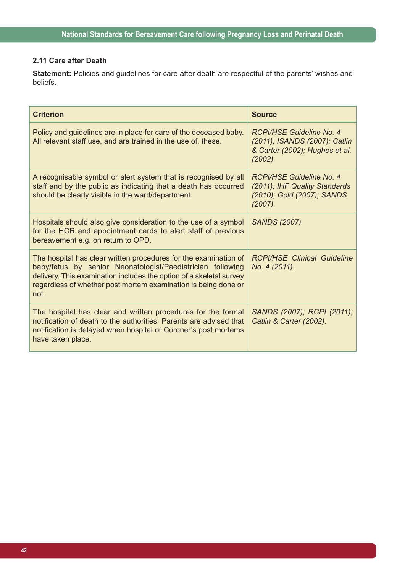## **2.11 Care after Death**

**Statement:** Policies and guidelines for care after death are respectful of the parents' wishes and beliefs.

| <b>Criterion</b>                                                                                                                                                                                                                                                                | <b>Source</b>                                                                                                 |
|---------------------------------------------------------------------------------------------------------------------------------------------------------------------------------------------------------------------------------------------------------------------------------|---------------------------------------------------------------------------------------------------------------|
| Policy and guidelines are in place for care of the deceased baby.<br>All relevant staff use, and are trained in the use of, these.                                                                                                                                              | <b>RCPI/HSE Guideline No. 4</b><br>(2011); ISANDS (2007); Catlin<br>& Carter (2002); Hughes et al.<br>(2002). |
| A recognisable symbol or alert system that is recognised by all<br>staff and by the public as indicating that a death has occurred<br>should be clearly visible in the ward/department.                                                                                         | RCPI/HSE Guideline No. 4<br>(2011); IHF Quality Standards<br>(2010); Gold (2007); SANDS<br>(2007).            |
| Hospitals should also give consideration to the use of a symbol<br>for the HCR and appointment cards to alert staff of previous<br>bereavement e.g. on return to OPD.                                                                                                           | <b>SANDS (2007).</b>                                                                                          |
| The hospital has clear written procedures for the examination of<br>baby/fetus by senior Neonatologist/Paediatrician following<br>delivery. This examination includes the option of a skeletal survey<br>regardless of whether post mortem examination is being done or<br>not. | <b>RCPI/HSE Clinical Guideline</b><br>No. 4 (2011).                                                           |
| The hospital has clear and written procedures for the formal<br>notification of death to the authorities. Parents are advised that<br>notification is delayed when hospital or Coroner's post mortems<br>have taken place.                                                      | SANDS (2007); RCPI (2011);<br>Catlin & Carter (2002).                                                         |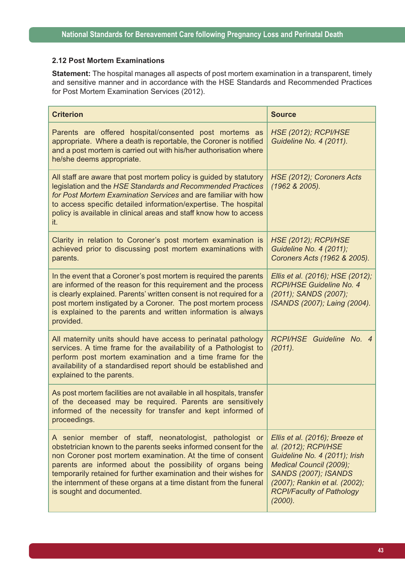### **2.12 Post Mortem Examinations**

**Statement:** The hospital manages all aspects of post mortem examination in a transparent, timely and sensitive manner and in accordance with the HSE Standards and Recommended Practices for Post Mortem Examination Services (2012).

| <b>Criterion</b>                                                                                                                                                                                                                                                                                                                                                                                                                | <b>Source</b>                                                                                                                                                                                                                     |
|---------------------------------------------------------------------------------------------------------------------------------------------------------------------------------------------------------------------------------------------------------------------------------------------------------------------------------------------------------------------------------------------------------------------------------|-----------------------------------------------------------------------------------------------------------------------------------------------------------------------------------------------------------------------------------|
| Parents are offered hospital/consented post mortems as<br>appropriate. Where a death is reportable, the Coroner is notified<br>and a post mortem is carried out with his/her authorisation where<br>he/she deems appropriate.                                                                                                                                                                                                   | <b>HSE (2012); RCPI/HSE</b><br>Guideline No. 4 (2011).                                                                                                                                                                            |
| All staff are aware that post mortem policy is guided by statutory<br>legislation and the HSE Standards and Recommended Practices<br>for Post Mortem Examination Services and are familiar with how<br>to access specific detailed information/expertise. The hospital<br>policy is available in clinical areas and staff know how to access<br>it.                                                                             | HSE (2012); Coroners Acts<br>(1962 & 2005).                                                                                                                                                                                       |
| Clarity in relation to Coroner's post mortem examination is<br>achieved prior to discussing post mortem examinations with<br>parents.                                                                                                                                                                                                                                                                                           | <b>HSE (2012); RCPI/HSE</b><br>Guideline No. 4 (2011);<br>Coroners Acts (1962 & 2005).                                                                                                                                            |
| In the event that a Coroner's post mortem is required the parents<br>are informed of the reason for this requirement and the process<br>is clearly explained. Parents' written consent is not required for a<br>post mortem instigated by a Coroner. The post mortem process<br>is explained to the parents and written information is always<br>provided.                                                                      | Ellis et al. (2016); HSE (2012);<br>RCPI/HSE Guideline No. 4<br>(2011); SANDS (2007);<br>ISANDS (2007); Laing (2004).                                                                                                             |
| All maternity units should have access to perinatal pathology<br>services. A time frame for the availability of a Pathologist to<br>perform post mortem examination and a time frame for the<br>availability of a standardised report should be established and<br>explained to the parents.                                                                                                                                    | RCPI/HSE Guideline No. 4<br>(2011).                                                                                                                                                                                               |
| As post mortem facilities are not available in all hospitals, transfer<br>of the deceased may be required. Parents are sensitively<br>informed of the necessity for transfer and kept informed of<br>proceedings.                                                                                                                                                                                                               |                                                                                                                                                                                                                                   |
| A senior member of staff, neonatologist, pathologist or<br>obstetrician known to the parents seeks informed consent for the<br>non Coroner post mortem examination. At the time of consent<br>parents are informed about the possibility of organs being<br>temporarily retained for further examination and their wishes for<br>the internment of these organs at a time distant from the funeral<br>is sought and documented. | Ellis et al. (2016); Breeze et<br>al. (2012); RCPI/HSE<br>Guideline No. 4 (2011); Irish<br>Medical Council (2009);<br><b>SANDS (2007); ISANDS</b><br>(2007); Rankin et al. (2002);<br><b>RCPI/Faculty of Pathology</b><br>(2000). |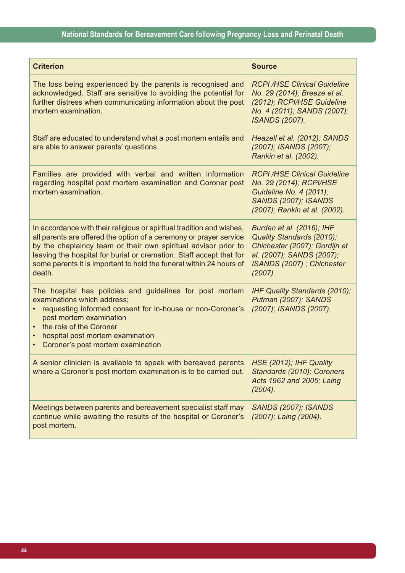| <b>Criterion</b>                                                                                                                                                                                                                                                                                                                                                      | <b>Source</b>                                                                                                                                                    |
|-----------------------------------------------------------------------------------------------------------------------------------------------------------------------------------------------------------------------------------------------------------------------------------------------------------------------------------------------------------------------|------------------------------------------------------------------------------------------------------------------------------------------------------------------|
| The loss being experienced by the parents is recognised and<br>acknowledged. Staff are sensitive to avoiding the potential for<br>further distress when communicating information about the post<br>mortem examination.                                                                                                                                               | <b>RCPI/HSE Clinical Guideline</b><br>No. 29 (2014); Breeze et al.<br>(2012); RCPI/HSE Guideline<br>No. 4 (2011); SANDS (2007);<br><b>ISANDS (2007).</b>         |
| Staff are educated to understand what a post mortem entails and<br>are able to answer parents' questions.                                                                                                                                                                                                                                                             | Heazell et al. (2012); SANDS<br>(2007); ISANDS (2007);<br>Rankin et al. (2002).                                                                                  |
| Families are provided with verbal and written information<br>regarding hospital post mortem examination and Coroner post<br>mortem examination.                                                                                                                                                                                                                       | <b>RCPI/HSE Clinical Guideline</b><br>No. 29 (2014); RCPI/HSE<br><b>Guideline No. 4 (2011);</b><br><b>SANDS (2007); ISANDS</b><br>(2007); Rankin et al. (2002).  |
| In accordance with their religious or spiritual tradition and wishes,<br>all parents are offered the option of a ceremony or prayer service<br>by the chaplaincy team or their own spiritual advisor prior to<br>leaving the hospital for burial or cremation. Staff accept that for<br>some parents it is important to hold the funeral within 24 hours of<br>death. | Burden et al. (2016); IHF<br>Quality Standards (2010);<br>Chichester (2007); Gordijn et<br>al. (2007); SANDS (2007);<br>ISANDS (2007) ; Chichester<br>$(2007)$ . |
| The hospital has policies and guidelines for post mortem<br>examinations which address;<br>requesting informed consent for in-house or non-Coroner's<br>post mortem examination<br>the role of the Coroner<br>hospital post mortem examination<br>$\bullet$<br>Coroner's post mortem examination                                                                      | IHF Quality Standards (2010);<br>Putman (2007); SANDS<br>(2007); ISANDS (2007).                                                                                  |
| A senior clinician is available to speak with bereaved parents $ $ HSE (2012); IHF Quality<br>where a Coroner's post mortem examination is to be carried out.                                                                                                                                                                                                         | Standards (2010); Coroners<br>Acts 1962 and 2005; Laing<br>(2004).                                                                                               |
| Meetings between parents and bereavement specialist staff may<br>continue while awaiting the results of the hospital or Coroner's<br>post mortem.                                                                                                                                                                                                                     | <b>SANDS (2007); ISANDS</b><br>(2007); Laing (2004).                                                                                                             |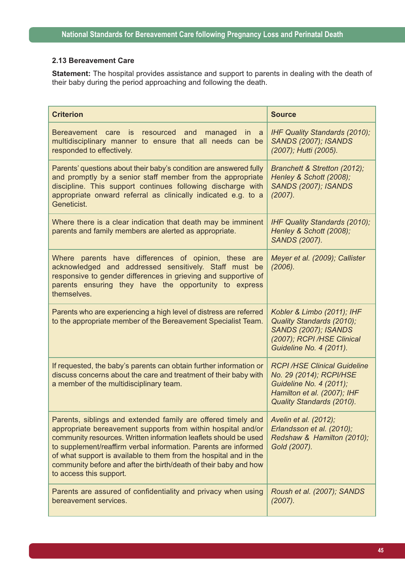### **2.13 Bereavement Care**

**Statement:** The hospital provides assistance and support to parents in dealing with the death of their baby during the period approaching and following the death.

| <b>Criterion</b>                                                                                                                                                                                                                                                                                                                                                                                                                        | <b>Source</b>                                                                                                                                        |
|-----------------------------------------------------------------------------------------------------------------------------------------------------------------------------------------------------------------------------------------------------------------------------------------------------------------------------------------------------------------------------------------------------------------------------------------|------------------------------------------------------------------------------------------------------------------------------------------------------|
| Bereavement care is<br>resourced<br>and<br>managed<br>in in<br><sub>a</sub><br>multidisciplinary manner to ensure that all needs can be<br>responded to effectively.                                                                                                                                                                                                                                                                    | IHF Quality Standards (2010);<br><b>SANDS (2007); ISANDS</b><br>(2007); Hutti (2005).                                                                |
| Parents' questions about their baby's condition are answered fully<br>and promptly by a senior staff member from the appropriate<br>discipline. This support continues following discharge with<br>appropriate onward referral as clinically indicated e.g. to a<br>Geneticist.                                                                                                                                                         | Branchett & Stretton (2012);<br>Henley & Schott (2008);<br><b>SANDS (2007); ISANDS</b><br>(2007).                                                    |
| Where there is a clear indication that death may be imminent<br>parents and family members are alerted as appropriate.                                                                                                                                                                                                                                                                                                                  | <b>IHF Quality Standards (2010);</b><br>Henley & Schott (2008);<br><b>SANDS (2007).</b>                                                              |
| Where parents have differences of opinion, these are<br>acknowledged and addressed sensitively. Staff must be<br>responsive to gender differences in grieving and supportive of<br>parents ensuring they have the opportunity to express<br>themselves.                                                                                                                                                                                 | Meyer et al. (2009); Callister<br>(2006).                                                                                                            |
| Parents who are experiencing a high level of distress are referred<br>to the appropriate member of the Bereavement Specialist Team.                                                                                                                                                                                                                                                                                                     | Kobler & Limbo (2011); IHF<br>Quality Standards (2010);<br><b>SANDS (2007); ISANDS</b><br>(2007); RCPI /HSE Clinical<br>Guideline No. 4 (2011).      |
| If requested, the baby's parents can obtain further information or<br>discuss concerns about the care and treatment of their baby with<br>a member of the multidisciplinary team.                                                                                                                                                                                                                                                       | <b>RCPI/HSE Clinical Guideline</b><br>No. 29 (2014); RCPI/HSE<br>Guideline No. 4 (2011);<br>Hamilton et al. (2007); IHF<br>Quality Standards (2010). |
| Parents, siblings and extended family are offered timely and<br>appropriate bereavement supports from within hospital and/or<br>community resources. Written information leaflets should be used<br>to supplement/reaffirm verbal information. Parents are informed<br>of what support is available to them from the hospital and in the<br>community before and after the birth/death of their baby and how<br>to access this support. | Avelin et al. (2012);<br>Erlandsson et al. (2010);<br>Redshaw & Hamilton (2010);<br>Gold (2007).                                                     |
| Parents are assured of confidentiality and privacy when using<br>bereavement services.                                                                                                                                                                                                                                                                                                                                                  | Roush et al. (2007); SANDS<br>(2007).                                                                                                                |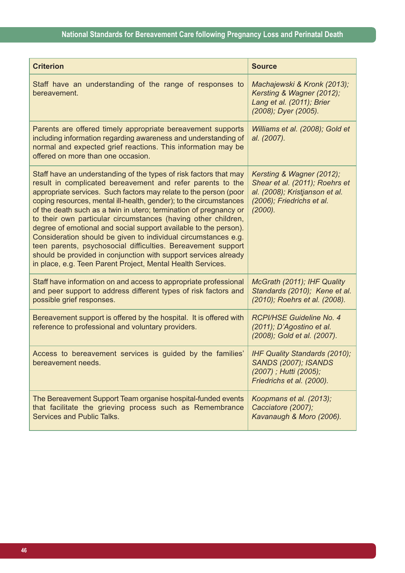| <b>Criterion</b>                                                                                                                                                                                                                                                                                                                                                                                                                                                                                                                                                                                                                                                                                                                                         | <b>Source</b>                                                                                                                            |
|----------------------------------------------------------------------------------------------------------------------------------------------------------------------------------------------------------------------------------------------------------------------------------------------------------------------------------------------------------------------------------------------------------------------------------------------------------------------------------------------------------------------------------------------------------------------------------------------------------------------------------------------------------------------------------------------------------------------------------------------------------|------------------------------------------------------------------------------------------------------------------------------------------|
| Staff have an understanding of the range of responses to<br>bereavement.                                                                                                                                                                                                                                                                                                                                                                                                                                                                                                                                                                                                                                                                                 | Machajewski & Kronk (2013);<br>Kersting & Wagner (2012);<br>Lang et al. (2011); Brier<br>(2008); Dyer (2005).                            |
| Parents are offered timely appropriate bereavement supports<br>including information regarding awareness and understanding of<br>normal and expected grief reactions. This information may be<br>offered on more than one occasion.                                                                                                                                                                                                                                                                                                                                                                                                                                                                                                                      | Williams et al. (2008); Gold et<br>al. (2007).                                                                                           |
| Staff have an understanding of the types of risk factors that may<br>result in complicated bereavement and refer parents to the<br>appropriate services. Such factors may relate to the person (poor<br>coping resources, mental ill-health, gender); to the circumstances<br>of the death such as a twin in utero; termination of pregnancy or<br>to their own particular circumstances (having other children,<br>degree of emotional and social support available to the person).<br>Consideration should be given to individual circumstances e.g.<br>teen parents, psychosocial difficulties. Bereavement support<br>should be provided in conjunction with support services already<br>in place, e.g. Teen Parent Project, Mental Health Services. | Kersting & Wagner (2012);<br>Shear et al. (2011); Roehrs et<br>al. (2008); Kristjanson et al.<br>(2006); Friedrichs et al.<br>$(2000)$ . |
| Staff have information on and access to appropriate professional<br>and peer support to address different types of risk factors and<br>possible grief responses.                                                                                                                                                                                                                                                                                                                                                                                                                                                                                                                                                                                         | McGrath (2011); IHF Quality<br>Standards (2010); Kene et al.<br>(2010); Roehrs et al. (2008).                                            |
| Bereavement support is offered by the hospital. It is offered with<br>reference to professional and voluntary providers.                                                                                                                                                                                                                                                                                                                                                                                                                                                                                                                                                                                                                                 | RCPI/HSE Guideline No. 4<br>(2011); D'Agostino et al.<br>(2008); Gold et al. (2007).                                                     |
| Access to bereavement services is guided by the families'<br>bereavement needs.                                                                                                                                                                                                                                                                                                                                                                                                                                                                                                                                                                                                                                                                          | IHF Quality Standards (2010);<br><b>SANDS (2007); ISANDS</b><br>(2007); Hutti (2005);<br>Friedrichs et al. (2000).                       |
| The Bereavement Support Team organise hospital-funded events<br>that facilitate the grieving process such as Remembrance<br>Services and Public Talks.                                                                                                                                                                                                                                                                                                                                                                                                                                                                                                                                                                                                   | Koopmans et al. (2013);<br>Cacciatore (2007);<br>Kavanaugh & Moro (2006).                                                                |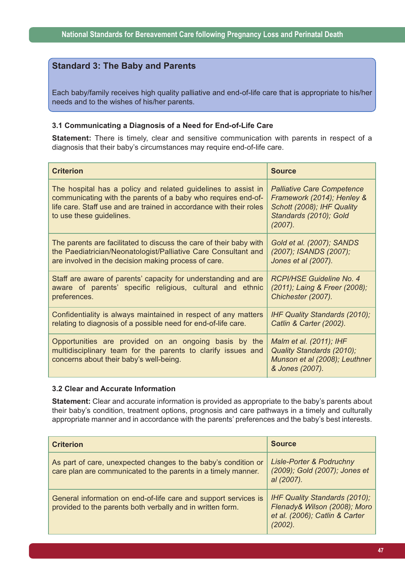## **Standard 3: The Baby and Parents**

Each baby/family receives high quality palliative and end-of-life care that is appropriate to his/her needs and to the wishes of his/her parents.

### **3.1 Communicating a Diagnosis of a Need for End-of-Life Care**

**Statement:** There is timely, clear and sensitive communication with parents in respect of a diagnosis that their baby's circumstances may require end-of-life care.

| <b>Criterion</b>                                                                                                                                                                                                                  | <b>Source</b>                                                                                                                         |
|-----------------------------------------------------------------------------------------------------------------------------------------------------------------------------------------------------------------------------------|---------------------------------------------------------------------------------------------------------------------------------------|
| The hospital has a policy and related guidelines to assist in<br>communicating with the parents of a baby who requires end-of-<br>life care. Staff use and are trained in accordance with their roles<br>to use these guidelines. | <b>Palliative Care Competence</b><br>Framework (2014); Henley &<br>Schott (2008); IHF Quality<br>Standards (2010); Gold<br>$(2007)$ . |
| The parents are facilitated to discuss the care of their baby with                                                                                                                                                                | Gold et al. (2007); SANDS                                                                                                             |
| the Paediatrician/Neonatologist/Palliative Care Consultant and                                                                                                                                                                    | (2007); ISANDS (2007);                                                                                                                |
| are involved in the decision making process of care.                                                                                                                                                                              | Jones et al (2007).                                                                                                                   |
| Staff are aware of parents' capacity for understanding and are                                                                                                                                                                    | RCPI/HSE Guideline No. 4                                                                                                              |
| aware of parents' specific religious, cultural and ethnic                                                                                                                                                                         | (2011); Laing & Freer (2008);                                                                                                         |
| preferences.                                                                                                                                                                                                                      | Chichester (2007).                                                                                                                    |
| Confidentiality is always maintained in respect of any matters                                                                                                                                                                    | <b>IHF Quality Standards (2010);</b>                                                                                                  |
| relating to diagnosis of a possible need for end-of-life care.                                                                                                                                                                    | Catlin & Carter (2002).                                                                                                               |
| Opportunities are provided on an ongoing basis by the<br>multidisciplinary team for the parents to clarify issues and<br>concerns about their baby's well-being.                                                                  | Malm et al. (2011); IHF<br>Quality Standards (2010);<br>Munson et al (2008); Leuthner<br>& Jones (2007).                              |

#### **3.2 Clear and Accurate Information**

**Statement:** Clear and accurate information is provided as appropriate to the baby's parents about their baby's condition, treatment options, prognosis and care pathways in a timely and culturally appropriate manner and in accordance with the parents' preferences and the baby's best interests.

| <b>Criterion</b>                                                                                                                | <b>Source</b>                                                                                                        |
|---------------------------------------------------------------------------------------------------------------------------------|----------------------------------------------------------------------------------------------------------------------|
| As part of care, unexpected changes to the baby's condition or<br>care plan are communicated to the parents in a timely manner. | Lisle-Porter & Podruchny<br>(2009); Gold (2007); Jones et<br>al (2007).                                              |
| General information on end-of-life care and support services is<br>provided to the parents both verbally and in written form.   | <b>IHF Quality Standards (2010);</b><br>Flenady& Wilson (2008); Moro<br>et al. (2006); Catlin & Carter<br>$(2002)$ . |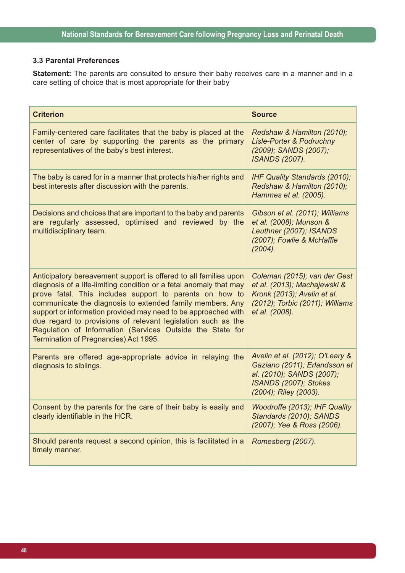## **3.3 Parental Preferences**

**Statement:** The parents are consulted to ensure their baby receives care in a manner and in a care setting of choice that is most appropriate for their baby

| <b>Criterion</b>                                                                                                                                                                                                                                                                                                                                                                                                                                                                                       | <b>Source</b>                                                                                                                                    |
|--------------------------------------------------------------------------------------------------------------------------------------------------------------------------------------------------------------------------------------------------------------------------------------------------------------------------------------------------------------------------------------------------------------------------------------------------------------------------------------------------------|--------------------------------------------------------------------------------------------------------------------------------------------------|
| Family-centered care facilitates that the baby is placed at the<br>center of care by supporting the parents as the primary<br>representatives of the baby's best interest.                                                                                                                                                                                                                                                                                                                             | Redshaw & Hamilton (2010);<br><b>Lisle-Porter &amp; Podruchny</b><br>(2009); SANDS (2007);<br><b>ISANDS (2007).</b>                              |
| The baby is cared for in a manner that protects his/her rights and<br>best interests after discussion with the parents.                                                                                                                                                                                                                                                                                                                                                                                | IHF Quality Standards (2010);<br>Redshaw & Hamilton (2010);<br>Hammes et al. (2005).                                                             |
| Decisions and choices that are important to the baby and parents<br>are regularly assessed, optimised and reviewed by the<br>multidisciplinary team.                                                                                                                                                                                                                                                                                                                                                   | Gibson et al. (2011); Williams<br>et al. (2008); Munson &<br>Leuthner (2007); ISANDS<br>(2007); Fowlie & McHaffie<br>(2004).                     |
| Anticipatory bereavement support is offered to all families upon<br>diagnosis of a life-limiting condition or a fetal anomaly that may<br>prove fatal. This includes support to parents on how to<br>communicate the diagnosis to extended family members. Any<br>support or information provided may need to be approached with<br>due regard to provisions of relevant legislation such as the<br>Regulation of Information (Services Outside the State for<br>Termination of Pregnancies) Act 1995. | Coleman (2015); van der Gest<br>et al. (2013); Machajewski &<br>Kronk (2013); Avelin et al.<br>(2012); Torbic (2011); Williams<br>et al. (2008). |
| Parents are offered age-appropriate advice in relaying the<br>diagnosis to siblings.                                                                                                                                                                                                                                                                                                                                                                                                                   | Avelin et al. (2012); O'Leary &<br>Gaziano (2011); Erlandsson et<br>al. (2010); SANDS (2007);<br>ISANDS (2007); Stokes<br>(2004); Riley (2003).  |
| Consent by the parents for the care of their baby is easily and<br>clearly identifiable in the HCR.                                                                                                                                                                                                                                                                                                                                                                                                    | Woodroffe (2013); IHF Quality<br>Standards (2010); SANDS<br>(2007); Yee & Ross (2006).                                                           |
| Should parents request a second opinion, this is facilitated in a<br>timely manner.                                                                                                                                                                                                                                                                                                                                                                                                                    | Romesberg (2007).                                                                                                                                |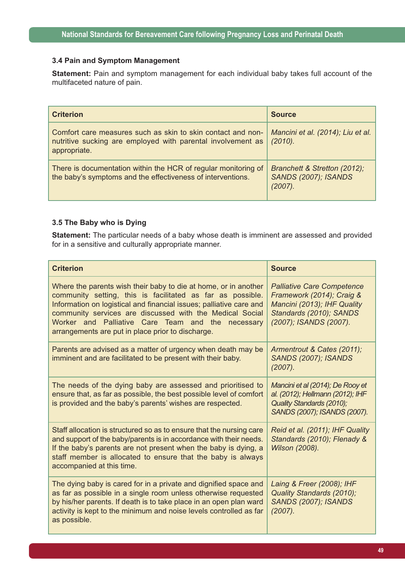#### **3.4 Pain and Symptom Management**

**Statement:** Pain and symptom management for each individual baby takes full account of the multifaceted nature of pain.

| <b>Criterion</b>                                                                                                                           | <b>Source</b>                                                          |
|--------------------------------------------------------------------------------------------------------------------------------------------|------------------------------------------------------------------------|
| Comfort care measures such as skin to skin contact and non-<br>nutritive sucking are employed with parental involvement as<br>appropriate. | Mancini et al. (2014); Liu et al.<br>(2010).                           |
| There is documentation within the HCR of regular monitoring of<br>the baby's symptoms and the effectiveness of interventions.              | Branchett & Stretton (2012);<br><b>SANDS (2007); ISANDS</b><br>(2007). |

## **3.5 The Baby who is Dying**

**Statement:** The particular needs of a baby whose death is imminent are assessed and provided for in a sensitive and culturally appropriate manner.

| <b>Criterion</b>                                                                                                                                                                                                                                                                                                                                                           | <b>Source</b>                                                                                                                                      |
|----------------------------------------------------------------------------------------------------------------------------------------------------------------------------------------------------------------------------------------------------------------------------------------------------------------------------------------------------------------------------|----------------------------------------------------------------------------------------------------------------------------------------------------|
| Where the parents wish their baby to die at home, or in another<br>community setting, this is facilitated as far as possible.<br>Information on logistical and financial issues; palliative care and<br>community services are discussed with the Medical Social<br>Worker and Palliative Care Team and the necessary<br>arrangements are put in place prior to discharge. | <b>Palliative Care Competence</b><br>Framework (2014); Craig &<br>Mancini (2013); IHF Quality<br>Standards (2010); SANDS<br>(2007); ISANDS (2007). |
| Parents are advised as a matter of urgency when death may be<br>imminent and are facilitated to be present with their baby.                                                                                                                                                                                                                                                | Armentrout & Cates (2011);<br><b>SANDS (2007); ISANDS</b><br>(2007).                                                                               |
| The needs of the dying baby are assessed and prioritised to<br>ensure that, as far as possible, the best possible level of comfort<br>is provided and the baby's parents' wishes are respected.                                                                                                                                                                            | Mancini et al (2014); De Rooy et<br>al. (2012); Hellmann (2012); IHF<br>Quality Standards (2010);<br>SANDS (2007); ISANDS (2007).                  |
| Staff allocation is structured so as to ensure that the nursing care<br>and support of the baby/parents is in accordance with their needs.<br>If the baby's parents are not present when the baby is dying, a<br>staff member is allocated to ensure that the baby is always<br>accompanied at this time.                                                                  | Reid et al. (2011); IHF Quality<br>Standards (2010); Flenady &<br><b>Wilson (2008).</b>                                                            |
| The dying baby is cared for in a private and dignified space and<br>as far as possible in a single room unless otherwise requested<br>by his/her parents. If death is to take place in an open plan ward<br>activity is kept to the minimum and noise levels controlled as far<br>as possible.                                                                             | Laing & Freer (2008); IHF<br>Quality Standards (2010);<br><b>SANDS (2007); ISANDS</b><br>$(2007)$ .                                                |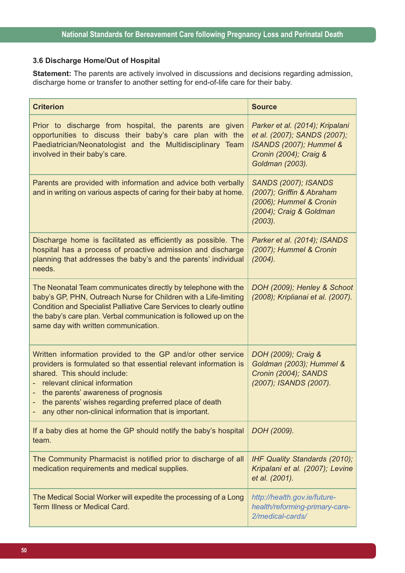# **3.6 Discharge Home/Out of Hospital**

**Statement:** The parents are actively involved in discussions and decisions regarding admission, discharge home or transfer to another setting for end-of-life care for their baby.

| <b>Criterion</b>                                                                                                                                                                                                                                                                                                                                            | <b>Source</b>                                                                                                                           |
|-------------------------------------------------------------------------------------------------------------------------------------------------------------------------------------------------------------------------------------------------------------------------------------------------------------------------------------------------------------|-----------------------------------------------------------------------------------------------------------------------------------------|
| Prior to discharge from hospital, the parents are given<br>opportunities to discuss their baby's care plan with the<br>Paediatrician/Neonatologist and the Multidisciplinary Team<br>involved in their baby's care.                                                                                                                                         | Parker et al. (2014); Kripalani<br>et al. (2007); SANDS (2007);<br>ISANDS (2007); Hummel &<br>Cronin (2004); Craig &<br>Goldman (2003). |
| Parents are provided with information and advice both verbally<br>and in writing on various aspects of caring for their baby at home.                                                                                                                                                                                                                       | <b>SANDS (2007); ISANDS</b><br>(2007); Griffin & Abraham<br>(2006); Hummel & Cronin<br>(2004); Craig & Goldman<br>(2003).               |
| Discharge home is facilitated as efficiently as possible. The<br>hospital has a process of proactive admission and discharge<br>planning that addresses the baby's and the parents' individual<br>needs.                                                                                                                                                    | Parker et al. (2014); ISANDS<br>(2007); Hummel & Cronin<br>(2004).                                                                      |
| The Neonatal Team communicates directly by telephone with the<br>baby's GP, PHN, Outreach Nurse for Children with a Life-limiting<br>Condition and Specialist Palliative Care Services to clearly outline<br>the baby's care plan. Verbal communication is followed up on the<br>same day with written communication.                                       | DOH (2009); Henley & Schoot<br>(2008); Kriplianai et al. (2007).                                                                        |
| Written information provided to the GP and/or other service<br>providers is formulated so that essential relevant information is<br>shared. This should include:<br>relevant clinical information<br>the parents' awareness of prognosis<br>the parents' wishes regarding preferred place of death<br>any other non-clinical information that is important. | DOH (2009); Craig &<br>Goldman (2003); Hummel &<br>Cronin (2004); SANDS<br>(2007); ISANDS (2007).                                       |
| If a baby dies at home the GP should notify the baby's hospital<br>team.                                                                                                                                                                                                                                                                                    | DOH (2009).                                                                                                                             |
| The Community Pharmacist is notified prior to discharge of all<br>medication requirements and medical supplies.                                                                                                                                                                                                                                             | IHF Quality Standards (2010);<br>Kripalani et al. (2007); Levine<br>et al. (2001).                                                      |
| The Medical Social Worker will expedite the processing of a Long<br><b>Term Illness or Medical Card.</b>                                                                                                                                                                                                                                                    | http://health.gov.ie/future-<br>health/reforming-primary-care-<br>2/medical-cards/                                                      |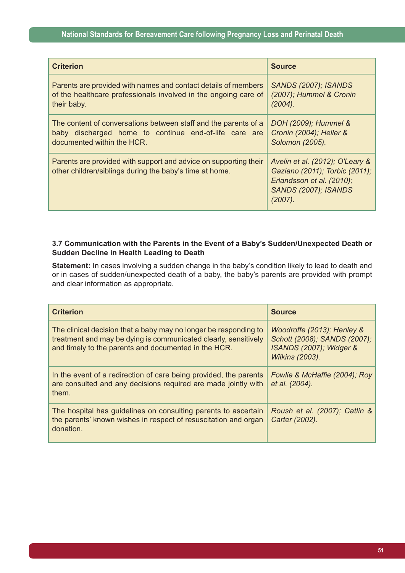| <b>Criterion</b>                                                                                                            | <b>Source</b>                                                                                                                               |
|-----------------------------------------------------------------------------------------------------------------------------|---------------------------------------------------------------------------------------------------------------------------------------------|
| Parents are provided with names and contact details of members                                                              | <b>SANDS (2007); ISANDS</b>                                                                                                                 |
| of the healthcare professionals involved in the ongoing care of                                                             | (2007); Hummel & Cronin                                                                                                                     |
| their baby.                                                                                                                 | (2004).                                                                                                                                     |
| The content of conversations between staff and the parents of a                                                             | DOH (2009); Hummel &                                                                                                                        |
| baby discharged home to continue end-of-life care are                                                                       | Cronin (2004); Heller &                                                                                                                     |
| documented within the HCR.                                                                                                  | Solomon (2005).                                                                                                                             |
| Parents are provided with support and advice on supporting their<br>other children/siblings during the baby's time at home. | Avelin et al. (2012); O'Leary &<br>Gaziano (2011); Torbic (2011);<br>Erlandsson et al. (2010);<br><b>SANDS (2007); ISANDS</b><br>$(2007)$ . |

#### **3.7 Communication with the Parents in the Event of a Baby's Sudden/Unexpected Death or Sudden Decline in Health Leading to Death**

**Statement:** In cases involving a sudden change in the baby's condition likely to lead to death and or in cases of sudden/unexpected death of a baby, the baby's parents are provided with prompt and clear information as appropriate.

| <b>Criterion</b>                                                                                                                                                                            | <b>Source</b>                                                                                                   |
|---------------------------------------------------------------------------------------------------------------------------------------------------------------------------------------------|-----------------------------------------------------------------------------------------------------------------|
| The clinical decision that a baby may no longer be responding to<br>treatment and may be dying is communicated clearly, sensitively<br>and timely to the parents and documented in the HCR. | Woodroffe (2013); Henley &<br>Schott (2008); SANDS (2007);<br>ISANDS (2007); Widger &<br><b>Wilkins (2003).</b> |
| In the event of a redirection of care being provided, the parents<br>are consulted and any decisions required are made jointly with<br>them.                                                | Fowlie & McHaffie (2004); Roy<br>et al. (2004).                                                                 |
| The hospital has guidelines on consulting parents to ascertain<br>the parents' known wishes in respect of resuscitation and organ<br>donation.                                              | Roush et al. (2007); Catlin &<br>Carter (2002).                                                                 |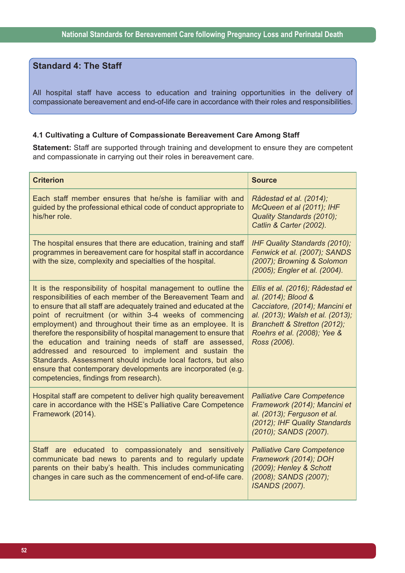# **Standard 4: The Staff**

All hospital staff have access to education and training opportunities in the delivery of compassionate bereavement and end-of-life care in accordance with their roles and responsibilities.

### **4.1 Cultivating a Culture of Compassionate Bereavement Care Among Staff**

**Statement:** Staff are supported through training and development to ensure they are competent and compassionate in carrying out their roles in bereavement care.

| <b>Criterion</b>                                                                                                                                                                                                                                                                                                                                                                                                                                                                                                                                                                                                                                                                                  | <b>Source</b>                                                                                                                                                                                                |
|---------------------------------------------------------------------------------------------------------------------------------------------------------------------------------------------------------------------------------------------------------------------------------------------------------------------------------------------------------------------------------------------------------------------------------------------------------------------------------------------------------------------------------------------------------------------------------------------------------------------------------------------------------------------------------------------------|--------------------------------------------------------------------------------------------------------------------------------------------------------------------------------------------------------------|
| Each staff member ensures that he/she is familiar with and<br>guided by the professional ethical code of conduct appropriate to<br>his/her role.                                                                                                                                                                                                                                                                                                                                                                                                                                                                                                                                                  | Rådestad et al. (2014);<br>McQueen et al (2011); IHF<br>Quality Standards (2010);<br>Catlin & Carter (2002).                                                                                                 |
| The hospital ensures that there are education, training and staff<br>programmes in bereavement care for hospital staff in accordance<br>with the size, complexity and specialties of the hospital.                                                                                                                                                                                                                                                                                                                                                                                                                                                                                                | IHF Quality Standards (2010);<br>Fenwick et al. (2007); SANDS<br>(2007); Browning & Solomon<br>(2005); Engler et al. (2004).                                                                                 |
| It is the responsibility of hospital management to outline the<br>responsibilities of each member of the Bereavement Team and<br>to ensure that all staff are adequately trained and educated at the<br>point of recruitment (or within 3-4 weeks of commencing<br>employment) and throughout their time as an employee. It is<br>therefore the responsibility of hospital management to ensure that<br>the education and training needs of staff are assessed,<br>addressed and resourced to implement and sustain the<br>Standards. Assessment should include local factors, but also<br>ensure that contemporary developments are incorporated (e.g.<br>competencies, findings from research). | Ellis et al. (2016); Rådestad et<br>al. (2014); Blood &<br>Cacciatore, (2014); Mancini et<br>al. (2013); Walsh et al. (2013);<br>Branchett & Stretton (2012);<br>Roehrs et al. (2008); Yee &<br>Ross (2006). |
| Hospital staff are competent to deliver high quality bereavement<br>care in accordance with the HSE's Palliative Care Competence<br>Framework (2014).                                                                                                                                                                                                                                                                                                                                                                                                                                                                                                                                             | <b>Palliative Care Competence</b><br>Framework (2014); Mancini et<br>al. (2013); Ferguson et al.<br>(2012); IHF Quality Standards<br>(2010); SANDS (2007).                                                   |
| Staff are educated to compassionately and sensitively<br>communicate bad news to parents and to regularly update<br>parents on their baby's health. This includes communicating<br>changes in care such as the commencement of end-of-life care.                                                                                                                                                                                                                                                                                                                                                                                                                                                  | <b>Palliative Care Competence</b><br>Framework (2014); DOH<br>(2009); Henley & Schott<br>(2008); SANDS (2007);<br><b>ISANDS (2007).</b>                                                                      |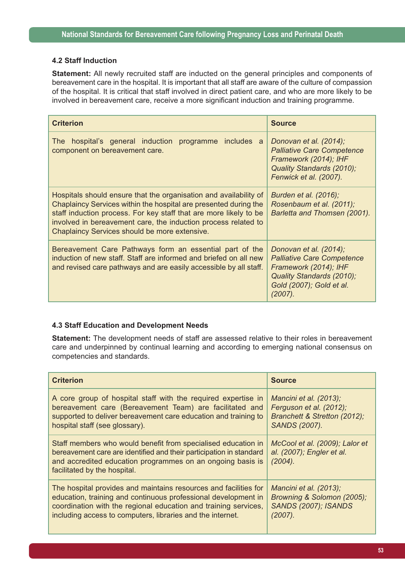### **4.2 Staff Induction**

**Statement:** All newly recruited staff are inducted on the general principles and components of bereavement care in the hospital. It is important that all staff are aware of the culture of compassion of the hospital. It is critical that staff involved in direct patient care, and who are more likely to be involved in bereavement care, receive a more significant induction and training programme.

| <b>Criterion</b>                                                                                                                                                                                                                                                                                                              | <b>Source</b>                                                                                                                                               |
|-------------------------------------------------------------------------------------------------------------------------------------------------------------------------------------------------------------------------------------------------------------------------------------------------------------------------------|-------------------------------------------------------------------------------------------------------------------------------------------------------------|
| hospital's general induction<br>includes a<br>The l<br>programme<br>component on bereavement care.                                                                                                                                                                                                                            | Donovan et al. (2014);<br><b>Palliative Care Competence</b><br>Framework (2014); IHF<br>Quality Standards (2010);<br>Fenwick et al. (2007).                 |
| Hospitals should ensure that the organisation and availability of<br>Chaplaincy Services within the hospital are presented during the<br>staff induction process. For key staff that are more likely to be<br>involved in bereavement care, the induction process related to<br>Chaplaincy Services should be more extensive. | Burden et al. (2016);<br>Rosenbaum et al. (2011);<br>Barletta and Thomsen (2001).                                                                           |
| Bereavement Care Pathways form an essential part of the<br>induction of new staff. Staff are informed and briefed on all new<br>and revised care pathways and are easily accessible by all staff.                                                                                                                             | Donovan et al. (2014);<br><b>Palliative Care Competence</b><br>Framework (2014); IHF<br>Quality Standards (2010);<br>Gold (2007); Gold et al.<br>$(2007)$ . |

### **4.3 Staff Education and Development Needs**

**Statement:** The development needs of staff are assessed relative to their roles in bereavement care and underpinned by continual learning and according to emerging national consensus on competencies and standards.

| <b>Criterion</b>                                                                                                                                                                                                                   | <b>Source</b>                                                          |
|------------------------------------------------------------------------------------------------------------------------------------------------------------------------------------------------------------------------------------|------------------------------------------------------------------------|
| A core group of hospital staff with the required expertise in                                                                                                                                                                      | Mancini et al. (2013);                                                 |
| bereavement care (Bereavement Team) are facilitated and                                                                                                                                                                            | Ferguson et al. (2012);                                                |
| supported to deliver bereavement care education and training to                                                                                                                                                                    | Branchett & Stretton (2012);                                           |
| hospital staff (see glossary).                                                                                                                                                                                                     | <b>SANDS (2007).</b>                                                   |
| Staff members who would benefit from specialised education in<br>bereavement care are identified and their participation in standard<br>and accredited education programmes on an ongoing basis is<br>facilitated by the hospital. | McCool et al. (2009); Lalor et<br>al. (2007); Engler et al.<br>(2004). |
| The hospital provides and maintains resources and facilities for                                                                                                                                                                   | Mancini et al. (2013);                                                 |
| education, training and continuous professional development in                                                                                                                                                                     | Browning & Solomon (2005);                                             |
| coordination with the regional education and training services,                                                                                                                                                                    | <b>SANDS (2007); ISANDS</b>                                            |
| including access to computers, libraries and the internet.                                                                                                                                                                         | $(2007)$ .                                                             |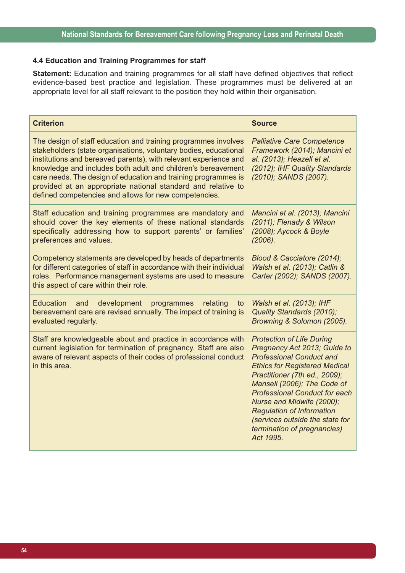#### **4.4 Education and Training Programmes for staff**

**Statement:** Education and training programmes for all staff have defined objectives that reflect evidence-based best practice and legislation. These programmes must be delivered at an appropriate level for all staff relevant to the position they hold within their organisation.

| <b>Criterion</b>                                                                                                                                                                                                                                                                                                                                                                                                                                                  | <b>Source</b>                                                                                                                                                                                                                                                                                                                                                                                       |
|-------------------------------------------------------------------------------------------------------------------------------------------------------------------------------------------------------------------------------------------------------------------------------------------------------------------------------------------------------------------------------------------------------------------------------------------------------------------|-----------------------------------------------------------------------------------------------------------------------------------------------------------------------------------------------------------------------------------------------------------------------------------------------------------------------------------------------------------------------------------------------------|
| The design of staff education and training programmes involves<br>stakeholders (state organisations, voluntary bodies, educational<br>institutions and bereaved parents), with relevant experience and<br>knowledge and includes both adult and children's bereavement<br>care needs. The design of education and training programmes is<br>provided at an appropriate national standard and relative to<br>defined competencies and allows for new competencies. | <b>Palliative Care Competence</b><br>Framework (2014); Mancini et<br>al. (2013); Heazell et al.<br>(2012); IHF Quality Standards<br>(2010); SANDS (2007).                                                                                                                                                                                                                                           |
| Staff education and training programmes are mandatory and<br>should cover the key elements of these national standards<br>specifically addressing how to support parents' or families'<br>preferences and values.                                                                                                                                                                                                                                                 | Mancini et al. (2013); Mancini<br>(2011); Flenady & Wilson<br>(2008); Aycock & Boyle<br>(2006).                                                                                                                                                                                                                                                                                                     |
| Competency statements are developed by heads of departments<br>for different categories of staff in accordance with their individual<br>roles. Performance management systems are used to measure<br>this aspect of care within their role.                                                                                                                                                                                                                       | Blood & Cacciatore (2014);<br>Walsh et al. (2013); Catlin &<br>Carter (2002); SANDS (2007).                                                                                                                                                                                                                                                                                                         |
| <b>Education</b><br>development<br>and<br>programmes<br>relating<br>to<br>bereavement care are revised annually. The impact of training is<br>evaluated regularly.                                                                                                                                                                                                                                                                                                | Walsh et al. (2013); IHF<br>Quality Standards (2010);<br>Browning & Solomon (2005).                                                                                                                                                                                                                                                                                                                 |
| Staff are knowledgeable about and practice in accordance with<br>current legislation for termination of pregnancy. Staff are also<br>aware of relevant aspects of their codes of professional conduct<br>in this area.                                                                                                                                                                                                                                            | <b>Protection of Life During</b><br>Pregnancy Act 2013; Guide to<br><b>Professional Conduct and</b><br><b>Ethics for Registered Medical</b><br>Practitioner (7th ed., 2009);<br>Mansell (2006); The Code of<br><b>Professional Conduct for each</b><br>Nurse and Midwife (2000);<br><b>Regulation of Information</b><br>(services outside the state for<br>termination of pregnancies)<br>Act 1995. |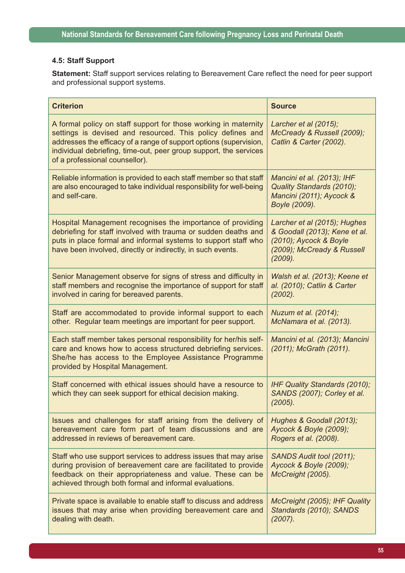## **4.5: Staff Support**

**Statement:** Staff support services relating to Bereavement Care reflect the need for peer support and professional support systems.

| <b>Criterion</b>                                                                                                                                                                                                                                                                                           | <b>Source</b>                                                                                                                    |
|------------------------------------------------------------------------------------------------------------------------------------------------------------------------------------------------------------------------------------------------------------------------------------------------------------|----------------------------------------------------------------------------------------------------------------------------------|
| A formal policy on staff support for those working in maternity<br>settings is devised and resourced. This policy defines and<br>addresses the efficacy of a range of support options (supervision,<br>individual debriefing, time-out, peer group support, the services<br>of a professional counsellor). | Larcher et al (2015);<br>McCready & Russell (2009);<br>Catlin & Carter (2002).                                                   |
| Reliable information is provided to each staff member so that staff<br>are also encouraged to take individual responsibility for well-being<br>and self-care.                                                                                                                                              | Mancini et al. (2013); IHF<br>Quality Standards (2010);<br>Mancini (2011); Aycock &<br>Boyle (2009).                             |
| Hospital Management recognises the importance of providing<br>debriefing for staff involved with trauma or sudden deaths and<br>puts in place formal and informal systems to support staff who<br>have been involved, directly or indirectly, in such events.                                              | Larcher et al (2015); Hughes<br>& Goodall (2013); Kene et al.<br>(2010); Aycock & Boyle<br>(2009); McCready & Russell<br>(2009). |
| Senior Management observe for signs of stress and difficulty in<br>staff members and recognise the importance of support for staff<br>involved in caring for bereaved parents.                                                                                                                             | Walsh et al. (2013); Keene et<br>al. (2010); Catlin & Carter<br>(2002).                                                          |
| Staff are accommodated to provide informal support to each<br>other. Regular team meetings are important for peer support.                                                                                                                                                                                 | Nuzum et al. (2014);<br>McNamara et al. (2013).                                                                                  |
| Each staff member takes personal responsibility for her/his self-<br>care and knows how to access structured debriefing services.<br>She/he has access to the Employee Assistance Programme<br>provided by Hospital Management.                                                                            | Mancini et al. (2013); Mancini<br>(2011); McGrath (2011).                                                                        |
| Staff concerned with ethical issues should have a resource to<br>which they can seek support for ethical decision making.                                                                                                                                                                                  | IHF Quality Standards (2010);<br>SANDS (2007); Corley et al.<br>(2005).                                                          |
| Issues and challenges for staff arising from the delivery of<br>bereavement care form part of team discussions and are<br>addressed in reviews of bereavement care.                                                                                                                                        | Hughes & Goodall (2013);<br>Aycock & Boyle (2009);<br>Rogers et al. (2008).                                                      |
| Staff who use support services to address issues that may arise<br>during provision of bereavement care are facilitated to provide<br>feedback on their appropriateness and value. These can be<br>achieved through both formal and informal evaluations.                                                  | SANDS Audit tool (2011);<br>Aycock & Boyle (2009);<br>McCreight (2005).                                                          |
| Private space is available to enable staff to discuss and address<br>issues that may arise when providing bereavement care and<br>dealing with death.                                                                                                                                                      | McCreight (2005); IHF Quality<br>Standards (2010); SANDS<br>$(2007)$ .                                                           |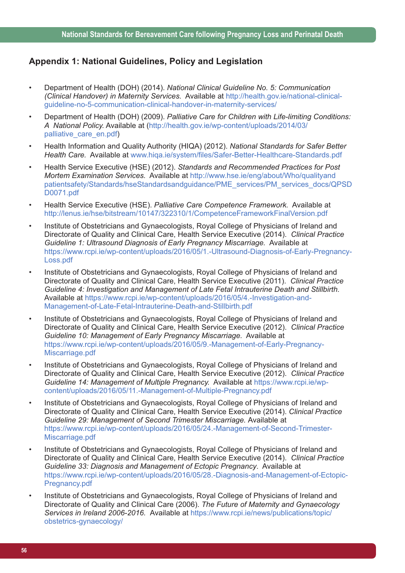## **Appendix 1: National Guidelines, Policy and Legislation**

- Department of Health (DOH) (2014). *National Clinical Guideline No. 5: Communication (Clinical Handover) in Maternity Services.* Available at http://health.gov.ie/national-clinicalguideline-no-5-communication-clinical-handover-in-maternity-services/
- Department of Health (DOH) (2009). *Palliative Care for Children with Life-limiting Conditions: A National Policy.* Available at (http://health.gov.ie/wp-content/uploads/2014/03/ palliative\_care\_en.pdf)
- Health Information and Quality Authority (HIQA) (2012). *National Standards for Safer Better Health Care.* Available at www.hiqa.ie/system/files/Safer-Better-Healthcare-Standards.pdf
- Health Service Executive (HSE) (2012). *Standards and Recommended Practices for Post Mortem Examination Services.* Available at http://www.hse.ie/eng/about/Who/qualityand patientsafety/Standards/hseStandardsandguidance/PME\_services/PM\_services\_docs/QPSD D0071.pdf
- Health Service Executive (HSE). *Palliative Care Competence Framework.* Available at http://lenus.ie/hse/bitstream/10147/322310/1/CompetenceFrameworkFinalVersion.pdf
- Institute of Obstetricians and Gynaecologists, Royal College of Physicians of Ireland and Directorate of Quality and Clinical Care, Health Service Executive (2014). *Clinical Practice Guideline 1: Ultrasound Diagnosis of Early Pregnancy Miscarriage.* Available at https://www.rcpi.ie/wp-content/uploads/2016/05/1.-Ultrasound-Diagnosis-of-Early-Pregnancy-Loss.pdf
- Institute of Obstetricians and Gynaecologists, Royal College of Physicians of Ireland and Directorate of Quality and Clinical Care, Health Service Executive (2011). *Clinical Practice Guideline 4: Investigation and Management of Late Fetal Intrauterine Death and Stillbirth.* Available at https://www.rcpi.ie/wp-content/uploads/2016/05/4.-Investigation-and-Management-of-Late-Fetal-Intrauterine-Death-and-Stillbirth.pdf
- Institute of Obstetricians and Gynaecologists, Royal College of Physicians of Ireland and Directorate of Quality and Clinical Care, Health Service Executive (2012). *Clinical Practice Guideline 10: Management of Early Pregnancy Miscarriage.* Available at https://www.rcpi.ie/wp-content/uploads/2016/05/9.-Management-of-Early-Pregnancy-Miscarriage.pdf
- Institute of Obstetricians and Gynaecologists, Royal College of Physicians of Ireland and Directorate of Quality and Clinical Care, Health Service Executive (2012). *Clinical Practice Guideline 14: Management of Multiple Pregnancy.* Available at https://www.rcpi.ie/wpcontent/uploads/2016/05/11.-Management-of-Multiple-Pregnancy.pdf
- Institute of Obstetricians and Gynaecologists, Royal College of Physicians of Ireland and Directorate of Quality and Clinical Care, Health Service Executive (2014). *Clinical Practice Guideline 29: Management of Second Trimester Miscarriage.* Available at https://www.rcpi.ie/wp-content/uploads/2016/05/24.-Management-of-Second-Trimester-Miscarriage.pdf
- Institute of Obstetricians and Gynaecologists, Royal College of Physicians of Ireland and Directorate of Quality and Clinical Care, Health Service Executive (2014). *Clinical Practice Guideline 33: Diagnosis and Management of Ectopic Pregnancy*. Available at https://www.rcpi.ie/wp-content/uploads/2016/05/28.-Diagnosis-and-Management-of-Ectopic-Pregnancy.pdf
- Institute of Obstetricians and Gynaecologists, Royal College of Physicians of Ireland and Directorate of Quality and Clinical Care (2006). *The Future of Maternity and Gynaecology Services in Ireland 2006-2016.* Available at https://www.rcpi.ie/news/publications/topic/ obstetrics-gynaecology/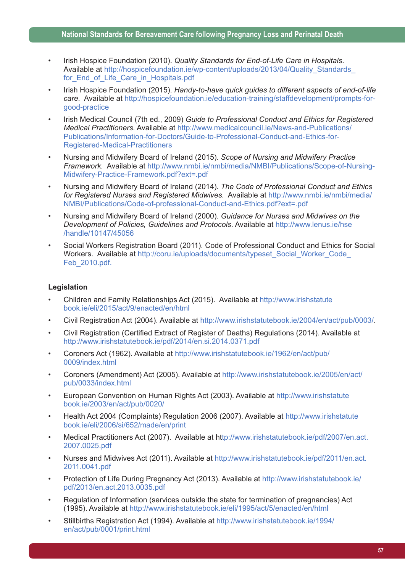- Irish Hospice Foundation (2010). *Quality Standards for End-of-Life Care in Hospitals.* Available at http://hospicefoundation.ie/wp-content/uploads/2013/04/Quality\_Standards for End of Life Care in Hospitals.pdf
- Irish Hospice Foundation (2015). *Handy-to-have quick guides to different aspects of end-of-life care.* Available at http://hospicefoundation.ie/education-training/staffdevelopment/prompts-forgood-practice
- Irish Medical Council (7th ed., 2009) *Guide to Professional Conduct and Ethics for Registered Medical Practitioners.* Available at http://www.medicalcouncil.ie/News-and-Publications/ Publications/Information-for-Doctors/Guide-to-Professional-Conduct-and-Ethics-for-Registered-Medical-Practitioners
- Nursing and Midwifery Board of Ireland (2015). *Scope of Nursing and Midwifery Practice Framework.* Available at http://www.nmbi.ie/nmbi/media/NMBI/Publications/Scope-of-Nursing-Midwifery-Practice-Framework.pdf?ext=.pdf
- Nursing and Midwifery Board of Ireland (2014). *The Code of Professional Conduct and Ethics for Registered Nurses and Registered Midwives.* Available at http://www.nmbi.ie/nmbi/media/ NMBI/Publications/Code-of-professional-Conduct-and-Ethics.pdf?ext=.pdf
- Nursing and Midwifery Board of Ireland (2000). *Guidance for Nurses and Midwives on the Development of Policies, Guidelines and Protocols*. Available at http://www.lenus.ie/hse /handle/10147/45056
- Social Workers Registration Board (2011). Code of Professional Conduct and Ethics for Social Workers. Available at http://coru.ie/uploads/documents/typeset\_Social\_Worker\_Code Feb\_2010.pdf.

### **Legislation**

- Children and Family Relationships Act (2015). Available at http://www.irishstatute book.ie/eli/2015/act/9/enacted/en/html
- Civil Registration Act (2004). Available at http://www.irishstatutebook.ie/2004/en/act/pub/0003/.
- Civil Registration (Certified Extract of Register of Deaths) Regulations (2014). Available at http://www.irishstatutebook.ie/pdf/2014/en.si.2014.0371.pdf
- Coroners Act (1962). Available at http://www.irishstatutebook.ie/1962/en/act/pub/ 0009/index.html
- Coroners (Amendment) Act (2005). Available at http://www.irishstatutebook.ie/2005/en/act/ pub/0033/index.html
- European Convention on Human Rights Act (2003). Available at http://www.irishstatute book.ie/2003/en/act/pub/0020/
- Health Act 2004 (Complaints) Regulation 2006 (2007). Available at http://www.irishstatute book.ie/eli/2006/si/652/made/en/print
- Medical Practitioners Act (2007). Available at http://www.irishstatutebook.ie/pdf/2007/en.act. 2007.0025.pdf
- Nurses and Midwives Act (2011). Available at http://www.irishstatutebook.ie/pdf/2011/en.act. 2011.0041.pdf
- Protection of Life During Pregnancy Act (2013). Available at http://www.irishstatutebook.ie/ pdf/2013/en.act.2013.0035.pdf
- Regulation of Information (services outside the state for termination of pregnancies) Act (1995). Available at http://www.irishstatutebook.ie/eli/1995/act/5/enacted/en/html
- Stillbirths Registration Act (1994). Available at http://www.irishstatutebook.ie/1994/ en/act/pub/0001/print.html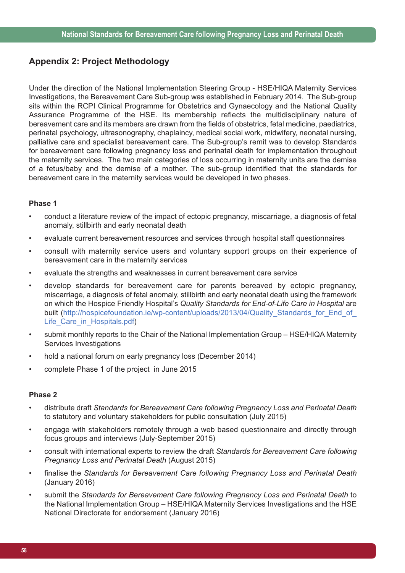# **Appendix 2: Project Methodology**

Under the direction of the National Implementation Steering Group - HSE/HIQA Maternity Services Investigations, the Bereavement Care Sub-group was established in February 2014. The Sub-group sits within the RCPI Clinical Programme for Obstetrics and Gynaecology and the National Quality Assurance Programme of the HSE. Its membership reflects the multidisciplinary nature of bereavement care and its members are drawn from the fields of obstetrics, fetal medicine, paediatrics, perinatal psychology, ultrasonography, chaplaincy, medical social work, midwifery, neonatal nursing, palliative care and specialist bereavement care. The Sub-group's remit was to develop Standards for bereavement care following pregnancy loss and perinatal death for implementation throughout the maternity services. The two main categories of loss occurring in maternity units are the demise of a fetus/baby and the demise of a mother. The sub-group identified that the standards for bereavement care in the maternity services would be developed in two phases.

#### **Phase 1**

- conduct a literature review of the impact of ectopic pregnancy, miscarriage, a diagnosis of fetal anomaly, stillbirth and early neonatal death
- evaluate current bereavement resources and services through hospital staff questionnaires
- consult with maternity service users and voluntary support groups on their experience of bereavement care in the maternity services
- evaluate the strengths and weaknesses in current bereavement care service
- develop standards for bereavement care for parents bereaved by ectopic pregnancy, miscarriage, a diagnosis of fetal anomaly, stillbirth and early neonatal death using the framework on which the Hospice Friendly Hospital's *Quality Standards for End-of-Life Care in Hospital* are built (http://hospicefoundation.ie/wp-content/uploads/2013/04/Quality\_Standards\_for\_End\_of Life\_Care\_in\_Hospitals.pdf)
- submit monthly reports to the Chair of the National Implementation Group HSE/HIQA Maternity Services Investigations
- hold a national forum on early pregnancy loss (December 2014)
- complete Phase 1 of the project in June 2015

#### **Phase 2**

- distribute draft *Standards for Bereavement Care following Pregnancy Loss and Perinatal Death* to statutory and voluntary stakeholders for public consultation (July 2015)
- engage with stakeholders remotely through a web based questionnaire and directly through focus groups and interviews (July-September 2015)
- consult with international experts to review the draft *Standards for Bereavement Care following Pregnancy Loss and Perinatal Death* (August 2015)
- finalise the *Standards for Bereavement Care following Pregnancy Loss and Perinatal Death* (January 2016)
- submit the *Standards for Bereavement Care following Pregnancy Loss and Perinatal Death* to the National Implementation Group – HSE/HIQA Maternity Services Investigations and the HSE National Directorate for endorsement (January 2016)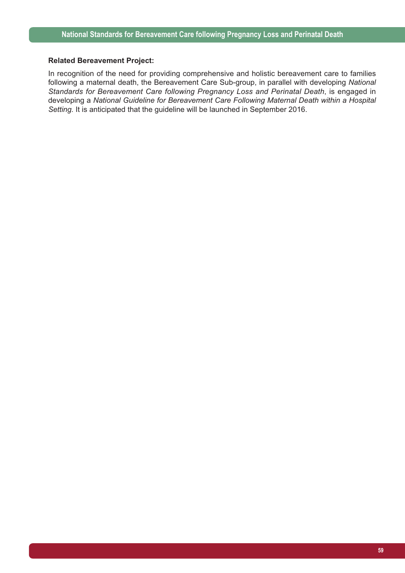#### **Related Bereavement Project:**

In recognition of the need for providing comprehensive and holistic bereavement care to families following a maternal death, the Bereavement Care Sub-group, in parallel with developing *National Standards for Bereavement Care following Pregnancy Loss and Perinatal Death*, is engaged in developing a *National Guideline for Bereavement Care Following Maternal Death within a Hospital Setting.* It is anticipated that the guideline will be launched in September 2016.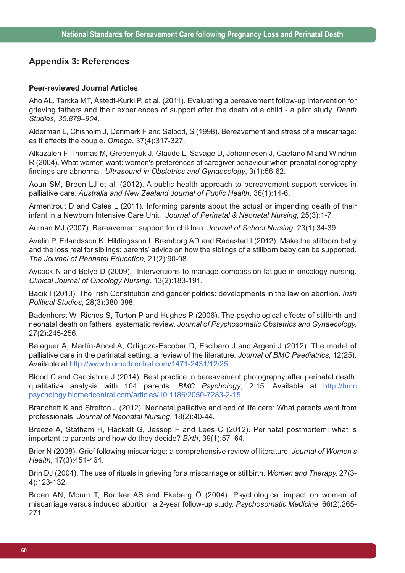## **Appendix 3: References**

#### **Peer-reviewed Journal Articles**

Aho AL, Tarkka MT, Åstedt-Kurki P, et al. (2011). Evaluating a bereavement follow-up intervention for grieving fathers and their experiences of support after the death of a child - a pilot study. *Death Studies, 35:879–904.*

Alderman L, Chisholm J, Denmark F and Salbod, S (1998). Bereavement and stress of a miscarriage: as it affects the couple. *Omega*, 37(4):317-327.

Alkazaleh F, Thomas M, Grebenyuk J, Glaude L, Savage D, Johannesen J, Caetano M and Windrim R (2004). What women want: women's preferences of caregiver behaviour when prenatal sonography findings are abnormal. *Ultrasound in Obstetrics and Gynaecology*, 3(1):56-62.

Aoun SM, Breen LJ et al. (2012). A public health approach to bereavement support services in palliative care. *Australia and New Zealand Journal of Public Health*, 36(1):14-6.

Armentrout D and Cates L (2011). Informing parents about the actual or impending death of their infant in a Newborn Intensive Care Unit. *Journal of Perinatal & Neonatal Nursing*, 25(3):1-7.

Auman MJ (2007). Bereavement support for children. *Journal of School Nursing*, 23(1):34-39.

Avelin P, Erlandsson K, Hildingsson I, Bremborg AD and Rådestad I (2012). Make the stillborn baby and the loss real for siblings: parents' advice on how the siblings of a stillborn baby can be supported. *The Journal of Perinatal Education,* 21(2):90-98.

Aycock N and Bolye D (2009). Interventions to manage compassion fatigue in oncology nursing. *Clinical Journal of Oncology Nursing,* 13(2):183-191.

Bacik I (2013). The Irish Constitution and gender politics: developments in the law on abortion. *Irish Political Studies*, 28(3):380-398.

Badenhorst W, Riches S, Turton P and Hughes P (2006). The psychological effects of stillbirth and neonatal death on fathers: systematic review. *Journal of Psychosomatic Obstetrics and Gynaecology,* 27(2):245-256.

Balaguer A, Martín-Ancel A, Ortigoza-Escobar D, Escibaro J and Argeni J (2012). The model of palliative care in the perinatal setting: a review of the literature. *Journal of BMC Paediatrics*, 12(25). Available at http://www.biomedcentral.com/1471-2431/12/25

Blood C and Cacciatore J (2014). Best practice in bereavement photography after perinatal death: qualitative analysis with 104 parents. *BMC Psychology*, 2:15. Available at http://bmc psychology.biomedcentral.com/articles/10.1186/2050-7283-2-15.

Branchett K and Stretton J (2012). Neonatal palliative and end of life care: What parents want from professionals. *Journal of Neonatal Nursing*, 18(2):40-44.

Breeze A, Statham H, Hackett G, Jessop F and Lees C (2012). Perinatal postmortem: what is important to parents and how do they decide? *Birth*, 39(1):57–64.

Brier N (2008). Grief following miscarriage: a comprehensive review of literature. *Journal of Women's Health*, 17(3):451-464.

Brin DJ (2004). The use of rituals in grieving for a miscarriage or stillbirth. *Women and Therapy,* 27(3- 4):123-132.

Broen AN, Moum T, Bödtker AS and Ekeberg Ö (2004). Psychological impact on women of miscarriage versus induced abortion: a 2-year follow-up study. *Psychosomatic Medicine*, 66(2):265- 271.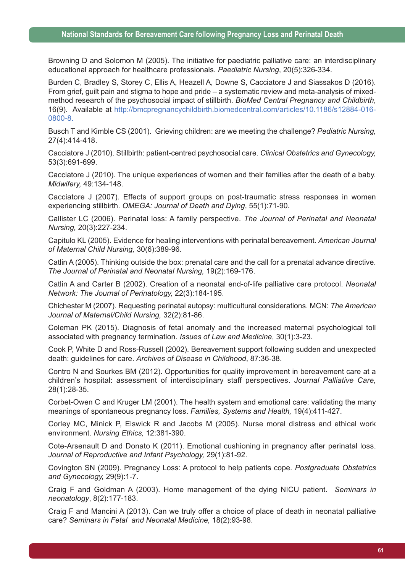Browning D and Solomon M (2005). The initiative for paediatric palliative care: an interdisciplinary educational approach for healthcare professionals. *Paediatric Nursing*, 20(5):326-334.

Burden C, Bradley S, Storey C, Ellis A, Heazell A, Downe S, Cacciatore J and Siassakos D (2016). From grief, guilt pain and stigma to hope and pride – a systematic review and meta-analysis of mixedmethod research of the psychosocial impact of stillbirth. *BioMed Central Pregnancy and Childbirth*, 16(9). Available at http://bmcpregnancychildbirth.biomedcentral.com/articles/10.1186/s12884-016- 0800-8.

Busch T and Kimble CS (2001). Grieving children: are we meeting the challenge? *Pediatric Nursing,* 27(4):414-418.

Cacciatore J (2010). Stillbirth: patient-centred psychosocial care. *Clinical Obstetrics and Gynecology,* 53(3):691-699.

Cacciatore J (2010). The unique experiences of women and their families after the death of a baby. *Midwifery,* 49:134-148.

Cacciatore J (2007). Effects of support groups on post-traumatic stress responses in women experiencing stillbirth. *OMEGA: Journal of Death and Dying*, 55(1):71-90.

Callister LC (2006). Perinatal loss: A family perspective. *The Journal of Perinatal and Neonatal Nursing,* 20(3):227-234.

Capitulo KL (2005). Evidence for healing interventions with perinatal bereavement. *American Journal of Maternal Child Nursing,* 30(6):389-96.

Catlin A (2005). Thinking outside the box: prenatal care and the call for a prenatal advance directive. *The Journal of Perinatal and Neonatal Nursing,* 19(2):169-176.

Catlin A and Carter B (2002). Creation of a neonatal end-of-life palliative care protocol. *Neonatal Network: The Journal of Perinatology,* 22(3):184-195.

Chichester M (2007). Requesting perinatal autopsy: multicultural considerations. MCN: *The American Journal of Maternal/Child Nursing,* 32(2):81-86.

Coleman PK (2015). Diagnosis of fetal anomaly and the increased maternal psychological toll associated with pregnancy termination. *Issues of Law and Medicine*, 30(1):3-23.

Cook P, White D and Ross-Russell (2002). Bereavement support following sudden and unexpected death: guidelines for care. *Archives of Disease in Childhood*, 87:36-38.

Contro N and Sourkes BM (2012). Opportunities for quality improvement in bereavement care at a children's hospital: assessment of interdisciplinary staff perspectives. *Journal Palliative Care,* 28(1):28-35.

Corbet-Owen C and Kruger LM (2001). The health system and emotional care: validating the many meanings of spontaneous pregnancy loss. *Families, Systems and Health,* 19(4):411-427.

Corley MC, Minick P, Elswick R and Jacobs M (2005). Nurse moral distress and ethical work environment. *Nursing Ethics,* 12:381-390.

Cote-Arsenault D and Donato K (2011). Emotional cushioning in pregnancy after perinatal loss. *Journal of Reproductive and Infant Psychology,* 29(1):81-92.

Covington SN (2009). Pregnancy Loss: A protocol to help patients cope. *Postgraduate Obstetrics and Gynecology,* 29(9):1-7.

Craig F and Goldman A (2003). Home management of the dying NICU patient. *Seminars in neonatology*, 8(2):177-183.

Craig F and Mancini A (2013). Can we truly offer a choice of place of death in neonatal palliative care? *Seminars in Fetal and Neonatal Medicine,* 18(2):93-98.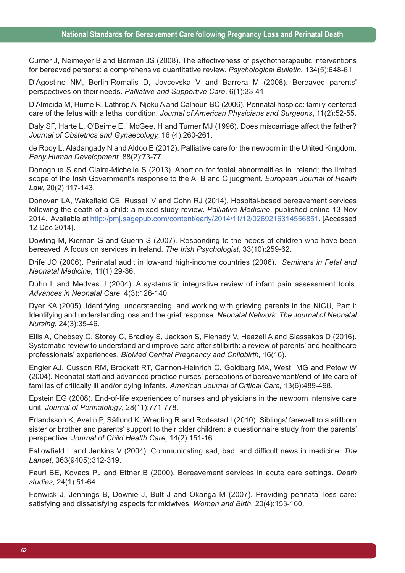Currier J, Neimeyer B and Berman JS (2008). The effectiveness of psychotherapeutic interventions for bereaved persons: a comprehensive quantitative review. *Psychological Bulletin,* 134(5):648-61.

D'Agostino NM, Berlin-Romalis D, Jovcevska V and Barrera M (2008). Bereaved parents' perspectives on their needs. *Palliative and Supportive Care*, 6(1):33-41.

D'Almeida M, Hume R, Lathrop A, Njoku A and Calhoun BC (2006). Perinatal hospice: family-centered care of the fetus with a lethal condition. *Journal of American Physicians and Surgeons*, 11(2):52-55.

Daly SF, Harte L, O'Beirne E, McGee, H and Turner MJ (1996). Does miscarriage affect the father? *Journal of Obstetrics and Gynaecology,* 16 (4):260-261.

de Rooy L, Aladangady N and Aldoo E (2012). Palliative care for the newborn in the United Kingdom. *Early Human Development,* 88(2):73-77.

Donoghue S and Claire-Michelle S (2013). Abortion for foetal abnormalities in Ireland; the limited scope of the Irish Government's response to the A, B and C judgment. *European Journal of Health Law,* 20(2):117-143.

Donovan LA, Wakefield CE, Russell V and Cohn RJ (2014). Hospital-based bereavement services following the death of a child: a mixed study review. *Palliative Medicine*, published online 13 Nov 2014. Available at http://pmj.sagepub.com/content/early/2014/11/12/0269216314556851. [Accessed 12 Dec 2014].

Dowling M, Kiernan G and Guerin S (2007). Responding to the needs of children who have been bereaved: A focus on services in Ireland. *The Irish Psychologist,* 33(10):259-62.

Drife JO (2006). Perinatal audit in low-and high-income countries (2006). *Seminars in Fetal and Neonatal Medicine,* 11(1):29-36.

Duhn L and Medves J (2004). A systematic integrative review of infant pain assessment tools. *Advances in Neonatal Care*, 4(3):126-140.

Dyer KA (2005). Identifying, understanding, and working with grieving parents in the NICU, Part I: Identifying and understanding loss and the grief response. *Neonatal Network: The Journal of Neonatal Nursing*, 24(3):35-46*.*

Ellis A, Chebsey C, Storey C, Bradley S, Jackson S, Flenady V, Heazell A and Siassakos D (2016). Systematic review to understand and improve care after stillbirth: a review of parents' and healthcare professionals' experiences. *BioMed Central Pregnancy and Childbirth,* 16(16).

Engler AJ, Cusson RM, Brockett RT, Cannon-Heinrich C, Goldberg MA, West MG and Petow W (2004). Neonatal staff and advanced practice nurses' perceptions of bereavement/end-of-life care of families of critically ill and/or dying infants. *American Journal of Critical Care,* 13(6):489-498.

Epstein EG (2008). End-of-life experiences of nurses and physicians in the newborn intensive care unit. *Journal of Perinatology*, 28(11):771-778.

Erlandsson K, Avelin P, Säflund K, Wredling R and Rodestad I (2010). Siblings' farewell to a stillborn sister or brother and parents' support to their older children: a questionnaire study from the parents' perspective. *Journal of Child Health Care,* 14(2):151-16.

Fallowfield L and Jenkins V (2004). Communicating sad, bad, and difficult news in medicine. *The Lancet*, 363(9405):312-319.

Fauri BE, Kovacs PJ and Ettner B (2000). Bereavement services in acute care settings. *Death studies,* 24(1):51-64.

Fenwick J, Jennings B, Downie J, Butt J and Okanga M (2007). Providing perinatal loss care: satisfying and dissatisfying aspects for midwives. *Women and Birth,* 20(4):153-160.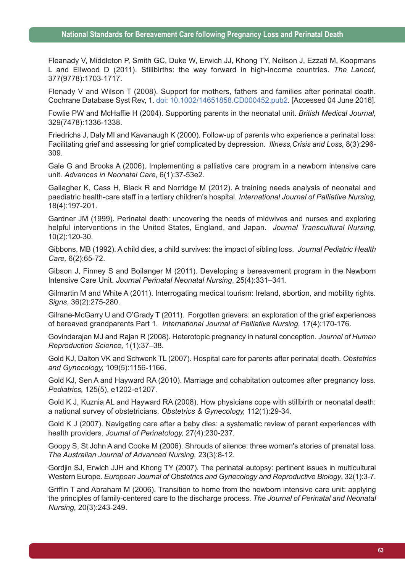Fleanady V, Middleton P, Smith GC, Duke W, Erwich JJ, Khong TY, Neilson J, Ezzati M, Koopmans L and Ellwood D (2011). Stillbirths: the way forward in high-income countries. *The Lancet,* 377(9778):1703-1717.

Flenady V and Wilson T (2008). Support for mothers, fathers and families after perinatal death. Cochrane Database Syst Rev, 1. doi: 10.1002/14651858.CD000452.pub2. [Accessed 04 June 2016].

Fowlie PW and McHaffie H (2004). Supporting parents in the neonatal unit. *British Medical Journal,* 329(7478):1336-1338.

Friedrichs J, Daly MI and Kavanaugh K (2000). Follow-up of parents who experience a perinatal loss: Facilitating grief and assessing for grief complicated by depression. *Illness,Crisis and Loss,* 8(3):296- 309.

Gale G and Brooks A (2006). Implementing a palliative care program in a newborn intensive care unit. *Advances in Neonatal Care*, 6(1):37-53e2.

Gallagher K, Cass H, Black R and Norridge M (2012). A training needs analysis of neonatal and paediatric health-care staff in a tertiary children's hospital. *International Journal of Palliative Nursing,* 18(4):197-201.

Gardner JM (1999). Perinatal death: uncovering the needs of midwives and nurses and exploring helpful interventions in the United States, England, and Japan. *Journal Transcultural Nursing*, 10(2):120-30.

Gibbons, MB (1992). A child dies, a child survives: the impact of sibling loss. *Journal Pediatric Health Care,* 6(2):65-72.

Gibson J, Finney S and Boilanger M (2011). Developing a bereavement program in the Newborn Intensive Care Unit. *Journal Perinatal Neonatal Nursing*, 25(4):331–341.

Gilmartin M and White A (2011). Interrogating medical tourism: Ireland, abortion, and mobility rights. *Signs*, 36(2):275-280.

Gilrane-McGarry U and O'Grady T (2011). Forgotten grievers: an exploration of the grief experiences of bereaved grandparents Part 1. *International Journal of Palliative Nursing,* 17(4):170-176.

Govindarajan MJ and Rajan R (2008). Heterotopic pregnancy in natural conception. *Journal of Human Reproduction Science,* 1(1):37–38.

Gold KJ, Dalton VK and Schwenk TL (2007). Hospital care for parents after perinatal death. *Obstetrics and Gynecology,* 109(5):1156-1166.

Gold KJ, Sen A and Hayward RA (2010). Marriage and cohabitation outcomes after pregnancy loss. *Pediatrics,* 125(5), e1202-e1207.

Gold K J, Kuznia AL and Hayward RA (2008). How physicians cope with stillbirth or neonatal death: a national survey of obstetricians. *Obstetrics & Gynecology,* 112(1):29-34.

Gold K J (2007). Navigating care after a baby dies: a systematic review of parent experiences with health providers. *Journal of Perinatology,* 27(4):230-237.

Goopy S, St John A and Cooke M (2006). Shrouds of silence: three women's stories of prenatal loss. *The Australian Journal of Advanced Nursing,* 23(3):8-12.

Gordjin SJ, Erwich JJH and Khong TY (2007). The perinatal autopsy: pertinent issues in multicultural Western Europe. *European Journal of Obstetrics and Gynecology and Reproductive Biology*, 32(1):3-7.

Griffin T and Abraham M (2006). Transition to home from the newborn intensive care unit: applying the principles of family-centered care to the discharge process. *The Journal of Perinatal and Neonatal Nursing,* 20(3):243-249.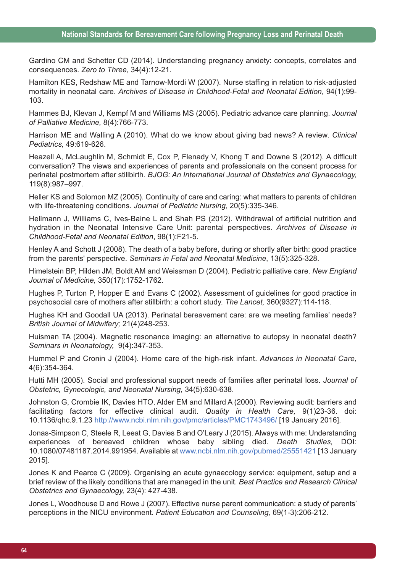Gardino CM and Schetter CD (2014). Understanding pregnancy anxiety: concepts, correlates and consequences. *Zero to Three*, 34(4):12-21.

Hamilton KES, Redshaw ME and Tarnow-Mordi W (2007). Nurse staffing in relation to risk-adjusted mortality in neonatal care. *Archives of Disease in Childhood-Fetal and Neonatal Edition*, 94(1):99- 103.

Hammes BJ, Klevan J, Kempf M and Williams MS (2005). Pediatric advance care planning. *Journal of Palliative Medicine,* 8(4):766-773.

Harrison ME and Walling A (2010). What do we know about giving bad news? A review. *Clinical Pediatrics,* 49:619-626.

Heazell A, McLaughlin M, Schmidt E, Cox P, Flenady V, Khong T and Downe S (2012). A difficult conversation? The views and experiences of parents and professionals on the consent process for perinatal postmortem after stillbirth. *BJOG: An International Journal of Obstetrics and Gynaecology,* 119(8):987–997.

Heller KS and Solomon MZ (2005). Continuity of care and caring: what matters to parents of children with life-threatening conditions. *Journal of Pediatric Nursing*, 20(5):335-346.

Hellmann J, Williams C, Ives-Baine L and Shah PS (2012). Withdrawal of artificial nutrition and hydration in the Neonatal Intensive Care Unit: parental perspectives. *Archives of Disease in Childhood-Fetal and Neonatal Edition*, 98(1):F21-5.

Henley A and Schott J (2008). The death of a baby before, during or shortly after birth: good practice from the parents' perspective. *Seminars in Fetal and Neonatal Medicine*, 13(5):325-328.

Himelstein BP, Hilden JM, Boldt AM and Weissman D (2004). Pediatric palliative care. *New England Journal of Medicine,* 350(17):1752-1762.

Hughes P, Turton P, Hopper E and Evans C (2002). Assessment of guidelines for good practice in psychosocial care of mothers after stillbirth: a cohort study. *The Lancet,* 360(9327):114-118.

Hughes KH and Goodall UA (2013). Perinatal bereavement care: are we meeting families' needs? *British Journal of Midwifery;* 21(4)248-253.

Huisman TA (2004). Magnetic resonance imaging: an alternative to autopsy in neonatal death? *Seminars in Neonatology,* 9(4):347-353.

Hummel P and Cronin J (2004). Home care of the high-risk infant. *Advances in Neonatal Care,* 4(6):354-364.

Hutti MH (2005). Social and professional support needs of families after perinatal loss. *Journal of Obstetric, Gynecologic, and Neonatal Nursing*, 34(5):630-638.

Johnston G, Crombie IK, Davies HTO, Alder EM and Millard A (2000). Reviewing audit: barriers and facilitating factors for effective clinical audit. *Quality in Health Care,* 9(1)23-36. doi: 10.1136/qhc.9.1.23 http://www.ncbi.nlm.nih.gov/pmc/articles/PMC1743496/ [19 January 2016].

Jonas-Simpson C, Steele R, Leeat G, Davies B and O'Leary J (2015). Always with me: Understanding experiences of bereaved children whose baby sibling died. *Death Studies,* DOI: 10.1080/07481187.2014.991954. Available at www.ncbi.nlm.nih.gov/pubmed/25551421 [13 January 2015].

Jones K and Pearce C (2009). Organising an acute gynaecology service: equipment, setup and a brief review of the likely conditions that are managed in the unit. *Best Practice and Research Clinical Obstetrics and Gynaecology,* 23(4): 427-438.

Jones L, Woodhouse D and Rowe J (2007). Effective nurse parent communication: a study of parents' perceptions in the NICU environment. *Patient Education and Counseling,* 69(1-3):206-212.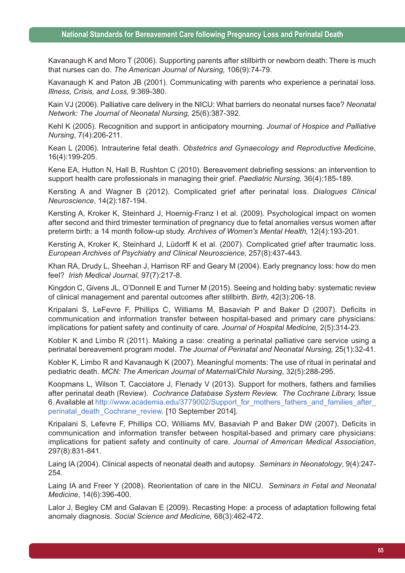Kavanaugh K and Moro T (2006). Supporting parents after stillbirth or newborn death: There is much that nurses can do. *The American Journal of Nursing,* 106(9):74-79.

Kavanaugh K and Paton JB (2001). Communicating with parents who experience a perinatal loss. *Illness, Crisis, and Loss,* 9:369-380.

Kain VJ (2006). Palliative care delivery in the NICU: What barriers do neonatal nurses face? *Neonatal Network: The Journal of Neonatal Nursing,* 25(6):387-392.

Kehl K (2005). Recognition and support in anticipatory mourning. *Journal of Hospice and Palliative Nursing*, 7(4):206-211.

Kean L (2006). Intrauterine fetal death. *Obstetrics and Gynaecology and Reproductive Medicine*, 16(4):199-205.

Kene EA, Hutton N, Hall B, Rushton C (2010). Bereavement debriefing sessions: an intervention to support health care professionals in managing their grief. *Paediatric Nursing,* 36(4):185-189.

Kersting A and Wagner B (2012). Complicated grief after perinatal loss. *Dialogues Clinical Neuroscience*, 14(2):187-194.

Kersting A, Kroker K, Steinhard J, Hoernig-Franz I et al. (2009). Psychological impact on women after second and third trimester termination of pregnancy due to fetal anomalies versus women after preterm birth: a 14 month follow-up study. *Archives of Women's Mental Health,* 12(4):193-201.

Kersting A, Kroker K, Steinhard J, Lüdorff K et al. (2007). Complicated grief after traumatic loss. *European Archives of Psychiatry and Clinical Neuroscience*, 257(8):437-443.

Khan RA, Drudy L, Sheehan J, Harrison RF and Geary M (2004). Early pregnancy loss: how do men feel? *Irish Medical Journal,* 97(7):217-8.

Kingdon C, Givens JL, O'Donnell E and Turner M (2015). Seeing and holding baby: systematic review of clinical management and parental outcomes after stillbirth. *Birth,* 42(3):206-18.

Kripalani S, LeFevre F, Phillips C, Williams M, Basaviah P and Baker D (2007). Deficits in communication and information transfer between hospital-based and primary care physicians: implications for patient safety and continuity of care. *Journal of Hospital Medicine,* 2(5):314-23.

Kobler K and Limbo R (2011). Making a case: creating a perinatal palliative care service using a perinatal bereavement program model. *The Journal of Perinatal and Neonatal Nursing,* 25(1):32-41.

Kobler K, Limbo R and Kavanaugh K (2007). Meaningful moments: The use of ritual in perinatal and pediatric death. *MCN: The American Journal of Maternal/Child Nursing*, 32(5):288-295.

Koopmans L, Wilson T, Cacciatore J, Flenady V (2013). Support for mothers, fathers and families after perinatal death (Review). *Cochrance Database System Review. The Cochrane Library,* Issue 6. Available at http://www.academia.edu/3779002/Support\_for\_mothers\_fathers\_and\_families\_after perinatal death Cochrane review. [10 September 2014].

Kripalani S, Lefevre F, Phillips CO, Williams MV, Basaviah P and Baker DW (2007). Deficits in communication and information transfer between hospital-based and primary care physicians: implications for patient safety and continuity of care. *Journal of American Medical Association*, 297(8):831-841.

Laing IA (2004). Clinical aspects of neonatal death and autopsy. *Seminars in Neonatology*, 9(4):247- 254.

Laing IA and Freer Y (2008). Reorientation of care in the NICU. *Seminars in Fetal and Neonatal Medicine*, 14(6):396-400.

Lalor J, Begley CM and Galavan E (2009). Recasting Hope: a process of adaptation following fetal anomaly diagnosis. *Social Science and Medicine,* 68(3):462-472.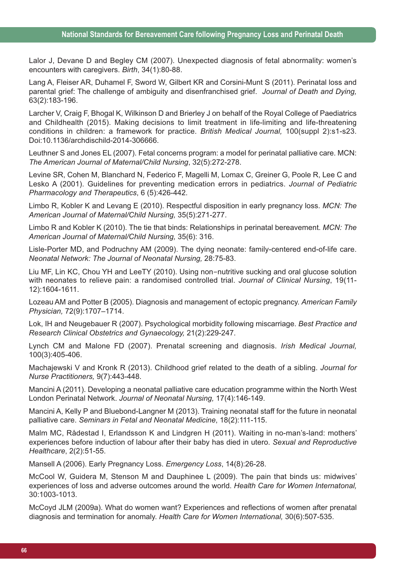Lalor J, Devane D and Begley CM (2007). Unexpected diagnosis of fetal abnormality: women's encounters with caregivers. *Birth*, 34(1):80-88.

Lang A, Fleiser AR, Duhamel F, Sword W, Gilbert KR and Corsini-Munt S (2011). Perinatal loss and parental grief: The challenge of ambiguity and disenfranchised grief. *Journal of Death and Dying,* 63(2):183-196.

Larcher V, Craig F, Bhogal K, Wilkinson D and Brierley J on behalf of the Royal College of Paediatrics and Childhealth (2015). Making decisions to limit treatment in life-limiting and life-threatening conditions in children: a framework for practice. *British Medical Journal,* 100(suppl 2):s1-s23. Doi:10.1136/archdischild-2014-306666.

Leuthner S and Jones EL (2007). Fetal concerns program: a model for perinatal palliative care. MCN: *The American Journal of Maternal/Child Nursing*, 32(5):272-278.

Levine SR, Cohen M, Blanchard N, Federico F, Magelli M, Lomax C, Greiner G, Poole R, Lee C and Lesko A (2001). Guidelines for preventing medication errors in pediatrics. *Journal of Pediatric Pharmacology and Therapeutics*, 6 (5):426-442.

Limbo R, Kobler K and Levang E (2010). Respectful disposition in early pregnancy loss. *MCN: The American Journal of Maternal/Child Nursing,* 35(5):271-277.

Limbo R and Kobler K (2010). The tie that binds: Relationships in perinatal bereavement. *MCN: The American Journal of Maternal/Child Nursing,* 35(6): 316.

Lisle-Porter MD, and Podruchny AM (2009). The dying neonate: family-centered end-of-life care. *Neonatal Network: The Journal of Neonatal Nursing,* 28:75-83.

Liu MF, Lin KC, Chou YH and LeeTY (2010). Using non-nutritive sucking and oral glucose solution with neonates to relieve pain: a randomised controlled trial. *Journal of Clinical Nursing*, 19(11- 12):1604-1611.

Lozeau AM and Potter B (2005). Diagnosis and management of ectopic pregnancy. *American Family Physician,* 72(9):1707–1714.

Lok, IH and Neugebauer R (2007). Psychological morbidity following miscarriage. *Best Practice and Research Clinical Obstetrics and Gynaecology,* 21(2):229-247.

Lynch CM and Malone FD (2007). Prenatal screening and diagnosis. *Irish Medical Journal,* 100(3):405-406.

Machajewski V and Kronk R (2013). Childhood grief related to the death of a sibling. *Journal for Nurse Practitioners,* 9(7):443-448.

Mancini A (2011). Developing a neonatal palliative care education programme within the North West London Perinatal Network. *Journal of Neonatal Nursing,* 17(4):146-149.

Mancini A, Kelly P and Bluebond-Langner M (2013). Training neonatal staff for the future in neonatal palliative care. *Seminars in Fetal and Neonatal Medicine*, 18(2):111-115.

Malm MC, Rådestad I, Erlandsson K and Lindgren H (2011). Waiting in no-man's-land: mothers' experiences before induction of labour after their baby has died in utero. *Sexual and Reproductive Healthcare*, 2(2):51-55.

Mansell A (2006). Early Pregnancy Loss. *Emergency Loss*, 14(8):26-28.

McCool W, Guidera M, Stenson M and Dauphinee L (2009). The pain that binds us: midwives' experiences of loss and adverse outcomes around the world. *Health Care for Women Internatonal,* 30:1003-1013.

McCoyd JLM (2009a). What do women want? Experiences and reflections of women after prenatal diagnosis and termination for anomaly. *Health Care for Women International,* 30(6):507-535.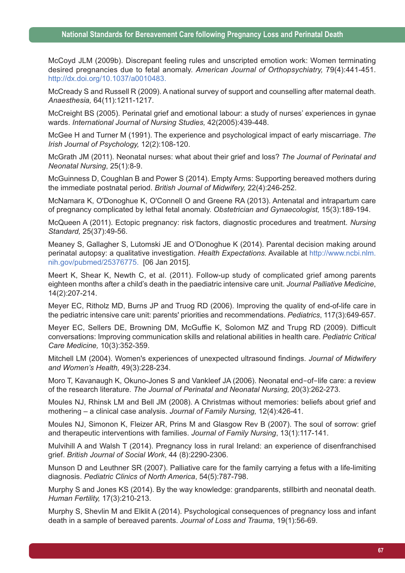McCoyd JLM (2009b). Discrepant feeling rules and unscripted emotion work: Women terminating desired pregnancies due to fetal anomaly. *American Journal of Orthopsychiatry,* 79(4):441-451. http://dx.doi.org/10.1037/a0010483.

McCready S and Russell R (2009). A national survey of support and counselling after maternal death. *Anaesthesia,* 64(11):1211-1217.

McCreight BS (2005). Perinatal grief and emotional labour: a study of nurses' experiences in gynae wards. *International Journal of Nursing Studies,* 42(2005):439-448.

McGee H and Turner M (1991). The experience and psychological impact of early miscarriage. *The Irish Journal of Psychology,* 12(2):108-120.

McGrath JM (2011). Neonatal nurses: what about their grief and loss? *The Journal of Perinatal and Neonatal Nursing*, 25(1):8-9.

McGuinness D, Coughlan B and Power S (2014). Empty Arms: Supporting bereaved mothers during the immediate postnatal period. *British Journal of Midwifery,* 22(4):246-252.

McNamara K, O'Donoghue K, O'Connell O and Greene RA (2013). Antenatal and intrapartum care of pregnancy complicated by lethal fetal anomaly. *Obstetrician and Gynaecologist,* 15(3):189-194.

McQueen A (2011). Ectopic pregnancy: risk factors, diagnostic procedures and treatment. *Nursing Standard,* 25(37):49-56.

Meaney S, Gallagher S, Lutomski JE and O'Donoghue K (2014). Parental decision making around perinatal autopsy: a qualitative investigation. *Health Expectations.* Available at http://www.ncbi.nlm. nih.gov/pubmed/25376775. [06 Jan 2015].

Meert K, Shear K, Newth C, et al. (2011). Follow-up study of complicated grief among parents eighteen months after a child's death in the paediatric intensive care unit. *Journal Palliative Medicine*, 14(2):207-214.

Meyer EC, Ritholz MD, Burns JP and Truog RD (2006). Improving the quality of end-of-life care in the pediatric intensive care unit: parents' priorities and recommendations. *Pediatrics*, 117(3):649-657.

Meyer EC, Sellers DE, Browning DM, McGuffie K, Solomon MZ and Trupg RD (2009). Difficult conversations: Improving communication skills and relational abilities in health care. *Pediatric Critical Care Medicine,* 10(3):352-359.

Mitchell LM (2004). Women's experiences of unexpected ultrasound findings. *Journal of Midwifery and Women's Health,* 49(3):228-234.

Moro T, Kavanaugh K, Okuno-Jones S and Vankleef JA (2006). Neonatal end-of-life care: a review of the research literature. *The Journal of Perinatal and Neonatal Nursing,* 20(3):262-273.

Moules NJ, Rhinsk LM and Bell JM (2008). A Christmas without memories: beliefs about grief and mothering – a clinical case analysis. *Journal of Family Nursing,* 12(4):426-41.

Moules NJ, Simonon K, Fleizer AR, Prins M and Glasgow Rev B (2007). The soul of sorrow: grief and therapeutic interventions with families. *Journal of Family Nursing*, 13(1):117-141.

Mulvihill A and Walsh T (2014). Pregnancy loss in rural Ireland: an experience of disenfranchised grief. *British Journal of Social Work*, 44 (8):2290-2306.

Munson D and Leuthner SR (2007). Palliative care for the family carrying a fetus with a life-limiting diagnosis. *Pediatric Clinics of North America*, 54(5):787-798.

Murphy S and Jones KS (2014). By the way knowledge: grandparents, stillbirth and neonatal death. *Human Fertility,* 17(3):210-213.

Murphy S, Shevlin M and Elklit A (2014). Psychological consequences of pregnancy loss and infant death in a sample of bereaved parents. *Journal of Loss and Trauma*, 19(1):56-69.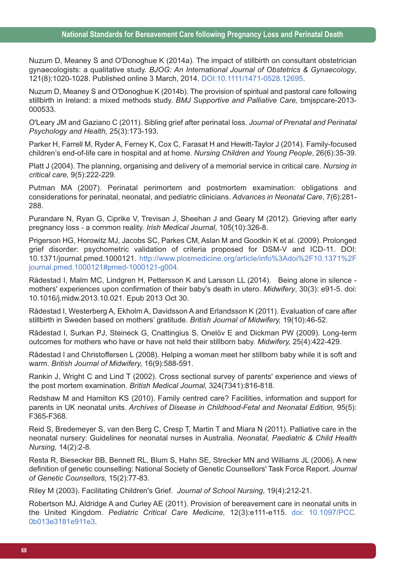Nuzum D, Meaney S and O'Donoghue K (2014a). The impact of stillbirth on consultant obstetrician gynaecologists: a qualitative study. *BJOG: An International Journal of Obstetrics & Gynaecology*, 121(8):1020-1028. Published online 3 March, 2014. DOI:10.1111/1471-0528.12695.

Nuzum D, Meaney S and O'Donoghue K (2014b). The provision of spiritual and pastoral care following stillbirth in Ireland: a mixed methods study. *BMJ Supportive and Palliative Care,* bmjspcare-2013- 000533.

O'Leary JM and Gaziano C (2011). Sibling grief after perinatal loss. *Journal of Prenatal and Perinatal Psychology and Health,* 25(3):173-193.

Parker H, Farrell M, Ryder A, Ferney K, Cox C, Farasat H and Hewitt-Taylor J (2014). Family-focused children's end-of-life care in hospital and at home. *Nursing Children and Young People*, 26(6):35-39.

Platt J (2004). The planning, organising and delivery of a memorial service in critical care. *Nursing in critical care,* 9(5):222-229.

Putman MA (2007). Perinatal perimortem and postmortem examination: obligations and considerations for perinatal, neonatal, and pediatric clinicians. *Advances in Neonatal Care*, 7(6):281- 288.

Purandare N, Ryan G, Ciprike V, Trevisan J, Sheehan J and Geary M (2012). Grieving after early pregnancy loss - a common reality. *Irish Medical Journal*, 105(10):326-8.

Prigerson HG, Horowitz MJ, Jacobs SC, Parkes CM, Aslan M and Goodkin K et al. (2009). Prolonged grief disorder: psychometric validation of criteria proposed for DSM-V and ICD-11. DOI: 10.1371/journal.pmed.1000121. http://www.plosmedicine.org/article/info%3Adoi%2F10.1371%2F journal.pmed.1000121#pmed-1000121-g004.

Rådestad I, Malm MC, Lindgren H, Pettersson K and Larsson LL (2014). Being alone in silence mothers' experiences upon confirmation of their baby's death in utero. *Midwifery*, 30(3): e91-5. doi: 10.1016/j.midw.2013.10.021. Epub 2013 Oct 30.

Rådestad I, Westerberg A, Ekholm A, Davidsson A and Erlandsson K (2011). Evaluation of care after stillbirth in Sweden based on mothers' gratitude. *British Journal of Midwifery,* 19(10):46-52.

Rådestad I, Surkan PJ, Steineck G, Cnattingius S, Onelöv E and Dickman PW (2009). Long-term outcomes for mothers who have or have not held their stillborn baby. *Midwifery,* 25(4):422-429.

Rådestad I and Christoffersen L (2008). Helping a woman meet her stillborn baby while it is soft and warm. *British Journal of Midwifery,* 16(9):588-591.

Rankin J, Wright C and Lind T (2002). Cross sectional survey of parents' experience and views of the post mortem examination. *British Medical Journal,* 324(7341):816-818.

Redshaw M and Hamilton KS (2010). Family centred care? Facilities, information and support for parents in UK neonatal units. *Archives of Disease in Childhood-Fetal and Neonatal Edition,* 95(5): F365-F368.

Reid S, Bredemeyer S, van den Berg C, Cresp T, Martin T and Miara N (2011). Palliative care in the neonatal nursery: Guidelines for neonatal nurses in Australia. *Neonatal, Paediatric & Child Health Nursing,* 14(2):2-8.

Resta R, Biesecker BB, Bennett RL, Blum S, Hahn SE, Strecker MN and Williams JL (2006). A new definition of genetic counselling: National Society of Genetic Counsellors' Task Force Report. *Journal of Genetic Counsellors,* 15(2):77-83.

Riley M (2003). Facilitating Children's Grief. *Journal of School Nursing*, 19(4):212-21.

Robertson MJ, Aldridge A and Curley AE (2011). Provision of bereavement care in neonatal units in the United Kingdom. *Pediatric Critical Care Medicine,* 12(3):e111-e115. doi: 10.1097/PCC. 0b013e3181e911e3.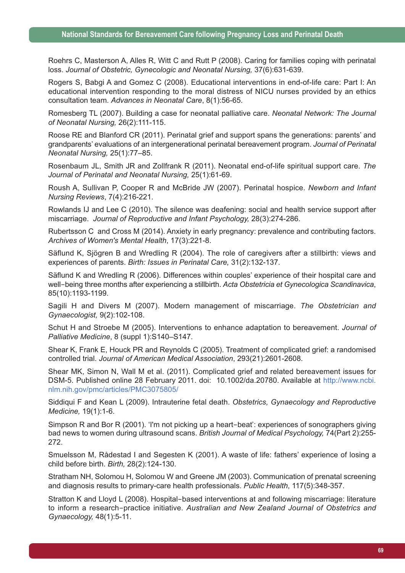Roehrs C, Masterson A, Alles R, Witt C and Rutt P (2008). Caring for families coping with perinatal loss. *Journal of Obstetric, Gynecologic and Neonatal Nursing,* 37(6):631-639.

Rogers S, Babgi A and Gomez C (2008). Educational interventions in end-of-life care: Part I: An educational intervention responding to the moral distress of NICU nurses provided by an ethics consultation team. *Advances in Neonatal Care*, 8(1):56-65.

Romesberg TL (2007). Building a case for neonatal palliative care. *Neonatal Network: The Journal of Neonatal Nursing,* 26(2):111-115.

Roose RE and Blanford CR (2011). Perinatal grief and support spans the generations: parents' and grandparents' evaluations of an intergenerational perinatal bereavement program. *Journal of Perinatal Neonatal Nursing,* 25(1):77–85.

Rosenbaum JL, Smith JR and Zollfrank R (2011). Neonatal end-of-life spiritual support care. *The Journal of Perinatal and Neonatal Nursing,* 25(1):61-69.

Roush A, Sullivan P, Cooper R and McBride JW (2007). Perinatal hospice. *Newborn and Infant Nursing Reviews*, 7(4):216-221.

Rowlands IJ and Lee C (2010). The silence was deafening: social and health service support after miscarriage. *Journal of Reproductive and Infant Psychology,* 28(3):274-286.

Rubertsson C and Cross M (2014). Anxiety in early pregnancy: prevalence and contributing factors. *Archives of Women's Mental Health*, 17(3):221-8.

Säflund K, Sjögren B and Wredling R (2004). The role of caregivers after a stillbirth: views and experiences of parents. *Birth: Issues in Perinatal Care,* 31(2):132-137.

Säflund K and Wredling R (2006). Differences within couples' experience of their hospital care and well-being three months after experiencing a stillbirth. *Acta Obstetricia et Gynecologica Scandinavica*, 85(10):1193-1199.

Sagili H and Divers M (2007). Modern management of miscarriage. *The Obstetrician and Gynaecologist,* 9(2):102-108.

Schut H and Stroebe M (2005). Interventions to enhance adaptation to bereavement. *Journal of Palliative Medicine*, 8 (suppl 1):S140–S147.

Shear K, Frank E, Houck PR and Reynolds C (2005). Treatment of complicated grief: a randomised controlled trial. *Journal of American Medical Association*, 293(21):2601-2608.

Shear MK, Simon N, Wall M et al. (2011). Complicated grief and related bereavement issues for DSM-5. Published online 28 February 2011. doi: 10.1002/da.20780. Available at http://www.ncbi. nlm.nih.gov/pmc/articles/PMC3075805/

Siddiqui F and Kean L (2009). Intrauterine fetal death. *Obstetrics, Gynaecology and Reproductive Medicine,* 19(1):1-6.

Simpson R and Bor R (2001). 'I'm not picking up a heart-beat': experiences of sonographers giving bad news to women during ultrasound scans. *British Journal of Medical Psychology,* 74(Part 2):255- 272.

Smuelsson M, Rådestad I and Segesten K (2001). A waste of life: fathers' experience of losing a child before birth. *Birth,* 28(2):124-130.

Stratham NH, Solomou H, Solomou W and Greene JM (2003). Communication of prenatal screening and diagnosis results to primary-care health professionals. *Public Health*, 117(5):348-357.

Stratton K and Lloyd L (2008). Hospital-based interventions at and following miscarriage: literature to inform a research-practice initiative. *Australian and New Zealand Journal of Obstetrics and Gynaecology,* 48(1):5-11.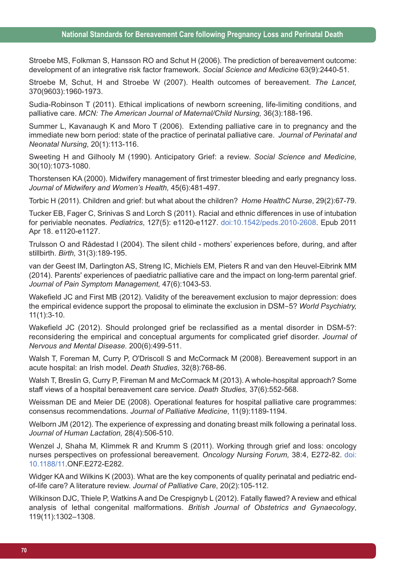#### **National Standards for Bereavement Care following Pregnancy Loss and Perinatal Death**

Stroebe MS, Folkman S, Hansson RO and Schut H (2006). The prediction of bereavement outcome: development of an integrative risk factor framework. *Social Science and Medicine* 63(9):2440-51.

Stroebe M, Schut, H and Stroebe W (2007). Health outcomes of bereavement. *The Lancet,* 370(9603):1960-1973.

Sudia-Robinson T (2011). Ethical implications of newborn screening, life-limiting conditions, and palliative care. *MCN: The American Journal of Maternal/Child Nursing,* 36(3):188-196.

Summer L, Kavanaugh K and Moro T (2006). Extending palliative care in to pregnancy and the immediate new born period: state of the practice of perinatal palliative care. *Journal of Perinatal and Neonatal Nursing*, 20(1):113-116.

Sweeting H and Gilhooly M (1990). Anticipatory Grief: a review. *Social Science and Medicine,* 30(10):1073-1080.

Thorstensen KA (2000). Midwifery management of first trimester bleeding and early pregnancy loss. *Journal of Midwifery and Women's Health,* 45(6):481-497.

Torbic H (2011). Children and grief: but what about the children? *Home HealthC Nurse*, 29(2):67-79.

Tucker EB, Fager C, Srinivas S and Lorch S (2011). Racial and ethnic differences in use of intubation for periviable neonates. *Pediatrics*, 127(5): e1120-e1127. doi:10.1542/peds.2010-2608. Epub 2011 Apr 18. e1120-e1127.

Trulsson O and Rådestad I (2004). The silent child - mothers' experiences before, during, and after stillbirth. *Birth,* 31(3):189-195.

van der Geest IM, Darlington AS, Streng IC, Michiels EM, Pieters R and van den Heuvel-Eibrink MM (2014). Parents' experiences of paediatric palliative care and the impact on long-term parental grief. *Journal of Pain Symptom Management,* 47(6):1043-53.

Wakefield JC and First MB (2012). Validity of the bereavement exclusion to major depression: does the empirical evidence support the proposal to eliminate the exclusion in DSM-5? *World Psychiatry,* 11(1):3-10.

Wakefield JC (2012). Should prolonged grief be reclassified as a mental disorder in DSM-5?: reconsidering the empirical and conceptual arguments for complicated grief disorder. *Journal of Nervous and Mental Disease.* 200(6):499-511.

Walsh T, Foreman M, Curry P, O'Driscoll S and McCormack M (2008). Bereavement support in an acute hospital: an Irish model. *Death Studies*, 32(8):768-86.

Walsh T, Breslin G, Curry P, Fireman M and McCormack M (2013). A whole-hospital approach? Some staff views of a hospital bereavement care service. *Death Studies,* 37(6):552-568.

Weissman DE and Meier DE (2008). Operational features for hospital palliative care programmes: consensus recommendations. *Journal of Palliative Medicine*, 11(9):1189-1194.

Welborn JM (2012). The experience of expressing and donating breast milk following a perinatal loss. *Journal of Human Lactation,* 28(4):506-510.

Wenzel J, Shaha M, Klimmek R and Krumm S (2011). Working through grief and loss: oncology nurses perspectives on professional bereavement. *Oncology Nursing Forum,* 38:4, E272-82. doi: 10.1188/11.ONF.E272-E282.

Widger KA and Wilkins K (2003). What are the key components of quality perinatal and pediatric endof-life care? A literature review. *Journal of Palliative Care*, 20(2):105-112.

Wilkinson DJC, Thiele P, Watkins A and De Crespignyb L (2012). Fatally flawed? A review and ethical analysis of lethal congenital malformations. *British Journal of Obstetrics and Gynaecology*, 119(11):1302–1308.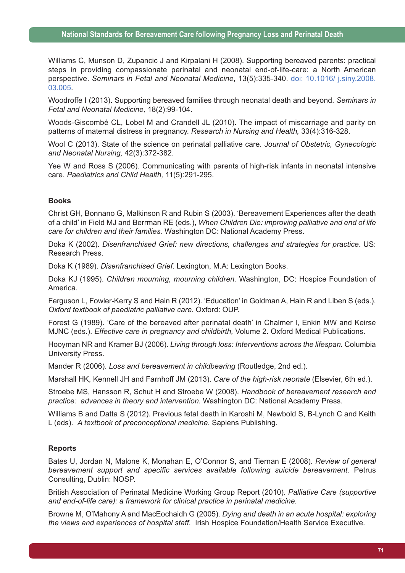Williams C, Munson D, Zupancic J and Kirpalani H (2008). Supporting bereaved parents: practical steps in providing compassionate perinatal and neonatal end-of-life-care: a North American perspective. *Seminars in Fetal and Neonatal Medicine*, 13(5):335-340. doi: 10.1016/ j.siny.2008. 03.005.

Woodroffe I (2013). Supporting bereaved families through neonatal death and beyond. *Seminars in Fetal and Neonatal Medicine,* 18(2):99-104.

Woods-Giscombé CL, Lobel M and Crandell JL (2010). The impact of miscarriage and parity on patterns of maternal distress in pregnancy. *Research in Nursing and Health,* 33(4):316-328.

Wool C (2013). State of the science on perinatal palliative care. *Journal of Obstetric, Gynecologic and Neonatal Nursing,* 42(3):372-382.

Yee W and Ross S (2006). Communicating with parents of high-risk infants in neonatal intensive care. *Paediatrics and Child Health,* 11(5):291-295.

#### **Books**

Christ GH, Bonnano G, Malkinson R and Rubin S (2003). 'Bereavement Experiences after the death of a child' in Field MJ and Berrman RE (eds.), *When Children Die: improving palliative and end of life care for children and their families.* Washington DC: National Academy Press.

Doka K (2002). *Disenfranchised Grief: new directions, challenges and strategies for practice*. US: Research Press.

Doka K (1989). *Disenfranchised Grief*. Lexington, M.A: Lexington Books.

Doka KJ (1995). *Children mourning, mourning children.* Washington, DC: Hospice Foundation of America.

Ferguson L, Fowler-Kerry S and Hain R (2012). 'Education' in Goldman A, Hain R and Liben S (eds.). *Oxford textbook of paediatric palliative care*. Oxford: OUP.

Forest G (1989). 'Care of the bereaved after perinatal death' in Chalmer I, Enkin MW and Keirse MJNC (eds.). *Effective care in pregnancy and childbirth,* Volume 2. Oxford Medical Publications.

Hooyman NR and Kramer BJ (2006). *Living through loss: Interventions across the lifespan.* Columbia University Press.

Mander R (2006). *Loss and bereavement in childbearing* (Routledge, 2nd ed.).

Marshall HK, Kennell JH and Farnhoff JM (2013). *Care of the high-risk neonate* (Elsevier, 6th ed.).

Stroebe MS, Hansson R, Schut H and Stroebe W (2008). *Handbook of bereavement research and practice: advances in theory and intervention.* Washington DC: National Academy Press.

Williams B and Datta S (2012). Previous fetal death in Karoshi M, Newbold S, B-Lynch C and Keith L (eds). *A textbook of preconceptional medicine*. Sapiens Publishing.

### **Reports**

Bates U, Jordan N, Malone K, Monahan E, O'Connor S, and Tiernan E (2008). *Review of general bereavement support and specific services available following suicide bereavement.* Petrus Consulting, Dublin: NOSP.

British Association of Perinatal Medicine Working Group Report (2010). *Palliative Care (supportive and end-of-life care): a framework for clinical practice in perinatal medicine.*

Browne M, O'Mahony A and MacEochaidh G (2005). *Dying and death in an acute hospital: exploring the views and experiences of hospital staff.* Irish Hospice Foundation/Health Service Executive.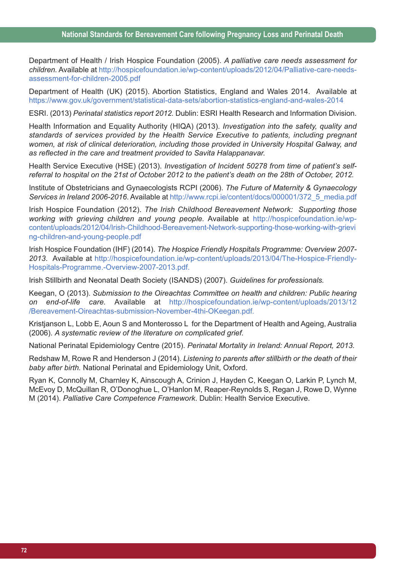Department of Health / Irish Hospice Foundation (2005). *A palliative care needs assessment for children.* Available at http://hospicefoundation.ie/wp-content/uploads/2012/04/Palliative-care-needsassessment-for-children-2005.pdf

Department of Health (UK) (2015). Abortion Statistics, England and Wales 2014. Available at https://www.gov.uk/government/statistical-data-sets/abortion-statistics-england-and-wales-2014

ESRI. (2013) *Perinatal statistics report 2012.* Dublin: ESRI Health Research and Information Division.

Health Information and Equality Authority (HIQA) (2013). *Investigation into the safety, quality and standards of services provided by the Health Service Executive to patients, including pregnant women, at risk of clinical deterioration, including those provided in University Hospital Galway, and as reflected in the care and treatment provided to Savita Halappanavar.*

Health Service Executive (HSE) (2013). *Investigation of Incident 50278 from time of patient's self*referral to hospital on the 21st of October 2012 to the patient's death on the 28th of October, 2012.

Institute of Obstetricians and Gynaecologists RCPI (2006). *The Future of Maternity & Gynaecology Services in Ireland 2006-2016*. Available at http://www.rcpi.ie/content/docs/000001/372\_5\_media.pdf

Irish Hospice Foundation (2012). *The Irish Childhood Bereavement Network: Supporting those working with grieving children and young people.* Available at http://hospicefoundation.ie/wpcontent/uploads/2012/04/Irish-Childhood-Bereavement-Network-supporting-those-working-with-grievi ng-children-and-young-people.pdf

Irish Hospice Foundation (IHF) (2014). *The Hospice Friendly Hospitals Programme: Overview 2007- 2013*. Available at http://hospicefoundation.ie/wp-content/uploads/2013/04/The-Hospice-Friendly-Hospitals-Programme.-Overview-2007-2013.pdf.

Irish Stillbirth and Neonatal Death Society (ISANDS) (2007). *Guidelines for professionals.*

Keegan, O (2013). *Submission to the Oireachtas Committee on health and children: Public hearing on end-of-life care.* Available at http://hospicefoundation.ie/wp-content/uploads/2013/12 /Bereavement-Oireachtas-submission-November-4thi-OKeegan.pdf.

Kristjanson L, Lobb E, Aoun S and Monterosso L for the Department of Health and Ageing, Australia (2006). *A systematic review of the literature on complicated grief.*

National Perinatal Epidemiology Centre (2015). *Perinatal Mortality in Ireland: Annual Report, 2013*.

Redshaw M, Rowe R and Henderson J (2014). *Listening to parents after stillbirth or the death of their baby after birth.* National Perinatal and Epidemiology Unit, Oxford.

Ryan K, Connolly M, Charnley K, Ainscough A, Crinion J, Hayden C, Keegan O, Larkin P, Lynch M, McEvoy D, McQuillan R, O'Donoghue L, O'Hanlon M, Reaper-Reynolds S, Regan J, Rowe D, Wynne M (2014). *Palliative Care Competence Framework*. Dublin: Health Service Executive.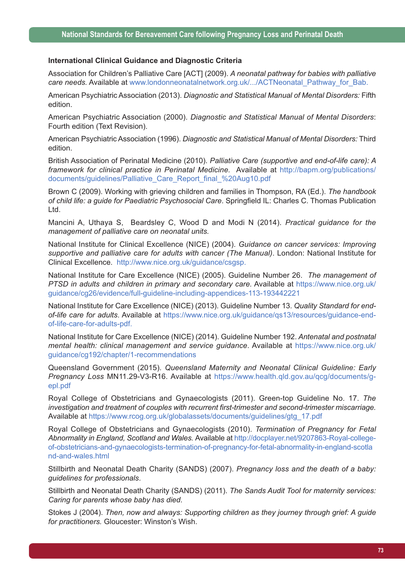#### **International Clinical Guidance and Diagnostic Criteria**

Association for Children's Palliative Care [ACT] (2009). *A neonatal pathway for babies with palliative care needs.* Available at www.londonneonatalnetwork.org.uk/.../ACTNeonatal\_Pathway\_for\_Bab.

American Psychiatric Association (2013). *Diagnostic and Statistical Manual of Mental Disorders:* Fifth edition.

American Psychiatric Association (2000). *Diagnostic and Statistical Manual of Mental Disorders*: Fourth edition (Text Revision).

American Psychiatric Association (1996). *Diagnostic and Statistical Manual of Mental Disorders:* Third edition.

British Association of Perinatal Medicine (2010). *Palliative Care (supportive and end-of-life care): A framework for clinical practice in Perinatal Medicine.* Available at http://bapm.org/publications/ documents/guidelines/Palliative\_Care\_Report\_final\_%20Aug10.pdf

Brown C (2009). Working with grieving children and families in Thompson, RA (Ed.). *The handbook of child life: a guide for Paediatric Psychosocial Care*. Springfield IL: Charles C. Thomas Publication Ltd.

Mancini A, Uthaya S, Beardsley C, Wood D and Modi N (2014). *Practical guidance for the management of palliative care on neonatal units.*

National Institute for Clinical Excellence (NICE) (2004). *Guidance on cancer services: Improving supportive and palliative care for adults with cancer (The Manual)*. London: National Institute for Clinical Excellence. http://www.nice.org.uk/guidance/csgsp.

National Institute for Care Excellence (NICE) (2005). Guideline Number 26. *The management of PTSD in adults and children in primary and secondary care.* Available at https://www.nice.org.uk/ guidance/cg26/evidence/full-guideline-including-appendices-113-193442221

National Institute for Care Excellence (NICE) (2013). Guideline Number 13. *Quality Standard for endof-life care for adults*. Available at https://www.nice.org.uk/guidance/qs13/resources/guidance-endof-life-care-for-adults-pdf.

National Institute for Care Excellence (NICE) (2014). Guideline Number 192. *Antenatal and postnatal mental health: clinical management and service guidance*. Available at https://www.nice.org.uk/ guidance/cg192/chapter/1-recommendations

Queensland Government (2015). *Queensland Maternity and Neonatal Clinical Guideline: Early Pregnancy Loss* MN11.29-V3-R16. Available at https://www.health.qld.gov.au/qcg/documents/gepl.pdf

Royal College of Obstetricians and Gynaecologists (2011). Green-top Guideline No. 17. *The investigation and treatment of couples with recurrent first-trimester and second-trimester miscarriage.* Available at https://www.rcog.org.uk/globalassets/documents/guidelines/gtg\_17.pdf

Royal College of Obstetricians and Gynaecologists (2010). *Termination of Pregnancy for Fetal Abnormality in England, Scotland and Wales.* Available at http://docplayer.net/9207863-Royal-collegeof-obstetricians-and-gynaecologists-termination-of-pregnancy-for-fetal-abnormality-in-england-scotla nd-and-wales.html

Stillbirth and Neonatal Death Charity (SANDS) (2007). *Pregnancy loss and the death of a baby: guidelines for professionals*.

Stillbirth and Neonatal Death Charity (SANDS) (2011). *The Sands Audit Tool for maternity services: Caring for parents whose baby has died*.

Stokes J (2004). *Then, now and always: Supporting children as they journey through grief: A guide for practitioners.* Gloucester: Winston's Wish.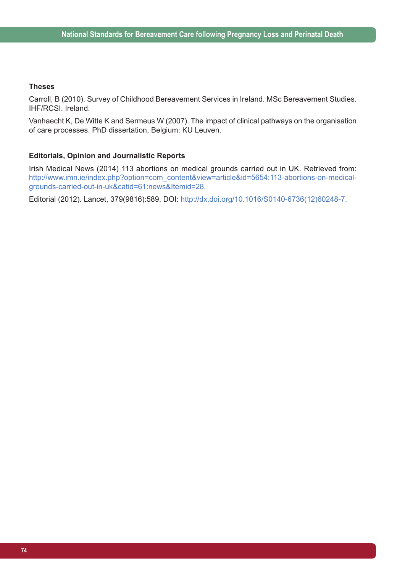#### **Theses**

Carroll, B (2010). Survey of Childhood Bereavement Services in Ireland. MSc Bereavement Studies. IHF/RCSI. Ireland.

Vanhaecht K, De Witte K and Sermeus W (2007). The impact of clinical pathways on the organisation of care processes. PhD dissertation, Belgium: KU Leuven.

#### **Editorials, Opinion and Journalistic Reports**

Irish Medical News (2014) 113 abortions on medical grounds carried out in UK. Retrieved from: http://www.imn.ie/index.php?option=com\_content&view=article&id=5654:113-abortions-on-medicalgrounds-carried-out-in-uk&catid=61:news&Itemid=28.

Editorial (2012). Lancet, 379(9816):589. DOI: http://dx.doi.org/10.1016/S0140-6736(12)60248-7.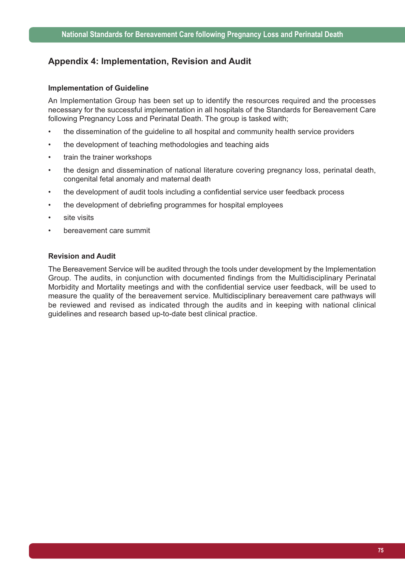### **Appendix 4: Implementation, Revision and Audit**

#### **Implementation of Guideline**

An Implementation Group has been set up to identify the resources required and the processes necessary for the successful implementation in all hospitals of the Standards for Bereavement Care following Pregnancy Loss and Perinatal Death. The group is tasked with;

- the dissemination of the guideline to all hospital and community health service providers
- the development of teaching methodologies and teaching aids
- train the trainer workshops
- the design and dissemination of national literature covering pregnancy loss, perinatal death, congenital fetal anomaly and maternal death
- the development of audit tools including a confidential service user feedback process
- the development of debriefing programmes for hospital employees
- site visits
- bereavement care summit

#### **Revision and Audit**

The Bereavement Service will be audited through the tools under development by the Implementation Group. The audits, in conjunction with documented findings from the Multidisciplinary Perinatal Morbidity and Mortality meetings and with the confidential service user feedback, will be used to measure the quality of the bereavement service. Multidisciplinary bereavement care pathways will be reviewed and revised as indicated through the audits and in keeping with national clinical guidelines and research based up-to-date best clinical practice.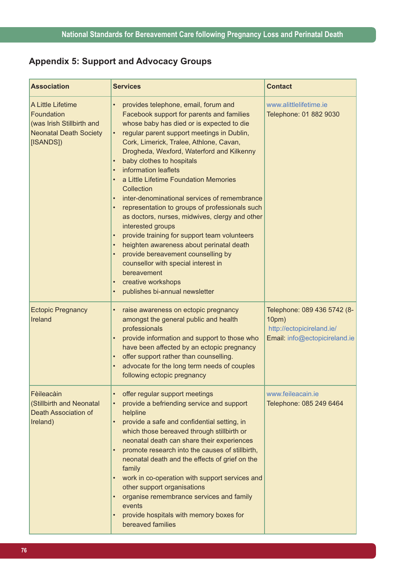## **Appendix 5: Support and Advocacy Groups**

| <b>Association</b>                                                                                         | <b>Services</b>                                                                                                                                                                                                                                                                                                                                                                                                                                                                                                                                                                                                                                                                                                                                                                                                                                                                                                                                                       | <b>Contact</b>                                                                                     |
|------------------------------------------------------------------------------------------------------------|-----------------------------------------------------------------------------------------------------------------------------------------------------------------------------------------------------------------------------------------------------------------------------------------------------------------------------------------------------------------------------------------------------------------------------------------------------------------------------------------------------------------------------------------------------------------------------------------------------------------------------------------------------------------------------------------------------------------------------------------------------------------------------------------------------------------------------------------------------------------------------------------------------------------------------------------------------------------------|----------------------------------------------------------------------------------------------------|
| A Little Lifetime<br>Foundation<br>(was Irish Stillbirth and<br><b>Neonatal Death Society</b><br>[ISANDS]) | $\bullet$<br>provides telephone, email, forum and<br>Facebook support for parents and families<br>whose baby has died or is expected to die<br>regular parent support meetings in Dublin,<br>$\bullet$<br>Cork, Limerick, Tralee, Athlone, Cavan,<br>Drogheda, Wexford, Waterford and Kilkenny<br>baby clothes to hospitals<br>$\bullet$<br>information leaflets<br>$\bullet$<br>a Little Lifetime Foundation Memories<br>$\bullet$<br>Collection<br>inter-denominational services of remembrance<br>$\bullet$<br>representation to groups of professionals such<br>$\bullet$<br>as doctors, nurses, midwives, clergy and other<br>interested groups<br>provide training for support team volunteers<br>$\bullet$<br>heighten awareness about perinatal death<br>$\bullet$<br>provide bereavement counselling by<br>$\bullet$<br>counsellor with special interest in<br>bereavement<br>creative workshops<br>$\bullet$<br>publishes bi-annual newsletter<br>$\bullet$ | www.alittlelifetime.ie<br>Telephone: 01 882 9030                                                   |
| <b>Ectopic Pregnancy</b><br>Ireland                                                                        | raise awareness on ectopic pregnancy<br>$\bullet$<br>amongst the general public and health<br>professionals<br>provide information and support to those who<br>$\bullet$<br>have been affected by an ectopic pregnancy<br>offer support rather than counselling.<br>$\bullet$<br>advocate for the long term needs of couples<br>$\bullet$<br>following ectopic pregnancy                                                                                                                                                                                                                                                                                                                                                                                                                                                                                                                                                                                              | Telephone: 089 436 5742 (8-<br>10pm)<br>http://ectopicireland.ie/<br>Email: info@ectopicireland.ie |
| Fèileacàin<br>(Stillbirth and Neonatal<br><b>Death Association of</b><br>Ireland)                          | offer regular support meetings<br>$\bullet$<br>provide a befriending service and support<br>$\bullet$<br>helpline<br>provide a safe and confidential setting, in<br>$\bullet$<br>which those bereaved through stillbirth or<br>neonatal death can share their experiences<br>promote research into the causes of stillbirth,<br>$\bullet$<br>neonatal death and the effects of grief on the<br>family<br>work in co-operation with support services and<br>$\bullet$<br>other support organisations<br>organise remembrance services and family<br>$\bullet$<br>events<br>provide hospitals with memory boxes for<br>$\bullet$<br>bereaved families                                                                                                                                                                                                                                                                                                                   | www.feileacain.je<br>Telephone: 085 249 6464                                                       |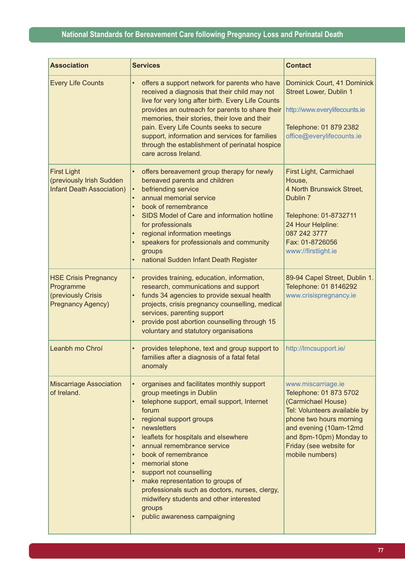## **National Standards for Bereavement Care following Pregnancy Loss and Perinatal Death**

| <b>Association</b>                                                                         | <b>Services</b>                                                                                                                                                                                                                                                                                                                                                                                                                                                                                                                                                                                                               | <b>Contact</b>                                                                                                                                                                                                                   |
|--------------------------------------------------------------------------------------------|-------------------------------------------------------------------------------------------------------------------------------------------------------------------------------------------------------------------------------------------------------------------------------------------------------------------------------------------------------------------------------------------------------------------------------------------------------------------------------------------------------------------------------------------------------------------------------------------------------------------------------|----------------------------------------------------------------------------------------------------------------------------------------------------------------------------------------------------------------------------------|
| <b>Every Life Counts</b>                                                                   | offers a support network for parents who have<br>$\bullet$<br>received a diagnosis that their child may not<br>live for very long after birth. Every Life Counts<br>provides an outreach for parents to share their<br>memories, their stories, their love and their<br>pain. Every Life Counts seeks to secure<br>support, information and services for families<br>through the establishment of perinatal hospice<br>care across Ireland.                                                                                                                                                                                   | Dominick Court, 41 Dominick<br><b>Street Lower, Dublin 1</b><br>http://www.everylifecounts.ie<br>Telephone: 01 879 2382<br>office@everylifecounts.ie                                                                             |
| <b>First Light</b><br>(previously Irish Sudden<br><b>Infant Death Association)</b>         | offers bereavement group therapy for newly<br>$\bullet$<br>bereaved parents and children<br>befriending service<br>$\bullet$<br>annual memorial service<br>book of remembrance<br>$\bullet$<br>SIDS Model of Care and information hotline<br>$\bullet$<br>for professionals<br>regional information meetings<br>$\bullet$<br>speakers for professionals and community<br>$\bullet$<br>groups<br>national Sudden Infant Death Register                                                                                                                                                                                         | First Light, Carmichael<br>House,<br>4 North Brunswick Street,<br>Dublin 7<br>Telephone: 01-8732711<br>24 Hour Helpline:<br>087 242 3777<br>Fax: 01-8726056<br>www://firstlight.ie                                               |
| <b>HSE Crisis Pregnancy</b><br>Programme<br>(previously Crisis<br><b>Pregnancy Agency)</b> | provides training, education, information,<br>$\bullet$<br>research, communications and support<br>funds 34 agencies to provide sexual health<br>$\bullet$<br>projects, crisis pregnancy counselling, medical<br>services, parenting support<br>provide post abortion counselling through 15<br>voluntary and statutory organisations                                                                                                                                                                                                                                                                                         | 89-94 Capel Street, Dublin 1.<br>Telephone: 01 8146292<br>www.crisispregnancy.ie                                                                                                                                                 |
| Leanbh mo Chroí                                                                            | provides telephone, text and group support to<br>$\bullet$<br>families after a diagnosis of a fatal fetal<br>anomaly                                                                                                                                                                                                                                                                                                                                                                                                                                                                                                          | http://Imcsupport.ie/                                                                                                                                                                                                            |
| <b>Miscarriage Association</b><br>of Ireland.                                              | organises and facilitates monthly support<br>$\bullet$<br>group meetings in Dublin<br>telephone support, email support, Internet<br>$\bullet$<br>forum<br>regional support groups<br>$\bullet$<br>newsletters<br>$\bullet$<br>leaflets for hospitals and elsewhere<br>$\bullet$<br>annual remembrance service<br>$\bullet$<br>book of remembrance<br>$\bullet$<br>memorial stone<br>$\bullet$<br>support not counselling<br>$\bullet$<br>make representation to groups of<br>professionals such as doctors, nurses, clergy,<br>midwifery students and other interested<br>groups<br>public awareness campaigning<br>$\bullet$ | www.miscarriage.ie<br>Telephone: 01 873 5702<br>(Carmichael House)<br>Tel: Volunteers available by<br>phone two hours morning<br>and evening (10am-12md<br>and 8pm-10pm) Monday to<br>Friday (see website for<br>mobile numbers) |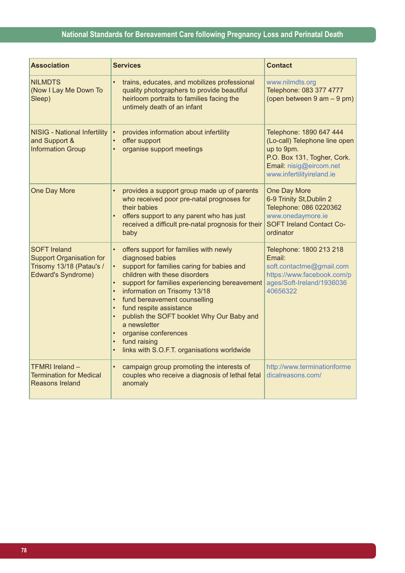## **National Standards for Bereavement Care following Pregnancy Loss and Perinatal Death**

| <b>Association</b>                                                                                              | <b>Services</b>                                                                                                                                                                                                                                                                                                                                                                                                                                                                                                                      | <b>Contact</b>                                                                                                                                                |
|-----------------------------------------------------------------------------------------------------------------|--------------------------------------------------------------------------------------------------------------------------------------------------------------------------------------------------------------------------------------------------------------------------------------------------------------------------------------------------------------------------------------------------------------------------------------------------------------------------------------------------------------------------------------|---------------------------------------------------------------------------------------------------------------------------------------------------------------|
| <b>NILMDTS</b><br>(Now I Lay Me Down To<br>Sleep)                                                               | trains, educates, and mobilizes professional<br>quality photographers to provide beautiful<br>heirloom portraits to families facing the<br>untimely death of an infant                                                                                                                                                                                                                                                                                                                                                               | www.nilmdts.org<br>Telephone: 083 377 4777<br>(open between 9 am - 9 pm)                                                                                      |
| <b>NISIG - National Infertility</b><br>and Support &<br><b>Information Group</b>                                | provides information about infertility<br>$\bullet$<br>offer support<br>$\bullet$<br>organise support meetings                                                                                                                                                                                                                                                                                                                                                                                                                       | Telephone: 1890 647 444<br>(Lo-call) Telephone line open<br>up to 9pm.<br>P.O. Box 131, Togher, Cork.<br>Email: nisig@eircom.net<br>www.infertilityireland.ie |
| One Day More                                                                                                    | provides a support group made up of parents<br>who received poor pre-natal prognoses for<br>their babies<br>offers support to any parent who has just<br>received a difficult pre-natal prognosis for their<br>baby                                                                                                                                                                                                                                                                                                                  | One Day More<br>6-9 Trinity St, Dublin 2<br>Telephone: 086 0220362<br>www.onedaymore.ie<br><b>SOFT Ireland Contact Co-</b><br>ordinator                       |
| <b>SOFT Ireland</b><br><b>Support Organisation for</b><br>Trisomy 13/18 (Patau's /<br><b>Edward's Syndrome)</b> | offers support for families with newly<br>diagnosed babies<br>support for families caring for babies and<br>children with these disorders<br>support for families experiencing bereavement<br>$\bullet$<br>information on Trisomy 13/18<br>$\bullet$<br>fund bereavement counselling<br>$\bullet$<br>fund respite assistance<br>$\bullet$<br>publish the SOFT booklet Why Our Baby and<br>$\bullet$<br>a newsletter<br>organise conferences<br>$\bullet$<br>fund raising<br>$\bullet$<br>links with S.O.F.T. organisations worldwide | Telephone: 1800 213 218<br>Email:<br>soft.contactme@gmail.com<br>https://www.facebook.com/p<br>ages/Soft-Ireland/1936036<br>40656322                          |
| <b>TFMRI</b> Ireland -<br><b>Termination for Medical</b><br><b>Reasons Ireland</b>                              | campaign group promoting the interests of<br>couples who receive a diagnosis of lethal fetal<br>anomaly                                                                                                                                                                                                                                                                                                                                                                                                                              | http://www.terminationforme<br>dicalreasons.com/                                                                                                              |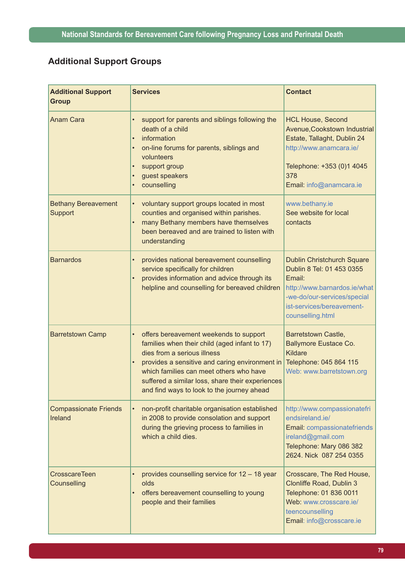# **Additional Support Groups**

| <b>Additional Support</b><br><b>Group</b> | <b>Services</b>                                                                                                                                                                                                                                                                                                                                 | <b>Contact</b>                                                                                                                                                                           |
|-------------------------------------------|-------------------------------------------------------------------------------------------------------------------------------------------------------------------------------------------------------------------------------------------------------------------------------------------------------------------------------------------------|------------------------------------------------------------------------------------------------------------------------------------------------------------------------------------------|
| <b>Anam Cara</b>                          | support for parents and siblings following the<br>$\bullet$<br>death of a child<br>information<br>$\bullet$<br>on-line forums for parents, siblings and<br>$\bullet$<br>volunteers<br>support group<br>$\bullet$<br>guest speakers<br>$\bullet$<br>counselling<br>$\bullet$                                                                     | <b>HCL House, Second</b><br>Avenue, Cookstown Industrial<br>Estate, Tallaght, Dublin 24<br>http://www.anamcara.ie/<br>Telephone: +353 (0)1 4045<br>378<br>Email: info@anamcara.ie        |
| <b>Bethany Bereavement</b><br>Support     | voluntary support groups located in most<br>$\bullet$<br>counties and organised within parishes.<br>many Bethany members have themselves<br>$\bullet$<br>been bereaved and are trained to listen with<br>understanding                                                                                                                          | www.bethany.ie<br>See website for local<br>contacts                                                                                                                                      |
| <b>Barnardos</b>                          | provides national bereavement counselling<br>$\bullet$<br>service specifically for children<br>provides information and advice through its<br>$\bullet$<br>helpline and counselling for bereaved children                                                                                                                                       | <b>Dublin Christchurch Square</b><br>Dublin 8 Tel: 01 453 0355<br>Email:<br>http://www.barnardos.ie/what<br>-we-do/our-services/special<br>ist-services/bereavement-<br>counselling.html |
| <b>Barretstown Camp</b>                   | offers bereavement weekends to support<br>$\bullet$<br>families when their child (aged infant to 17)<br>dies from a serious illness<br>provides a sensitive and caring environment in<br>$\bullet$<br>which families can meet others who have<br>suffered a similar loss, share their experiences<br>and find ways to look to the journey ahead | Barretstown Castle,<br><b>Ballymore Eustace Co.</b><br>Kildare<br>Telephone: 045 864 115<br>Web: www.barretstown.org                                                                     |
| <b>Compassionate Friends</b><br>Ireland   | non-profit charitable organisation established<br>$\bullet$<br>in 2008 to provide consolation and support<br>during the grieving process to families in<br>which a child dies.                                                                                                                                                                  | http://www.compassionatefri<br>endsireland.ie/<br>Email: compassionatefriends<br>ireland@gmail.com<br>Telephone: Mary 086 382<br>2624. Nick 087 254 0355                                 |
| <b>CrosscareTeen</b><br>Counselling       | provides counselling service for 12 - 18 year<br>$\bullet$<br>olds<br>offers bereavement counselling to young<br>$\bullet$<br>people and their families                                                                                                                                                                                         | Crosscare, The Red House,<br>Clonliffe Road, Dublin 3<br>Telephone: 01 836 0011<br>Web: www.crosscare.ie/<br>teencounselling<br>Email: info@crosscare.ie                                 |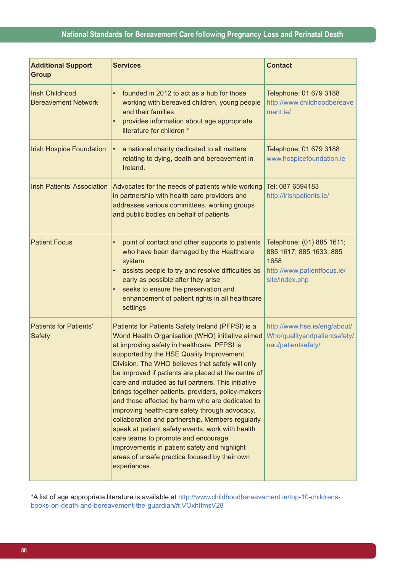### **National Standards for Bereavement Care following Pregnancy Loss and Perinatal Death**

| <b>Additional Support</b><br><b>Group</b>            | <b>Services</b>                                                                                                                                                                                                                                                                                                                                                                                                                                                                                                                                                                                                                                                                                                                                                                               | <b>Contact</b>                                                                                                |
|------------------------------------------------------|-----------------------------------------------------------------------------------------------------------------------------------------------------------------------------------------------------------------------------------------------------------------------------------------------------------------------------------------------------------------------------------------------------------------------------------------------------------------------------------------------------------------------------------------------------------------------------------------------------------------------------------------------------------------------------------------------------------------------------------------------------------------------------------------------|---------------------------------------------------------------------------------------------------------------|
| <b>Irish Childhood</b><br><b>Bereavement Network</b> | founded in 2012 to act as a hub for those<br>$\bullet$<br>working with bereaved children, young people<br>and their families.<br>provides information about age appropriate<br>$\bullet$<br>literature for children *                                                                                                                                                                                                                                                                                                                                                                                                                                                                                                                                                                         | Telephone: 01 679 3188<br>http://www.childhoodbereave<br>ment.ie/                                             |
| <b>Irish Hospice Foundation</b>                      | a national charity dedicated to all matters<br>$\bullet$<br>relating to dying, death and bereavement in<br>Ireland.                                                                                                                                                                                                                                                                                                                                                                                                                                                                                                                                                                                                                                                                           | Telephone: 01 679 3188<br>www.hospicefoundation.ie                                                            |
| <b>Irish Patients' Association</b>                   | Advocates for the needs of patients while working<br>in partnership with health care providers and<br>addresses various committees, working groups<br>and public bodies on behalf of patients                                                                                                                                                                                                                                                                                                                                                                                                                                                                                                                                                                                                 | Tel: 087 6594183<br>http://irishpatients.ie/                                                                  |
| <b>Patient Focus</b>                                 | point of contact and other supports to patients<br>$\bullet$<br>who have been damaged by the Healthcare<br>system<br>assists people to try and resolve difficulties as<br>$\bullet$<br>early as possible after they arise<br>seeks to ensure the preservation and<br>enhancement of patient rights in all healthcare<br>settings                                                                                                                                                                                                                                                                                                                                                                                                                                                              | Telephone: (01) 885 1611;<br>885 1617; 885 1633; 885<br>1658<br>http://www.patientfocus.ie/<br>site/index.php |
| <b>Patients for Patients'</b><br><b>Safety</b>       | Patients for Patients Safety Ireland (PFPSI) is a<br>World Health Organisation (WHO) initiative aimed<br>at improving safety in healthcare. PFPSI is<br>supported by the HSE Quality Improvement<br>Division. The WHO believes that safety will only<br>be improved if patients are placed at the centre of<br>care and included as full partners. This initiative<br>brings together patients, providers, policy-makers<br>and those affected by harm who are dedicated to<br>improving health-care safety through advocacy,<br>collaboration and partnership. Members regularly<br>speak at patient safety events, work with health<br>care teams to promote and encourage<br>improvements in patient safety and highlight<br>areas of unsafe practice focused by their own<br>experiences. | http://www.hse.ie/eng/about/<br>Who/qualityandpatientsafety/<br>nau/patientsafety/                            |

\*A list of age appropriate literature is available at http://www.childhoodbereavement.ie/top-10-childrensbooks-on-death-and-bereavement-the-guardian/#.VOxhIfmsV28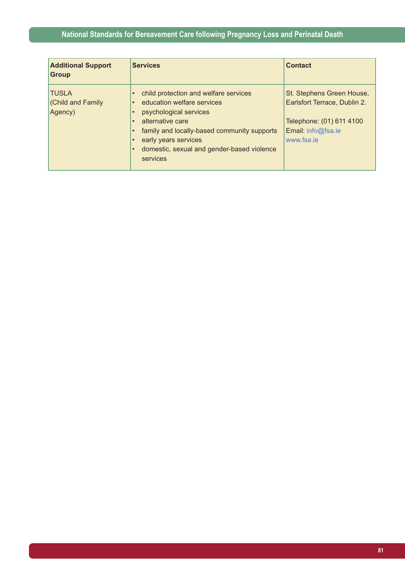| <b>Additional Support</b><br><b>Group</b>          | <b>Services</b>                                                                                                                                                                                                                                                                                                                               | <b>Contact</b>                                                                                                            |
|----------------------------------------------------|-----------------------------------------------------------------------------------------------------------------------------------------------------------------------------------------------------------------------------------------------------------------------------------------------------------------------------------------------|---------------------------------------------------------------------------------------------------------------------------|
| <b>TUSLA</b><br><b>Child and Family</b><br>Agency) | child protection and welfare services<br>$\bullet$<br>education welfare services<br>$\bullet$<br>psychological services<br>$\bullet$<br>alternative care<br>$\bullet$<br>family and locally-based community supports<br>$\bullet$<br>early years services<br>$\bullet$<br>domestic, sexual and gender-based violence<br>$\bullet$<br>services | St. Stephens Green House,<br>Earlsfort Terrace, Dublin 2.<br>Telephone: (01) 611 4100<br>Email: info@fsa.ie<br>www.fsa.je |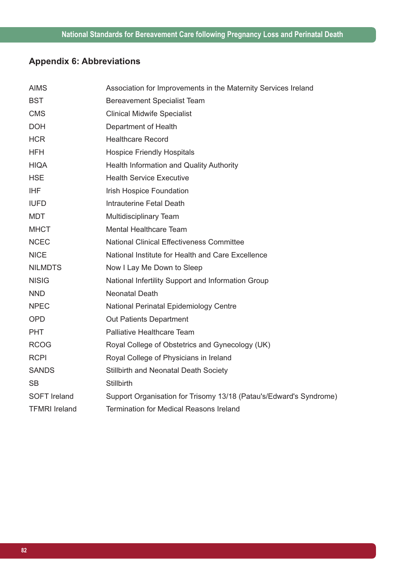# **Appendix 6: Abbreviations**

| <b>AIMS</b>          | Association for Improvements in the Maternity Services Ireland     |
|----------------------|--------------------------------------------------------------------|
| <b>BST</b>           | <b>Bereavement Specialist Team</b>                                 |
| <b>CMS</b>           | <b>Clinical Midwife Specialist</b>                                 |
| <b>DOH</b>           | Department of Health                                               |
| <b>HCR</b>           | <b>Healthcare Record</b>                                           |
| <b>HFH</b>           | <b>Hospice Friendly Hospitals</b>                                  |
| <b>HIQA</b>          | <b>Health Information and Quality Authority</b>                    |
| <b>HSE</b>           | <b>Health Service Executive</b>                                    |
| <b>IHF</b>           | Irish Hospice Foundation                                           |
| <b>IUFD</b>          | Intrauterine Fetal Death                                           |
| <b>MDT</b>           | Multidisciplinary Team                                             |
| <b>MHCT</b>          | <b>Mental Healthcare Team</b>                                      |
| <b>NCEC</b>          | <b>National Clinical Effectiveness Committee</b>                   |
| <b>NICE</b>          | National Institute for Health and Care Excellence                  |
| <b>NILMDTS</b>       | Now I Lay Me Down to Sleep                                         |
| <b>NISIG</b>         | National Infertility Support and Information Group                 |
| <b>NND</b>           | <b>Neonatal Death</b>                                              |
| <b>NPEC</b>          | National Perinatal Epidemiology Centre                             |
| <b>OPD</b>           | <b>Out Patients Department</b>                                     |
| <b>PHT</b>           | Palliative Healthcare Team                                         |
| <b>RCOG</b>          | Royal College of Obstetrics and Gynecology (UK)                    |
| <b>RCPI</b>          | Royal College of Physicians in Ireland                             |
| <b>SANDS</b>         | Stillbirth and Neonatal Death Society                              |
| <b>SB</b>            | Stillbirth                                                         |
| <b>SOFT Ireland</b>  | Support Organisation for Trisomy 13/18 (Patau's/Edward's Syndrome) |
| <b>TFMRI</b> Ireland | <b>Termination for Medical Reasons Ireland</b>                     |